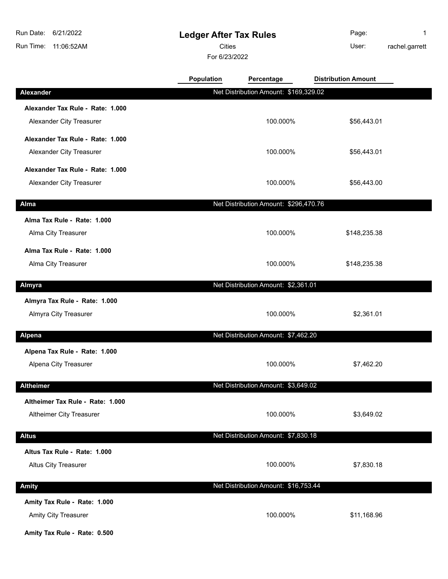## **Ledger After Tax Rules**

Cities **User:** 

For 6/23/2022

Page: 1 rachel.garrett

|                                  | Population | Percentage                            | <b>Distribution Amount</b> |  |
|----------------------------------|------------|---------------------------------------|----------------------------|--|
| Alexander                        |            | Net Distribution Amount: \$169,329.02 |                            |  |
| Alexander Tax Rule - Rate: 1.000 |            |                                       |                            |  |
| Alexander City Treasurer         |            | 100.000%                              | \$56,443.01                |  |
| Alexander Tax Rule - Rate: 1.000 |            |                                       |                            |  |
| Alexander City Treasurer         |            | 100.000%                              | \$56,443.01                |  |
| Alexander Tax Rule - Rate: 1.000 |            |                                       |                            |  |
| Alexander City Treasurer         |            | 100.000%                              | \$56,443.00                |  |
| Alma                             |            | Net Distribution Amount: \$296,470.76 |                            |  |
| Alma Tax Rule - Rate: 1.000      |            |                                       |                            |  |
| Alma City Treasurer              |            | 100.000%                              | \$148,235.38               |  |
| Alma Tax Rule - Rate: 1.000      |            |                                       |                            |  |
| Alma City Treasurer              |            | 100.000%                              | \$148,235.38               |  |
| Almyra                           |            | Net Distribution Amount: \$2,361.01   |                            |  |
| Almyra Tax Rule - Rate: 1.000    |            |                                       |                            |  |
| Almyra City Treasurer            |            | 100.000%                              | \$2,361.01                 |  |
| <b>Alpena</b>                    |            | Net Distribution Amount: \$7,462.20   |                            |  |
| Alpena Tax Rule - Rate: 1.000    |            |                                       |                            |  |
| Alpena City Treasurer            |            | 100.000%                              | \$7,462.20                 |  |
| <b>Altheimer</b>                 |            | Net Distribution Amount: \$3,649.02   |                            |  |
| Altheimer Tax Rule - Rate: 1.000 |            |                                       |                            |  |
| Altheimer City Treasurer         |            | 100.000%                              | \$3,649.02                 |  |
|                                  |            |                                       |                            |  |
| <b>Altus</b>                     |            | Net Distribution Amount: \$7,830.18   |                            |  |
| Altus Tax Rule - Rate: 1.000     |            |                                       |                            |  |
| <b>Altus City Treasurer</b>      |            | 100.000%                              | \$7,830.18                 |  |
| Amity                            |            | Net Distribution Amount: \$16,753.44  |                            |  |
| Amity Tax Rule - Rate: 1.000     |            |                                       |                            |  |
| Amity City Treasurer             |            | 100.000%                              | \$11,168.96                |  |

**Amity Tax Rule - Rate: 0.500**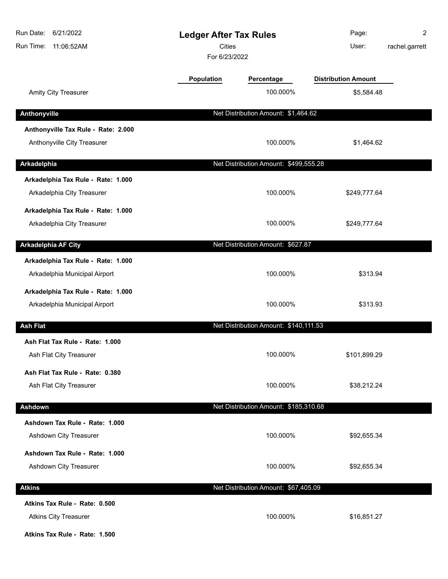| 6/21/2022<br>Run Date:<br>Run Time:<br>11:06:52AM | <b>Ledger After Tax Rules</b><br><b>Cities</b><br>For 6/23/2022 |                                       | Page:<br>User:             | 2<br>rachel.garrett |
|---------------------------------------------------|-----------------------------------------------------------------|---------------------------------------|----------------------------|---------------------|
|                                                   | Population                                                      | Percentage                            | <b>Distribution Amount</b> |                     |
| Amity City Treasurer                              |                                                                 | 100.000%                              | \$5,584.48                 |                     |
| Anthonyville                                      |                                                                 | Net Distribution Amount: \$1,464.62   |                            |                     |
| Anthonyville Tax Rule - Rate: 2.000               |                                                                 |                                       |                            |                     |
| Anthonyville City Treasurer                       |                                                                 | 100.000%                              | \$1,464.62                 |                     |
| Arkadelphia                                       |                                                                 | Net Distribution Amount: \$499,555.28 |                            |                     |
| Arkadelphia Tax Rule - Rate: 1.000                |                                                                 |                                       |                            |                     |
| Arkadelphia City Treasurer                        |                                                                 | 100.000%                              | \$249,777.64               |                     |
| Arkadelphia Tax Rule - Rate: 1.000                |                                                                 |                                       |                            |                     |
| Arkadelphia City Treasurer                        |                                                                 | 100.000%                              | \$249,777.64               |                     |
| <b>Arkadelphia AF City</b>                        |                                                                 | Net Distribution Amount: \$627.87     |                            |                     |
| Arkadelphia Tax Rule - Rate: 1.000                |                                                                 |                                       |                            |                     |
| Arkadelphia Municipal Airport                     |                                                                 | 100.000%                              | \$313.94                   |                     |
| Arkadelphia Tax Rule - Rate: 1.000                |                                                                 |                                       |                            |                     |
| Arkadelphia Municipal Airport                     |                                                                 | 100.000%                              | \$313.93                   |                     |
| <b>Ash Flat</b>                                   |                                                                 | Net Distribution Amount: \$140,111.53 |                            |                     |
| Ash Flat Tax Rule - Rate: 1.000                   |                                                                 |                                       |                            |                     |
| Ash Flat City Treasurer                           |                                                                 | 100.000%                              | \$101,899.29               |                     |
| Ash Flat Tax Rule - Rate: 0.380                   |                                                                 |                                       |                            |                     |
| Ash Flat City Treasurer                           |                                                                 | 100.000%                              | \$38,212.24                |                     |
| Ashdown                                           |                                                                 | Net Distribution Amount: \$185,310.68 |                            |                     |
| Ashdown Tax Rule - Rate: 1.000                    |                                                                 |                                       |                            |                     |
| Ashdown City Treasurer                            |                                                                 | 100.000%                              | \$92,655.34                |                     |
| Ashdown Tax Rule - Rate: 1.000                    |                                                                 |                                       |                            |                     |
| Ashdown City Treasurer                            |                                                                 | 100.000%                              | \$92,655.34                |                     |
| <b>Atkins</b>                                     |                                                                 | Net Distribution Amount: \$67,405.09  |                            |                     |
| Atkins Tax Rule - Rate: 0.500                     |                                                                 |                                       |                            |                     |
| <b>Atkins City Treasurer</b>                      |                                                                 | 100.000%                              | \$16,851.27                |                     |

**Atkins Tax Rule - Rate: 1.500**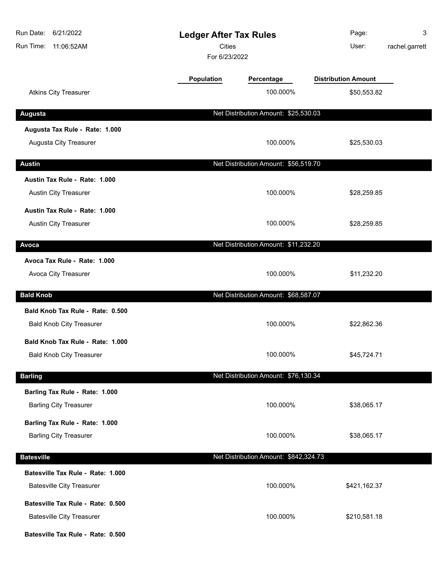| Run Date: 6/21/2022<br>Run Time: 11:06:52AM | <b>Ledger After Tax Rules</b><br><b>Cities</b><br>For 6/23/2022 |                                       | Page:<br>User:             | 3<br>rachel.garrett |
|---------------------------------------------|-----------------------------------------------------------------|---------------------------------------|----------------------------|---------------------|
|                                             | <b>Population</b>                                               | Percentage                            | <b>Distribution Amount</b> |                     |
| <b>Atkins City Treasurer</b>                |                                                                 | 100.000%                              | \$50,553.82                |                     |
| <b>Augusta</b>                              |                                                                 | Net Distribution Amount: \$25,530.03  |                            |                     |
| Augusta Tax Rule - Rate: 1.000              |                                                                 |                                       |                            |                     |
| Augusta City Treasurer                      |                                                                 | 100.000%                              | \$25,530.03                |                     |
| <b>Austin</b>                               |                                                                 | Net Distribution Amount: \$56,519.70  |                            |                     |
| Austin Tax Rule - Rate: 1.000               |                                                                 |                                       |                            |                     |
| <b>Austin City Treasurer</b>                |                                                                 | 100.000%                              | \$28,259.85                |                     |
| Austin Tax Rule - Rate: 1.000               |                                                                 |                                       |                            |                     |
| Austin City Treasurer                       |                                                                 | 100.000%                              | \$28,259.85                |                     |
| Avoca                                       |                                                                 | Net Distribution Amount: \$11,232.20  |                            |                     |
| Avoca Tax Rule - Rate: 1.000                |                                                                 |                                       |                            |                     |
| Avoca City Treasurer                        |                                                                 | 100.000%                              | \$11,232.20                |                     |
| <b>Bald Knob</b>                            |                                                                 | Net Distribution Amount: \$68,587.07  |                            |                     |
| Bald Knob Tax Rule - Rate: 0.500            |                                                                 |                                       |                            |                     |
| <b>Bald Knob City Treasurer</b>             |                                                                 | 100.000%                              | \$22,862.36                |                     |
| Bald Knob Tax Rule - Rate: 1.000            |                                                                 |                                       |                            |                     |
| <b>Bald Knob City Treasurer</b>             |                                                                 | 100.000%                              | \$45,724.71                |                     |
| <b>Barling</b>                              |                                                                 | Net Distribution Amount: \$76,130.34  |                            |                     |
| Barling Tax Rule - Rate: 1.000              |                                                                 |                                       |                            |                     |
| <b>Barling City Treasurer</b>               |                                                                 | 100.000%                              | \$38,065.17                |                     |
| Barling Tax Rule - Rate: 1.000              |                                                                 |                                       |                            |                     |
| <b>Barling City Treasurer</b>               |                                                                 | 100.000%                              | \$38,065.17                |                     |
| <b>Batesville</b>                           |                                                                 | Net Distribution Amount: \$842,324.73 |                            |                     |
| Batesville Tax Rule - Rate: 1.000           |                                                                 |                                       |                            |                     |
| <b>Batesville City Treasurer</b>            |                                                                 | 100.000%                              | \$421,162.37               |                     |
| Batesville Tax Rule - Rate: 0.500           |                                                                 |                                       |                            |                     |
| <b>Batesville City Treasurer</b>            |                                                                 | 100.000%                              | \$210,581.18               |                     |
| Batesville Tax Rule - Rate: 0.500           |                                                                 |                                       |                            |                     |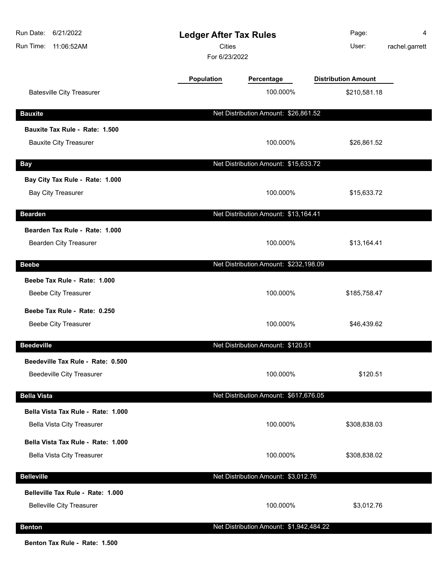| Run Date:<br>6/21/2022<br><b>Ledger After Tax Rules</b><br><b>Cities</b><br>Run Time:<br>11:06:52AM<br>For 6/23/2022 |            | Page:<br>User:                          | 4<br>rachel.garrett        |  |
|----------------------------------------------------------------------------------------------------------------------|------------|-----------------------------------------|----------------------------|--|
|                                                                                                                      | Population | Percentage                              | <b>Distribution Amount</b> |  |
| <b>Batesville City Treasurer</b>                                                                                     |            | 100.000%                                | \$210,581.18               |  |
| <b>Bauxite</b>                                                                                                       |            | Net Distribution Amount: \$26,861.52    |                            |  |
| Bauxite Tax Rule - Rate: 1.500<br><b>Bauxite City Treasurer</b>                                                      |            | 100.000%                                | \$26,861.52                |  |
| <b>Bay</b>                                                                                                           |            | Net Distribution Amount: \$15,633.72    |                            |  |
| Bay City Tax Rule - Rate: 1.000<br><b>Bay City Treasurer</b>                                                         |            | 100.000%                                | \$15,633.72                |  |
| <b>Bearden</b>                                                                                                       |            | Net Distribution Amount: \$13,164.41    |                            |  |
| Bearden Tax Rule - Rate: 1.000<br>Bearden City Treasurer                                                             |            | 100.000%                                | \$13,164.41                |  |
| <b>Beebe</b>                                                                                                         |            | Net Distribution Amount: \$232,198.09   |                            |  |
| Beebe Tax Rule - Rate: 1.000<br><b>Beebe City Treasurer</b>                                                          |            | 100.000%                                | \$185,758.47               |  |
| Beebe Tax Rule - Rate: 0.250<br><b>Beebe City Treasurer</b>                                                          |            | 100.000%                                | \$46,439.62                |  |
| <b>Beedeville</b>                                                                                                    |            | Net Distribution Amount: \$120.51       |                            |  |
| Beedeville Tax Rule - Rate: 0.500<br><b>Beedeville City Treasurer</b>                                                |            | 100.000%                                | \$120.51                   |  |
| <b>Bella Vista</b>                                                                                                   |            | Net Distribution Amount: \$617,676.05   |                            |  |
| Bella Vista Tax Rule - Rate: 1.000<br><b>Bella Vista City Treasurer</b>                                              |            | 100.000%                                | \$308,838.03               |  |
| Bella Vista Tax Rule - Rate: 1.000<br><b>Bella Vista City Treasurer</b>                                              |            | 100.000%                                | \$308,838.02               |  |
| <b>Belleville</b>                                                                                                    |            | Net Distribution Amount: \$3,012.76     |                            |  |
| Belleville Tax Rule - Rate: 1.000<br><b>Belleville City Treasurer</b>                                                |            | 100.000%                                | \$3,012.76                 |  |
| <b>Benton</b>                                                                                                        |            | Net Distribution Amount: \$1,942,484.22 |                            |  |

**Benton Tax Rule - Rate: 1.500**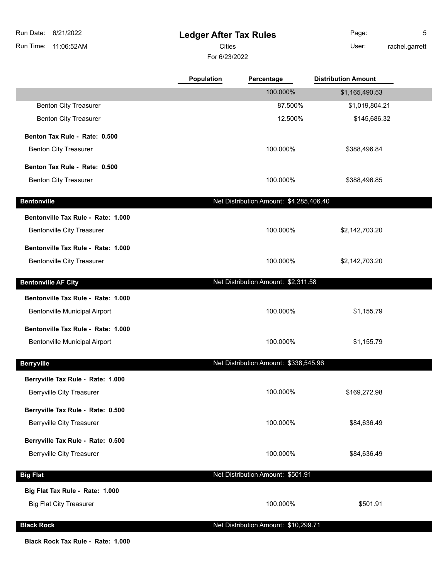## **Ledger After Tax Rules**

Cities User:

For 6/23/2022

Page: 5 rachel.garrett

|                                    | <b>Population</b> | Percentage                              | <b>Distribution Amount</b> |  |
|------------------------------------|-------------------|-----------------------------------------|----------------------------|--|
|                                    |                   | 100.000%                                | \$1,165,490.53             |  |
| <b>Benton City Treasurer</b>       |                   | 87.500%                                 | \$1,019,804.21             |  |
| <b>Benton City Treasurer</b>       |                   | 12.500%                                 | \$145,686.32               |  |
| Benton Tax Rule - Rate: 0.500      |                   |                                         |                            |  |
| <b>Benton City Treasurer</b>       |                   | 100.000%                                | \$388,496.84               |  |
| Benton Tax Rule - Rate: 0.500      |                   |                                         |                            |  |
| <b>Benton City Treasurer</b>       |                   | 100.000%                                | \$388,496.85               |  |
| <b>Bentonville</b>                 |                   | Net Distribution Amount: \$4,285,406.40 |                            |  |
| Bentonville Tax Rule - Rate: 1.000 |                   |                                         |                            |  |
| <b>Bentonville City Treasurer</b>  |                   | 100.000%                                | \$2,142,703.20             |  |
| Bentonville Tax Rule - Rate: 1.000 |                   |                                         |                            |  |
| <b>Bentonville City Treasurer</b>  |                   | 100.000%                                | \$2,142,703.20             |  |
| <b>Bentonville AF City</b>         |                   | Net Distribution Amount: \$2,311.58     |                            |  |
|                                    |                   |                                         |                            |  |
| Bentonville Tax Rule - Rate: 1.000 |                   |                                         |                            |  |
| Bentonville Municipal Airport      |                   | 100.000%                                | \$1,155.79                 |  |
| Bentonville Tax Rule - Rate: 1.000 |                   |                                         |                            |  |
| Bentonville Municipal Airport      |                   | 100.000%                                | \$1,155.79                 |  |
| <b>Berryville</b>                  |                   | Net Distribution Amount: \$338,545.96   |                            |  |
| Berryville Tax Rule - Rate: 1.000  |                   |                                         |                            |  |
| <b>Berryville City Treasurer</b>   |                   | 100.000%                                | \$169,272.98               |  |
| Berryville Tax Rule - Rate: 0.500  |                   |                                         |                            |  |
| <b>Berryville City Treasurer</b>   |                   | 100.000%                                | \$84,636.49                |  |
| Berryville Tax Rule - Rate: 0.500  |                   |                                         |                            |  |
| <b>Berryville City Treasurer</b>   |                   | 100.000%                                | \$84,636.49                |  |
| <b>Big Flat</b>                    |                   | Net Distribution Amount: \$501.91       |                            |  |
| Big Flat Tax Rule - Rate: 1.000    |                   |                                         |                            |  |
| <b>Big Flat City Treasurer</b>     |                   | 100.000%                                | \$501.91                   |  |
| <b>Black Rock</b>                  |                   | Net Distribution Amount: \$10,299.71    |                            |  |

#### **Black Rock Tax Rule - Rate: 1.000**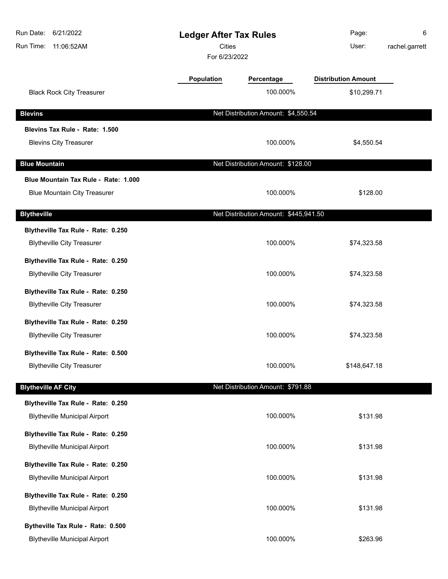| Run Date:<br>6/21/2022<br>Run Time:<br>11:06:52AM | <b>Ledger After Tax Rules</b><br><b>Cities</b><br>For 6/23/2022 |                                       | Page:<br>User:             | 6<br>rachel.garrett |
|---------------------------------------------------|-----------------------------------------------------------------|---------------------------------------|----------------------------|---------------------|
|                                                   | Population                                                      | Percentage                            | <b>Distribution Amount</b> |                     |
| <b>Black Rock City Treasurer</b>                  |                                                                 | 100.000%                              | \$10,299.71                |                     |
| <b>Blevins</b>                                    |                                                                 | Net Distribution Amount: \$4,550.54   |                            |                     |
| Blevins Tax Rule - Rate: 1.500                    |                                                                 |                                       |                            |                     |
| <b>Blevins City Treasurer</b>                     |                                                                 | 100.000%                              | \$4,550.54                 |                     |
| <b>Blue Mountain</b>                              |                                                                 | Net Distribution Amount: \$128.00     |                            |                     |
| Blue Mountain Tax Rule - Rate: 1.000              |                                                                 |                                       |                            |                     |
| <b>Blue Mountain City Treasurer</b>               |                                                                 | 100.000%                              | \$128.00                   |                     |
| <b>Blytheville</b>                                |                                                                 | Net Distribution Amount: \$445,941.50 |                            |                     |
| Blytheville Tax Rule - Rate: 0.250                |                                                                 |                                       |                            |                     |
| <b>Blytheville City Treasurer</b>                 |                                                                 | 100.000%                              | \$74,323.58                |                     |
| Blytheville Tax Rule - Rate: 0.250                |                                                                 |                                       |                            |                     |
| <b>Blytheville City Treasurer</b>                 |                                                                 | 100.000%                              | \$74,323.58                |                     |
| Blytheville Tax Rule - Rate: 0.250                |                                                                 |                                       |                            |                     |
| <b>Blytheville City Treasurer</b>                 |                                                                 | 100.000%                              | \$74,323.58                |                     |
| Blytheville Tax Rule - Rate: 0.250                |                                                                 |                                       |                            |                     |
| <b>Blytheville City Treasurer</b>                 |                                                                 | 100.000%                              | \$74,323.58                |                     |
| Blytheville Tax Rule - Rate: 0.500                |                                                                 |                                       |                            |                     |
| <b>Blytheville City Treasurer</b>                 |                                                                 | 100.000%                              | \$148,647.18               |                     |
| <b>Blytheville AF City</b>                        |                                                                 | Net Distribution Amount: \$791.88     |                            |                     |
| Blytheville Tax Rule - Rate: 0.250                |                                                                 |                                       |                            |                     |
| <b>Blytheville Municipal Airport</b>              |                                                                 | 100.000%                              | \$131.98                   |                     |
| Blytheville Tax Rule - Rate: 0.250                |                                                                 |                                       |                            |                     |
| <b>Blytheville Municipal Airport</b>              |                                                                 | 100.000%                              | \$131.98                   |                     |
| Blytheville Tax Rule - Rate: 0.250                |                                                                 |                                       |                            |                     |
| <b>Blytheville Municipal Airport</b>              |                                                                 | 100.000%                              | \$131.98                   |                     |
| Blytheville Tax Rule - Rate: 0.250                |                                                                 |                                       |                            |                     |
| <b>Blytheville Municipal Airport</b>              |                                                                 | 100.000%                              | \$131.98                   |                     |
| Bytheville Tax Rule - Rate: 0.500                 |                                                                 |                                       |                            |                     |
| <b>Blytheville Municipal Airport</b>              |                                                                 | 100.000%                              | \$263.96                   |                     |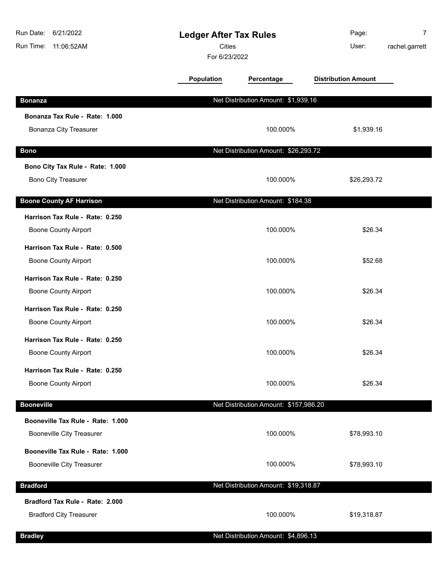| Run Date:<br>6/21/2022<br><b>Ledger After Tax Rules</b><br><b>Cities</b><br>Run Time:<br>11:06:52AM<br>For 6/23/2022 |                   |                                       | Page:<br>User:             | 7<br>rachel.garrett |
|----------------------------------------------------------------------------------------------------------------------|-------------------|---------------------------------------|----------------------------|---------------------|
|                                                                                                                      | <b>Population</b> | Percentage                            | <b>Distribution Amount</b> |                     |
| <b>Bonanza</b>                                                                                                       |                   | Net Distribution Amount: \$1,939.16   |                            |                     |
| Bonanza Tax Rule - Rate: 1.000                                                                                       |                   |                                       |                            |                     |
| <b>Bonanza City Treasurer</b>                                                                                        |                   | 100.000%                              | \$1,939.16                 |                     |
| <b>Bono</b>                                                                                                          |                   | Net Distribution Amount: \$26,293.72  |                            |                     |
| Bono City Tax Rule - Rate: 1.000                                                                                     |                   |                                       |                            |                     |
| <b>Bono City Treasurer</b>                                                                                           |                   | 100.000%                              | \$26,293.72                |                     |
| <b>Boone County AF Harrison</b>                                                                                      |                   | Net Distribution Amount: \$184.38     |                            |                     |
| Harrison Tax Rule - Rate: 0.250                                                                                      |                   |                                       |                            |                     |
| <b>Boone County Airport</b>                                                                                          |                   | 100.000%                              | \$26.34                    |                     |
| Harrison Tax Rule - Rate: 0.500                                                                                      |                   |                                       |                            |                     |
| <b>Boone County Airport</b>                                                                                          |                   | 100.000%                              | \$52.68                    |                     |
| Harrison Tax Rule - Rate: 0.250                                                                                      |                   |                                       |                            |                     |
| <b>Boone County Airport</b>                                                                                          |                   | 100.000%                              | \$26.34                    |                     |
| Harrison Tax Rule - Rate: 0.250                                                                                      |                   |                                       |                            |                     |
| <b>Boone County Airport</b>                                                                                          |                   | 100.000%                              | \$26.34                    |                     |
| Harrison Tax Rule - Rate: 0.250                                                                                      |                   |                                       |                            |                     |
| <b>Boone County Airport</b>                                                                                          |                   | 100.000%                              | \$26.34                    |                     |
| Harrison Tax Rule - Rate: 0.250                                                                                      |                   |                                       |                            |                     |
| <b>Boone County Airport</b>                                                                                          |                   | 100.000%                              | \$26.34                    |                     |
| <b>Booneville</b>                                                                                                    |                   | Net Distribution Amount: \$157,986.20 |                            |                     |
| Booneville Tax Rule - Rate: 1.000                                                                                    |                   |                                       |                            |                     |
| <b>Booneville City Treasurer</b>                                                                                     |                   | 100.000%                              | \$78,993.10                |                     |
| Booneville Tax Rule - Rate: 1.000                                                                                    |                   |                                       |                            |                     |
| <b>Booneville City Treasurer</b>                                                                                     |                   | 100.000%                              | \$78,993.10                |                     |
| <b>Bradford</b>                                                                                                      |                   | Net Distribution Amount: \$19,318.87  |                            |                     |
| Bradford Tax Rule - Rate: 2.000                                                                                      |                   |                                       |                            |                     |
| <b>Bradford City Treasurer</b>                                                                                       |                   | 100.000%                              | \$19,318.87                |                     |
| <b>Bradley</b>                                                                                                       |                   | Net Distribution Amount: \$4,896.13   |                            |                     |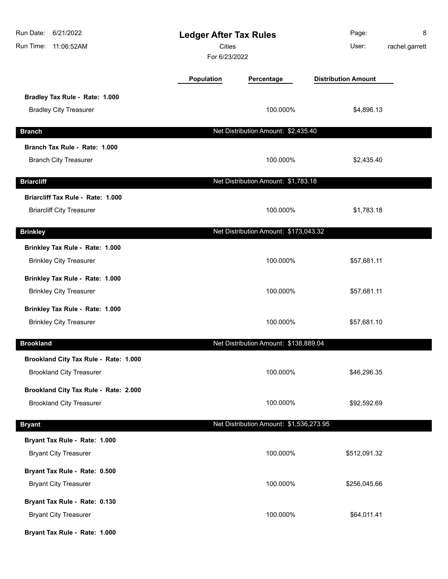| Run Date: 6/21/2022<br>Run Time:<br>11:06:52AM | <b>Ledger After Tax Rules</b><br><b>Cities</b><br>For 6/23/2022 |                                         | Page:<br>User:             | 8<br>rachel.garrett |
|------------------------------------------------|-----------------------------------------------------------------|-----------------------------------------|----------------------------|---------------------|
|                                                | <b>Population</b>                                               | Percentage                              | <b>Distribution Amount</b> |                     |
| Bradley Tax Rule - Rate: 1.000                 |                                                                 |                                         |                            |                     |
| <b>Bradley City Treasurer</b>                  |                                                                 | 100.000%                                | \$4,896.13                 |                     |
| <b>Branch</b>                                  |                                                                 | Net Distribution Amount: \$2,435.40     |                            |                     |
| Branch Tax Rule - Rate: 1.000                  |                                                                 |                                         |                            |                     |
| <b>Branch City Treasurer</b>                   |                                                                 | 100.000%                                | \$2,435.40                 |                     |
| <b>Briarcliff</b>                              |                                                                 | Net Distribution Amount: \$1,783.18     |                            |                     |
| Briarcliff Tax Rule - Rate: 1.000              |                                                                 |                                         |                            |                     |
| <b>Briarcliff City Treasurer</b>               |                                                                 | 100.000%                                | \$1,783.18                 |                     |
| <b>Brinkley</b>                                |                                                                 | Net Distribution Amount: \$173,043.32   |                            |                     |
| Brinkley Tax Rule - Rate: 1.000                |                                                                 |                                         |                            |                     |
| <b>Brinkley City Treasurer</b>                 |                                                                 | 100.000%                                | \$57,681.11                |                     |
| Brinkley Tax Rule - Rate: 1.000                |                                                                 |                                         |                            |                     |
| <b>Brinkley City Treasurer</b>                 |                                                                 | 100.000%                                | \$57,681.11                |                     |
| Brinkley Tax Rule - Rate: 1.000                |                                                                 |                                         |                            |                     |
| <b>Brinkley City Treasurer</b>                 |                                                                 | 100.000%                                | \$57,681.10                |                     |
| <b>Brookland</b>                               |                                                                 | Net Distribution Amount: \$138,889.04   |                            |                     |
| Brookland City Tax Rule - Rate: 1.000          |                                                                 |                                         |                            |                     |
| <b>Brookland City Treasurer</b>                |                                                                 | 100.000%                                | \$46,296.35                |                     |
| Brookland City Tax Rule - Rate: 2.000          |                                                                 |                                         |                            |                     |
| <b>Brookland City Treasurer</b>                |                                                                 | 100.000%                                | \$92,592.69                |                     |
| <b>Bryant</b>                                  |                                                                 | Net Distribution Amount: \$1,536,273.95 |                            |                     |
| Bryant Tax Rule - Rate: 1.000                  |                                                                 |                                         |                            |                     |
| <b>Bryant City Treasurer</b>                   |                                                                 | 100.000%                                | \$512,091.32               |                     |
| Bryant Tax Rule - Rate: 0.500                  |                                                                 |                                         |                            |                     |
| <b>Bryant City Treasurer</b>                   |                                                                 | 100.000%                                | \$256,045.66               |                     |
| Bryant Tax Rule - Rate: 0.130                  |                                                                 |                                         |                            |                     |
| <b>Bryant City Treasurer</b>                   |                                                                 | 100.000%                                | \$64,011.41                |                     |
| Bryant Tax Rule - Rate: 1.000                  |                                                                 |                                         |                            |                     |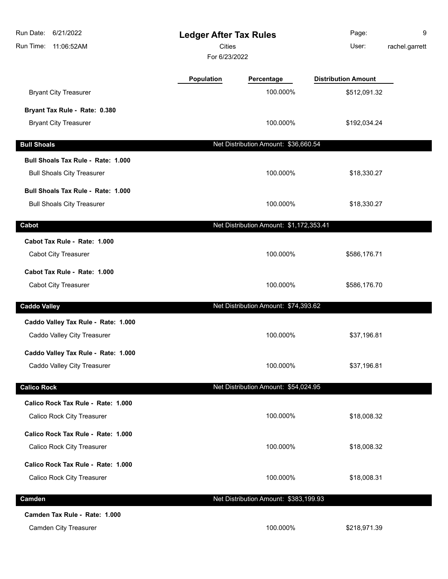| Run Date:<br>6/21/2022<br>Run Time:<br>11:06:52AM | <b>Ledger After Tax Rules</b><br><b>Cities</b><br>For 6/23/2022 |                                         | Page:<br>User:             | 9<br>rachel.garrett |
|---------------------------------------------------|-----------------------------------------------------------------|-----------------------------------------|----------------------------|---------------------|
|                                                   | Population                                                      | Percentage                              | <b>Distribution Amount</b> |                     |
| <b>Bryant City Treasurer</b>                      |                                                                 | 100.000%                                | \$512,091.32               |                     |
| Bryant Tax Rule - Rate: 0.380                     |                                                                 |                                         |                            |                     |
| <b>Bryant City Treasurer</b>                      |                                                                 | 100.000%                                | \$192,034.24               |                     |
| <b>Bull Shoals</b>                                |                                                                 | Net Distribution Amount: \$36,660.54    |                            |                     |
| Bull Shoals Tax Rule - Rate: 1.000                |                                                                 |                                         |                            |                     |
| <b>Bull Shoals City Treasurer</b>                 |                                                                 | 100.000%                                | \$18,330.27                |                     |
| Bull Shoals Tax Rule - Rate: 1.000                |                                                                 |                                         |                            |                     |
| <b>Bull Shoals City Treasurer</b>                 |                                                                 | 100.000%                                | \$18,330.27                |                     |
| Cabot                                             |                                                                 | Net Distribution Amount: \$1,172,353.41 |                            |                     |
| Cabot Tax Rule - Rate: 1.000                      |                                                                 |                                         |                            |                     |
| <b>Cabot City Treasurer</b>                       |                                                                 | 100.000%                                | \$586,176.71               |                     |
| Cabot Tax Rule - Rate: 1.000                      |                                                                 |                                         |                            |                     |
| <b>Cabot City Treasurer</b>                       |                                                                 | 100.000%                                | \$586,176.70               |                     |
| <b>Caddo Valley</b>                               |                                                                 | Net Distribution Amount: \$74,393.62    |                            |                     |
| Caddo Valley Tax Rule - Rate: 1.000               |                                                                 |                                         |                            |                     |
| Caddo Valley City Treasurer                       |                                                                 | 100.000%                                | \$37,196.81                |                     |
| Caddo Valley Tax Rule - Rate: 1.000               |                                                                 |                                         |                            |                     |
| Caddo Valley City Treasurer                       |                                                                 | 100.000%                                | \$37,196.81                |                     |
| <b>Calico Rock</b>                                |                                                                 | Net Distribution Amount: \$54,024.95    |                            |                     |
| Calico Rock Tax Rule - Rate: 1.000                |                                                                 |                                         |                            |                     |
| Calico Rock City Treasurer                        |                                                                 | 100.000%                                | \$18,008.32                |                     |
| Calico Rock Tax Rule - Rate: 1.000                |                                                                 |                                         |                            |                     |
| Calico Rock City Treasurer                        |                                                                 | 100.000%                                | \$18,008.32                |                     |
| Calico Rock Tax Rule - Rate: 1.000                |                                                                 |                                         |                            |                     |
| Calico Rock City Treasurer                        |                                                                 | 100.000%                                | \$18,008.31                |                     |
| Camden                                            |                                                                 | Net Distribution Amount: \$383,199.93   |                            |                     |
| Camden Tax Rule - Rate: 1.000                     |                                                                 |                                         |                            |                     |
| Camden City Treasurer                             |                                                                 | 100.000%                                | \$218,971.39               |                     |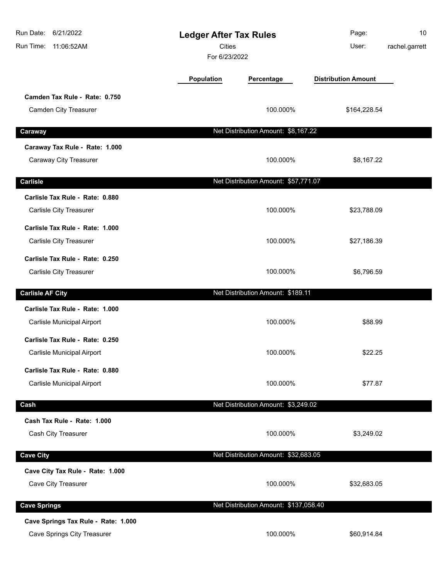| 6/21/2022<br>Run Date:<br>Run Time:<br>11:06:52AM | <b>Ledger After Tax Rules</b><br><b>Cities</b><br>For 6/23/2022 |                                       | Page:<br>User:             | 10<br>rachel.garrett |
|---------------------------------------------------|-----------------------------------------------------------------|---------------------------------------|----------------------------|----------------------|
|                                                   | Population                                                      | Percentage                            | <b>Distribution Amount</b> |                      |
| Camden Tax Rule - Rate: 0.750                     |                                                                 |                                       |                            |                      |
| Camden City Treasurer                             |                                                                 | 100.000%                              | \$164,228.54               |                      |
| Caraway                                           |                                                                 | Net Distribution Amount: \$8,167.22   |                            |                      |
| Caraway Tax Rule - Rate: 1.000                    |                                                                 |                                       |                            |                      |
| Caraway City Treasurer                            |                                                                 | 100.000%                              | \$8,167.22                 |                      |
| <b>Carlisle</b>                                   |                                                                 | Net Distribution Amount: \$57,771.07  |                            |                      |
| Carlisle Tax Rule - Rate: 0.880                   |                                                                 |                                       |                            |                      |
| Carlisle City Treasurer                           |                                                                 | 100.000%                              | \$23,788.09                |                      |
| Carlisle Tax Rule - Rate: 1.000                   |                                                                 |                                       |                            |                      |
| Carlisle City Treasurer                           |                                                                 | 100.000%                              | \$27,186.39                |                      |
| Carlisle Tax Rule - Rate: 0.250                   |                                                                 |                                       |                            |                      |
| Carlisle City Treasurer                           |                                                                 | 100.000%                              | \$6,796.59                 |                      |
| <b>Carlisle AF City</b>                           |                                                                 | Net Distribution Amount: \$189.11     |                            |                      |
| Carlisle Tax Rule - Rate: 1.000                   |                                                                 |                                       |                            |                      |
| Carlisle Municipal Airport                        |                                                                 | 100.000%                              | \$88.99                    |                      |
| Carlisle Tax Rule - Rate: 0.250                   |                                                                 |                                       |                            |                      |
| Carlisle Municipal Airport                        |                                                                 | 100.000%                              | \$22.25                    |                      |
| Carlisle Tax Rule - Rate: 0.880                   |                                                                 |                                       |                            |                      |
| Carlisle Municipal Airport                        |                                                                 | 100.000%                              | \$77.87                    |                      |
| Cash                                              |                                                                 | Net Distribution Amount: \$3,249.02   |                            |                      |
| Cash Tax Rule - Rate: 1.000                       |                                                                 |                                       |                            |                      |
| Cash City Treasurer                               |                                                                 | 100.000%                              | \$3,249.02                 |                      |
| <b>Cave City</b>                                  |                                                                 | Net Distribution Amount: \$32,683.05  |                            |                      |
| Cave City Tax Rule - Rate: 1.000                  |                                                                 |                                       |                            |                      |
| Cave City Treasurer                               |                                                                 | 100.000%                              | \$32,683.05                |                      |
| <b>Cave Springs</b>                               |                                                                 | Net Distribution Amount: \$137,058.40 |                            |                      |
| Cave Springs Tax Rule - Rate: 1.000               |                                                                 |                                       |                            |                      |
| Cave Springs City Treasurer                       |                                                                 | 100.000%                              | \$60,914.84                |                      |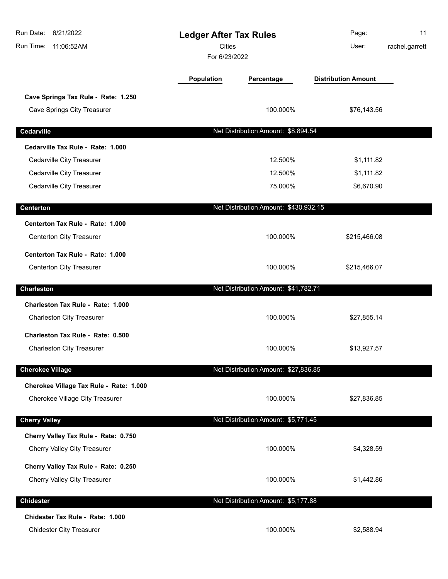| Run Date:<br>6/21/2022<br>Run Time:<br>11:06:52AM | <b>Ledger After Tax Rules</b><br><b>Cities</b><br>For 6/23/2022 |                                       | Page:<br>User:             | 11<br>rachel.garrett |
|---------------------------------------------------|-----------------------------------------------------------------|---------------------------------------|----------------------------|----------------------|
|                                                   | <b>Population</b>                                               | Percentage                            | <b>Distribution Amount</b> |                      |
| Cave Springs Tax Rule - Rate: 1.250               |                                                                 |                                       |                            |                      |
| Cave Springs City Treasurer                       |                                                                 | 100.000%                              | \$76,143.56                |                      |
| Cedarville                                        |                                                                 | Net Distribution Amount: \$8,894.54   |                            |                      |
| Cedarville Tax Rule - Rate: 1.000                 |                                                                 |                                       |                            |                      |
| Cedarville City Treasurer                         |                                                                 | 12.500%                               | \$1,111.82                 |                      |
| Cedarville City Treasurer                         |                                                                 | 12.500%                               | \$1,111.82                 |                      |
| Cedarville City Treasurer                         |                                                                 | 75.000%                               | \$6,670.90                 |                      |
| <b>Centerton</b>                                  |                                                                 | Net Distribution Amount: \$430,932.15 |                            |                      |
| Centerton Tax Rule - Rate: 1.000                  |                                                                 |                                       |                            |                      |
| Centerton City Treasurer                          |                                                                 | 100.000%                              | \$215,466.08               |                      |
| Centerton Tax Rule - Rate: 1.000                  |                                                                 |                                       |                            |                      |
| Centerton City Treasurer                          |                                                                 | 100.000%                              | \$215,466.07               |                      |
| <b>Charleston</b>                                 |                                                                 | Net Distribution Amount: \$41,782.71  |                            |                      |
| Charleston Tax Rule - Rate: 1.000                 |                                                                 |                                       |                            |                      |
| <b>Charleston City Treasurer</b>                  |                                                                 | 100.000%                              | \$27,855.14                |                      |
| Charleston Tax Rule - Rate: 0.500                 |                                                                 |                                       |                            |                      |
| <b>Charleston City Treasurer</b>                  |                                                                 | 100.000%                              | \$13,927.57                |                      |
| <b>Cherokee Village</b>                           |                                                                 | Net Distribution Amount: \$27,836.85  |                            |                      |
| Cherokee Village Tax Rule - Rate: 1.000           |                                                                 |                                       |                            |                      |
| Cherokee Village City Treasurer                   |                                                                 | 100.000%                              | \$27,836.85                |                      |
| <b>Cherry Valley</b>                              |                                                                 | Net Distribution Amount: \$5,771.45   |                            |                      |
| Cherry Valley Tax Rule - Rate: 0.750              |                                                                 |                                       |                            |                      |
| Cherry Valley City Treasurer                      |                                                                 | 100.000%                              | \$4,328.59                 |                      |
| Cherry Valley Tax Rule - Rate: 0.250              |                                                                 |                                       |                            |                      |
| Cherry Valley City Treasurer                      |                                                                 | 100.000%                              | \$1,442.86                 |                      |
| <b>Chidester</b>                                  |                                                                 | Net Distribution Amount: \$5,177.88   |                            |                      |
| Chidester Tax Rule - Rate: 1.000                  |                                                                 |                                       |                            |                      |
| <b>Chidester City Treasurer</b>                   |                                                                 | 100.000%                              | \$2,588.94                 |                      |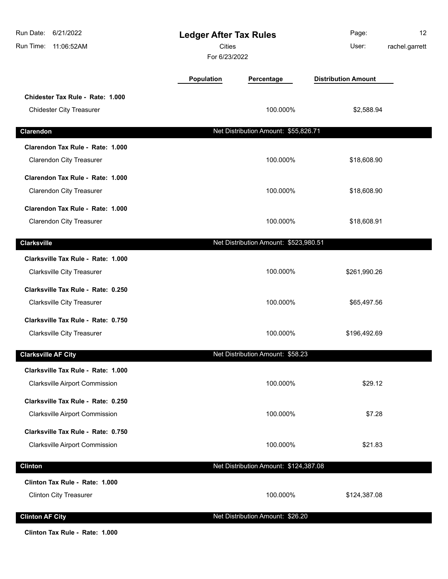| Run Date:<br>6/21/2022<br>Run Time:<br>11:06:52AM                   | <b>Ledger After Tax Rules</b><br><b>Cities</b><br>For 6/23/2022 |                                       | Page:<br>User:             | 12<br>rachel.garrett |
|---------------------------------------------------------------------|-----------------------------------------------------------------|---------------------------------------|----------------------------|----------------------|
|                                                                     | Population                                                      | Percentage                            | <b>Distribution Amount</b> |                      |
| Chidester Tax Rule - Rate: 1.000<br><b>Chidester City Treasurer</b> |                                                                 | 100.000%                              | \$2,588.94                 |                      |
| Clarendon                                                           |                                                                 | Net Distribution Amount: \$55,826.71  |                            |                      |
| Clarendon Tax Rule - Rate: 1.000                                    |                                                                 |                                       |                            |                      |
| <b>Clarendon City Treasurer</b>                                     |                                                                 | 100.000%                              | \$18,608.90                |                      |
| Clarendon Tax Rule - Rate: 1.000                                    |                                                                 |                                       |                            |                      |
| <b>Clarendon City Treasurer</b>                                     |                                                                 | 100.000%                              | \$18,608.90                |                      |
| Clarendon Tax Rule - Rate: 1.000                                    |                                                                 |                                       |                            |                      |
| <b>Clarendon City Treasurer</b>                                     |                                                                 | 100.000%                              | \$18,608.91                |                      |
| <b>Clarksville</b>                                                  |                                                                 | Net Distribution Amount: \$523,980.51 |                            |                      |
| Clarksville Tax Rule - Rate: 1.000                                  |                                                                 |                                       |                            |                      |
| <b>Clarksville City Treasurer</b>                                   |                                                                 | 100.000%                              | \$261,990.26               |                      |
| Clarksville Tax Rule - Rate: 0.250                                  |                                                                 |                                       |                            |                      |
| <b>Clarksville City Treasurer</b>                                   |                                                                 | 100.000%                              | \$65,497.56                |                      |
| Clarksville Tax Rule - Rate: 0.750                                  |                                                                 |                                       |                            |                      |
| <b>Clarksville City Treasurer</b>                                   |                                                                 | 100.000%                              | \$196,492.69               |                      |
| <b>Clarksville AF City</b>                                          |                                                                 | Net Distribution Amount: \$58.23      |                            |                      |
| Clarksville Tax Rule - Rate: 1.000                                  |                                                                 |                                       |                            |                      |
| <b>Clarksville Airport Commission</b>                               |                                                                 | 100.000%                              | \$29.12                    |                      |
| Clarksville Tax Rule - Rate: 0.250                                  |                                                                 |                                       |                            |                      |
| Clarksville Airport Commission                                      |                                                                 | 100.000%                              | \$7.28                     |                      |
| Clarksville Tax Rule - Rate: 0.750                                  |                                                                 |                                       |                            |                      |
| <b>Clarksville Airport Commission</b>                               |                                                                 | 100.000%                              | \$21.83                    |                      |
| <b>Clinton</b>                                                      |                                                                 | Net Distribution Amount: \$124,387.08 |                            |                      |
| Clinton Tax Rule - Rate: 1.000                                      |                                                                 |                                       |                            |                      |
| <b>Clinton City Treasurer</b>                                       |                                                                 | 100.000%                              | \$124,387.08               |                      |
|                                                                     |                                                                 |                                       |                            |                      |
| <b>Clinton AF City</b>                                              |                                                                 | Net Distribution Amount: \$26.20      |                            |                      |

**Clinton Tax Rule - Rate: 1.000**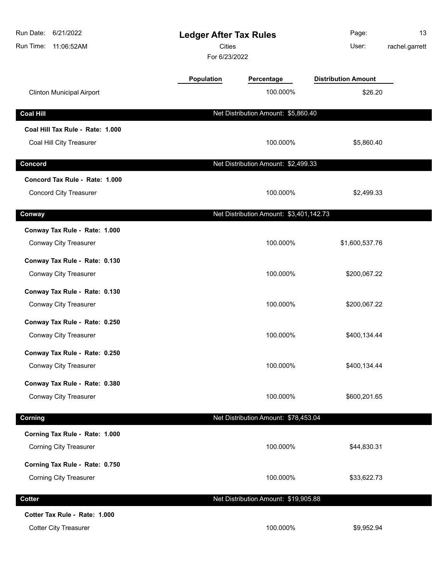| Run Date:<br>6/21/2022<br>Run Time:<br>11:06:52AM | <b>Ledger After Tax Rules</b><br><b>Cities</b><br>For 6/23/2022 |                                         | Page:<br>User:             | 13<br>rachel.garrett |
|---------------------------------------------------|-----------------------------------------------------------------|-----------------------------------------|----------------------------|----------------------|
|                                                   | Population                                                      | Percentage                              | <b>Distribution Amount</b> |                      |
| <b>Clinton Municipal Airport</b>                  |                                                                 | 100.000%                                | \$26.20                    |                      |
| <b>Coal Hill</b>                                  |                                                                 | Net Distribution Amount: \$5,860.40     |                            |                      |
| Coal Hill Tax Rule - Rate: 1.000                  |                                                                 |                                         |                            |                      |
| Coal Hill City Treasurer                          |                                                                 | 100.000%                                | \$5,860.40                 |                      |
| Concord                                           |                                                                 | Net Distribution Amount: \$2,499.33     |                            |                      |
| Concord Tax Rule - Rate: 1.000                    |                                                                 |                                         |                            |                      |
| <b>Concord City Treasurer</b>                     |                                                                 | 100.000%                                | \$2,499.33                 |                      |
| Conway                                            |                                                                 | Net Distribution Amount: \$3,401,142.73 |                            |                      |
| Conway Tax Rule - Rate: 1.000                     |                                                                 |                                         |                            |                      |
| Conway City Treasurer                             |                                                                 | 100.000%                                | \$1,600,537.76             |                      |
| Conway Tax Rule - Rate: 0.130                     |                                                                 |                                         |                            |                      |
| Conway City Treasurer                             |                                                                 | 100.000%                                | \$200,067.22               |                      |
| Conway Tax Rule - Rate: 0.130                     |                                                                 |                                         |                            |                      |
| Conway City Treasurer                             |                                                                 | 100.000%                                | \$200,067.22               |                      |
| Conway Tax Rule - Rate: 0.250                     |                                                                 |                                         |                            |                      |
| <b>Conway City Treasurer</b>                      |                                                                 | 100.000%                                | \$400,134.44               |                      |
| Conway Tax Rule - Rate: 0.250                     |                                                                 |                                         |                            |                      |
| Conway City Treasurer                             |                                                                 | 100.000%                                | \$400,134.44               |                      |
| Conway Tax Rule - Rate: 0.380                     |                                                                 |                                         |                            |                      |
| Conway City Treasurer                             |                                                                 | 100.000%                                | \$600,201.65               |                      |
| Corning                                           |                                                                 | Net Distribution Amount: \$78,453.04    |                            |                      |
| Corning Tax Rule - Rate: 1.000                    |                                                                 |                                         |                            |                      |
| <b>Corning City Treasurer</b>                     |                                                                 | 100.000%                                | \$44,830.31                |                      |
| Corning Tax Rule - Rate: 0.750                    |                                                                 |                                         |                            |                      |
| <b>Corning City Treasurer</b>                     |                                                                 | 100.000%                                | \$33,622.73                |                      |
| <b>Cotter</b>                                     |                                                                 | Net Distribution Amount: \$19,905.88    |                            |                      |
| Cotter Tax Rule - Rate: 1.000                     |                                                                 |                                         |                            |                      |
| <b>Cotter City Treasurer</b>                      |                                                                 | 100.000%                                | \$9,952.94                 |                      |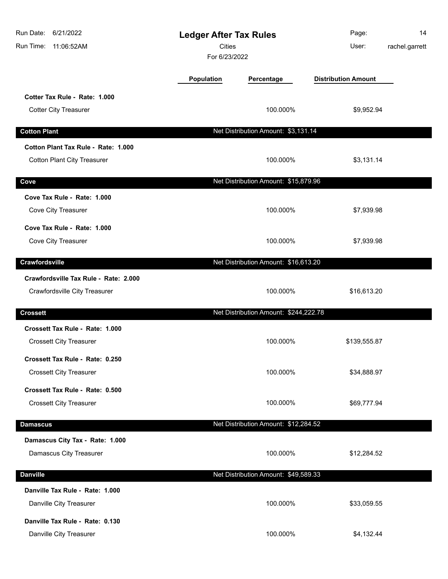| Run Date:<br>6/21/2022<br>Run Time: 11:06:52AM                            | <b>Ledger After Tax Rules</b><br><b>Cities</b><br>For 6/23/2022 |                                       | Page:<br>User:             | 14<br>rachel.garrett |
|---------------------------------------------------------------------------|-----------------------------------------------------------------|---------------------------------------|----------------------------|----------------------|
|                                                                           | Population                                                      | Percentage                            | <b>Distribution Amount</b> |                      |
| Cotter Tax Rule - Rate: 1.000<br><b>Cotter City Treasurer</b>             |                                                                 | 100.000%                              | \$9,952.94                 |                      |
| <b>Cotton Plant</b>                                                       |                                                                 | Net Distribution Amount: \$3,131.14   |                            |                      |
| Cotton Plant Tax Rule - Rate: 1.000<br><b>Cotton Plant City Treasurer</b> |                                                                 | 100.000%                              | \$3,131.14                 |                      |
| Cove                                                                      |                                                                 | Net Distribution Amount: \$15,879.96  |                            |                      |
| Cove Tax Rule - Rate: 1.000<br>Cove City Treasurer                        |                                                                 | 100.000%                              | \$7,939.98                 |                      |
| Cove Tax Rule - Rate: 1.000<br>Cove City Treasurer                        |                                                                 | 100.000%                              | \$7,939.98                 |                      |
| Crawfordsville                                                            |                                                                 | Net Distribution Amount: \$16,613.20  |                            |                      |
| Crawfordsville Tax Rule - Rate: 2.000<br>Crawfordsville City Treasurer    |                                                                 | 100.000%                              | \$16,613.20                |                      |
| <b>Crossett</b>                                                           |                                                                 | Net Distribution Amount: \$244,222.78 |                            |                      |
| Crossett Tax Rule - Rate: 1.000<br><b>Crossett City Treasurer</b>         |                                                                 | 100.000%                              | \$139,555.87               |                      |
| Crossett Tax Rule - Rate: 0.250<br><b>Crossett City Treasurer</b>         |                                                                 | 100.000%                              | \$34,888.97                |                      |
| Crossett Tax Rule - Rate: 0.500<br><b>Crossett City Treasurer</b>         |                                                                 | 100.000%                              | \$69,777.94                |                      |
| <b>Damascus</b>                                                           |                                                                 | Net Distribution Amount: \$12,284.52  |                            |                      |
| Damascus City Tax - Rate: 1.000<br>Damascus City Treasurer                |                                                                 | 100.000%                              | \$12,284.52                |                      |
| <b>Danville</b>                                                           |                                                                 | Net Distribution Amount: \$49,589.33  |                            |                      |
| Danville Tax Rule - Rate: 1.000<br>Danville City Treasurer                |                                                                 | 100.000%                              | \$33,059.55                |                      |
| Danville Tax Rule - Rate: 0.130<br>Danville City Treasurer                |                                                                 | 100.000%                              | \$4,132.44                 |                      |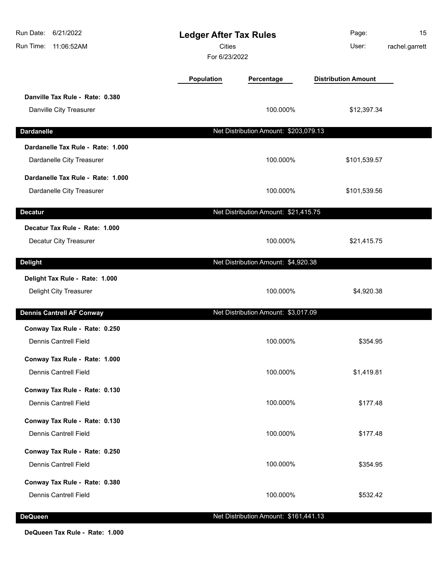| Run Date:<br>6/21/2022<br>Run Time: 11:06:52AM | <b>Ledger After Tax Rules</b><br><b>Cities</b><br>For 6/23/2022 |                                       | Page:<br>User:             | 15<br>rachel.garrett |
|------------------------------------------------|-----------------------------------------------------------------|---------------------------------------|----------------------------|----------------------|
|                                                | <b>Population</b>                                               | Percentage                            | <b>Distribution Amount</b> |                      |
| Danville Tax Rule - Rate: 0.380                |                                                                 |                                       |                            |                      |
| Danville City Treasurer                        |                                                                 | 100.000%                              | \$12,397.34                |                      |
| <b>Dardanelle</b>                              |                                                                 | Net Distribution Amount: \$203,079.13 |                            |                      |
| Dardanelle Tax Rule - Rate: 1.000              |                                                                 |                                       |                            |                      |
| Dardanelle City Treasurer                      |                                                                 | 100.000%                              | \$101,539.57               |                      |
| Dardanelle Tax Rule - Rate: 1.000              |                                                                 |                                       |                            |                      |
| Dardanelle City Treasurer                      |                                                                 | 100.000%                              | \$101,539.56               |                      |
| <b>Decatur</b>                                 |                                                                 | Net Distribution Amount: \$21,415.75  |                            |                      |
| Decatur Tax Rule - Rate: 1.000                 |                                                                 |                                       |                            |                      |
| Decatur City Treasurer                         |                                                                 | 100.000%                              | \$21,415.75                |                      |
| <b>Delight</b>                                 |                                                                 | Net Distribution Amount: \$4,920.38   |                            |                      |
| Delight Tax Rule - Rate: 1.000                 |                                                                 |                                       |                            |                      |
| Delight City Treasurer                         |                                                                 | 100.000%                              | \$4,920.38                 |                      |
| <b>Dennis Cantrell AF Conway</b>               |                                                                 | Net Distribution Amount: \$3,017.09   |                            |                      |
| Conway Tax Rule - Rate: 0.250                  |                                                                 |                                       |                            |                      |
| Dennis Cantrell Field                          |                                                                 | 100.000%                              | \$354.95                   |                      |
| Conway Tax Rule - Rate: 1.000                  |                                                                 |                                       |                            |                      |
| <b>Dennis Cantrell Field</b>                   |                                                                 | 100.000%                              | \$1,419.81                 |                      |
| Conway Tax Rule - Rate: 0.130                  |                                                                 |                                       |                            |                      |
| <b>Dennis Cantrell Field</b>                   |                                                                 | 100.000%                              | \$177.48                   |                      |
| Conway Tax Rule - Rate: 0.130                  |                                                                 |                                       |                            |                      |
| <b>Dennis Cantrell Field</b>                   |                                                                 | 100.000%                              | \$177.48                   |                      |
| Conway Tax Rule - Rate: 0.250                  |                                                                 |                                       |                            |                      |
| <b>Dennis Cantrell Field</b>                   |                                                                 | 100.000%                              | \$354.95                   |                      |
| Conway Tax Rule - Rate: 0.380                  |                                                                 |                                       |                            |                      |
| <b>Dennis Cantrell Field</b>                   |                                                                 | 100.000%                              | \$532.42                   |                      |
| <b>DeQueen</b>                                 |                                                                 | Net Distribution Amount: \$161,441.13 |                            |                      |

**DeQueen Tax Rule - Rate: 1.000**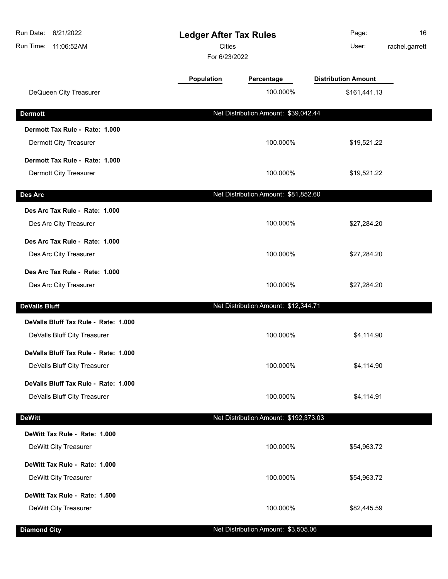| 6/21/2022<br>Run Date:<br>Run Time: 11:06:52AM | <b>Ledger After Tax Rules</b><br><b>Cities</b><br>For 6/23/2022 |                                       | Page:<br>User:             | 16<br>rachel.garrett |
|------------------------------------------------|-----------------------------------------------------------------|---------------------------------------|----------------------------|----------------------|
|                                                | Population                                                      | Percentage                            | <b>Distribution Amount</b> |                      |
| DeQueen City Treasurer                         |                                                                 | 100.000%                              | \$161,441.13               |                      |
| <b>Dermott</b>                                 |                                                                 | Net Distribution Amount: \$39,042.44  |                            |                      |
| Dermott Tax Rule - Rate: 1.000                 |                                                                 |                                       |                            |                      |
| Dermott City Treasurer                         |                                                                 | 100.000%                              | \$19,521.22                |                      |
| Dermott Tax Rule - Rate: 1.000                 |                                                                 |                                       |                            |                      |
| Dermott City Treasurer                         |                                                                 | 100.000%                              | \$19,521.22                |                      |
| Des Arc                                        |                                                                 | Net Distribution Amount: \$81,852.60  |                            |                      |
| Des Arc Tax Rule - Rate: 1.000                 |                                                                 |                                       |                            |                      |
| Des Arc City Treasurer                         |                                                                 | 100.000%                              | \$27,284.20                |                      |
| Des Arc Tax Rule - Rate: 1.000                 |                                                                 |                                       |                            |                      |
| Des Arc City Treasurer                         |                                                                 | 100.000%                              | \$27,284.20                |                      |
| Des Arc Tax Rule - Rate: 1.000                 |                                                                 |                                       |                            |                      |
| Des Arc City Treasurer                         |                                                                 | 100.000%                              | \$27,284.20                |                      |
| <b>DeValls Bluff</b>                           |                                                                 | Net Distribution Amount: \$12,344.71  |                            |                      |
| DeValls Bluff Tax Rule - Rate: 1.000           |                                                                 |                                       |                            |                      |
| DeValls Bluff City Treasurer                   |                                                                 | 100.000%                              | \$4,114.90                 |                      |
| DeValls Bluff Tax Rule - Rate: 1.000           |                                                                 |                                       |                            |                      |
| DeValls Bluff City Treasurer                   |                                                                 | 100.000%                              | \$4,114.90                 |                      |
| DeValls Bluff Tax Rule - Rate: 1.000           |                                                                 |                                       |                            |                      |
| DeValls Bluff City Treasurer                   |                                                                 | 100.000%                              | \$4,114.91                 |                      |
| <b>DeWitt</b>                                  |                                                                 | Net Distribution Amount: \$192,373.03 |                            |                      |
| DeWitt Tax Rule - Rate: 1.000                  |                                                                 |                                       |                            |                      |
| DeWitt City Treasurer                          |                                                                 | 100.000%                              | \$54,963.72                |                      |
| DeWitt Tax Rule - Rate: 1.000                  |                                                                 |                                       |                            |                      |
| DeWitt City Treasurer                          |                                                                 | 100.000%                              | \$54,963.72                |                      |
| DeWitt Tax Rule - Rate: 1.500                  |                                                                 |                                       |                            |                      |
| DeWitt City Treasurer                          |                                                                 | 100.000%                              | \$82,445.59                |                      |
| <b>Diamond City</b>                            |                                                                 | Net Distribution Amount: \$3,505.06   |                            |                      |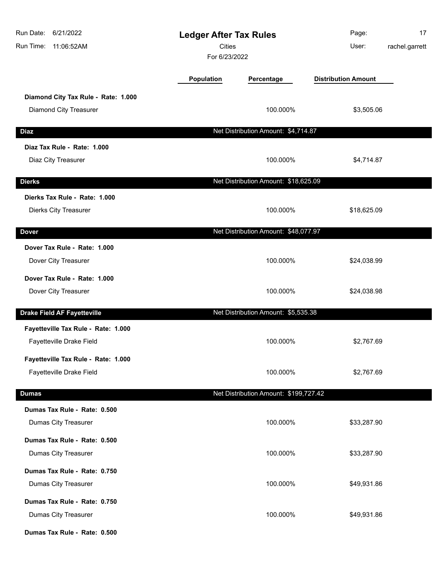| Run Date:<br>6/21/2022<br><b>Ledger After Tax Rules</b><br><b>Cities</b><br>11:06:52AM<br>Run Time:<br>For 6/23/2022 |                   |                                       | Page:<br>User:             | 17<br>rachel.garrett |
|----------------------------------------------------------------------------------------------------------------------|-------------------|---------------------------------------|----------------------------|----------------------|
|                                                                                                                      | <b>Population</b> | Percentage                            | <b>Distribution Amount</b> |                      |
| Diamond City Tax Rule - Rate: 1.000                                                                                  |                   |                                       |                            |                      |
| Diamond City Treasurer                                                                                               |                   | 100.000%                              | \$3,505.06                 |                      |
| <b>Diaz</b>                                                                                                          |                   | Net Distribution Amount: \$4,714.87   |                            |                      |
| Diaz Tax Rule - Rate: 1.000                                                                                          |                   |                                       |                            |                      |
| Diaz City Treasurer                                                                                                  |                   | 100.000%                              | \$4,714.87                 |                      |
| <b>Dierks</b>                                                                                                        |                   | Net Distribution Amount: \$18,625.09  |                            |                      |
| Dierks Tax Rule - Rate: 1.000                                                                                        |                   |                                       |                            |                      |
| Dierks City Treasurer                                                                                                |                   | 100.000%                              | \$18,625.09                |                      |
| <b>Dover</b>                                                                                                         |                   | Net Distribution Amount: \$48,077.97  |                            |                      |
| Dover Tax Rule - Rate: 1.000                                                                                         |                   |                                       |                            |                      |
| Dover City Treasurer                                                                                                 |                   | 100.000%                              | \$24,038.99                |                      |
| Dover Tax Rule - Rate: 1.000                                                                                         |                   |                                       |                            |                      |
| Dover City Treasurer                                                                                                 |                   | 100.000%                              | \$24,038.98                |                      |
| <b>Drake Field AF Fayetteville</b>                                                                                   |                   | Net Distribution Amount: \$5,535.38   |                            |                      |
| Fayetteville Tax Rule - Rate: 1.000                                                                                  |                   |                                       |                            |                      |
| Fayetteville Drake Field                                                                                             |                   | 100.000%                              | \$2,767.69                 |                      |
| Fayetteville Tax Rule - Rate: 1.000                                                                                  |                   |                                       |                            |                      |
| Fayetteville Drake Field                                                                                             |                   | 100.000%                              | \$2,767.69                 |                      |
| <b>Dumas</b>                                                                                                         |                   | Net Distribution Amount: \$199,727.42 |                            |                      |
| Dumas Tax Rule - Rate: 0.500                                                                                         |                   |                                       |                            |                      |
| Dumas City Treasurer                                                                                                 |                   | 100.000%                              | \$33,287.90                |                      |
| Dumas Tax Rule - Rate: 0.500                                                                                         |                   |                                       |                            |                      |
| Dumas City Treasurer                                                                                                 |                   | 100.000%                              | \$33,287.90                |                      |
| Dumas Tax Rule - Rate: 0.750                                                                                         |                   |                                       |                            |                      |
| Dumas City Treasurer                                                                                                 |                   | 100.000%                              | \$49,931.86                |                      |
| Dumas Tax Rule - Rate: 0.750                                                                                         |                   |                                       |                            |                      |
| Dumas City Treasurer                                                                                                 |                   | 100.000%                              | \$49,931.86                |                      |
| Dumas Tax Rule - Rate: 0.500                                                                                         |                   |                                       |                            |                      |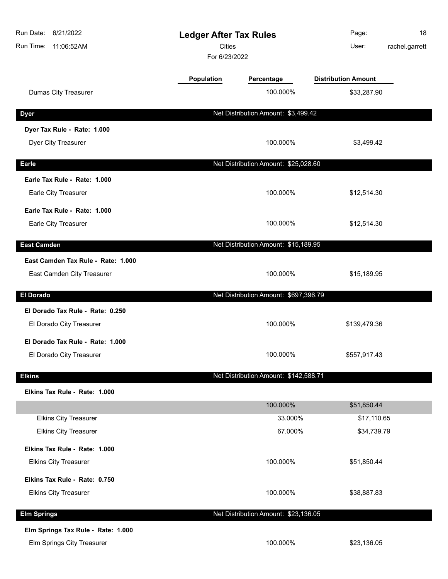| Run Date:<br>6/21/2022<br>Run Time: 11:06:52AM | <b>Ledger After Tax Rules</b><br><b>Cities</b><br>For 6/23/2022 |                                       | Page:<br>User:             | 18<br>rachel.garrett |
|------------------------------------------------|-----------------------------------------------------------------|---------------------------------------|----------------------------|----------------------|
|                                                | Population                                                      | Percentage                            | <b>Distribution Amount</b> |                      |
| Dumas City Treasurer                           |                                                                 | 100.000%                              | \$33,287.90                |                      |
| <b>Dyer</b>                                    |                                                                 | Net Distribution Amount: \$3,499.42   |                            |                      |
| Dyer Tax Rule - Rate: 1.000                    |                                                                 |                                       |                            |                      |
| Dyer City Treasurer                            |                                                                 | 100.000%                              | \$3,499.42                 |                      |
| <b>Earle</b>                                   |                                                                 | Net Distribution Amount: \$25,028.60  |                            |                      |
| Earle Tax Rule - Rate: 1.000                   |                                                                 |                                       |                            |                      |
| Earle City Treasurer                           |                                                                 | 100.000%                              | \$12,514.30                |                      |
| Earle Tax Rule - Rate: 1.000                   |                                                                 |                                       |                            |                      |
| Earle City Treasurer                           |                                                                 | 100.000%                              | \$12,514.30                |                      |
| <b>East Camden</b>                             |                                                                 | Net Distribution Amount: \$15,189.95  |                            |                      |
| East Camden Tax Rule - Rate: 1.000             |                                                                 |                                       |                            |                      |
| East Camden City Treasurer                     |                                                                 | 100.000%                              | \$15,189.95                |                      |
| <b>El Dorado</b>                               |                                                                 | Net Distribution Amount: \$697,396.79 |                            |                      |
| El Dorado Tax Rule - Rate: 0.250               |                                                                 |                                       |                            |                      |
| El Dorado City Treasurer                       |                                                                 | 100.000%                              | \$139,479.36               |                      |
| El Dorado Tax Rule - Rate: 1.000               |                                                                 |                                       |                            |                      |
| El Dorado City Treasurer                       |                                                                 | 100.000%                              | \$557,917.43               |                      |
| <b>Elkins</b>                                  |                                                                 | Net Distribution Amount: \$142,588.71 |                            |                      |
| Elkins Tax Rule - Rate: 1.000                  |                                                                 |                                       |                            |                      |
|                                                |                                                                 | 100.000%                              | \$51,850.44                |                      |
| <b>Elkins City Treasurer</b>                   |                                                                 | 33.000%                               | \$17,110.65                |                      |
| <b>Elkins City Treasurer</b>                   |                                                                 | 67.000%                               | \$34,739.79                |                      |
| Elkins Tax Rule - Rate: 1.000                  |                                                                 |                                       |                            |                      |
| <b>Elkins City Treasurer</b>                   |                                                                 | 100.000%                              | \$51,850.44                |                      |
| Elkins Tax Rule - Rate: 0.750                  |                                                                 |                                       |                            |                      |
| <b>Elkins City Treasurer</b>                   |                                                                 | 100.000%                              | \$38,887.83                |                      |
| <b>Elm Springs</b>                             |                                                                 | Net Distribution Amount: \$23,136.05  |                            |                      |
| Elm Springs Tax Rule - Rate: 1.000             |                                                                 |                                       |                            |                      |
| Elm Springs City Treasurer                     |                                                                 | 100.000%                              | \$23,136.05                |                      |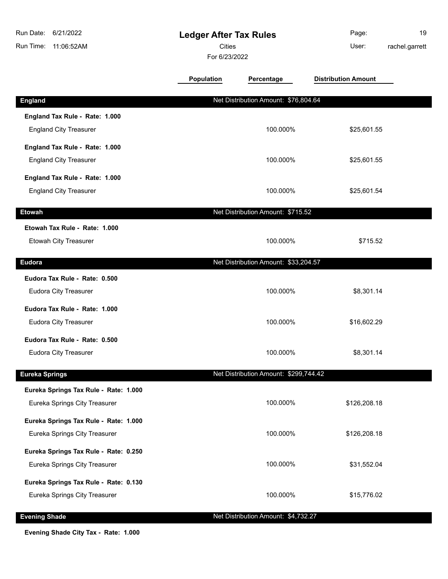| Run Date:<br>6/21/2022<br>Run Time:<br>11:06:52AM | <b>Ledger After Tax Rules</b><br><b>Cities</b><br>For 6/23/2022 |                                       | Page:<br>User:             | 19<br>rachel.garrett |
|---------------------------------------------------|-----------------------------------------------------------------|---------------------------------------|----------------------------|----------------------|
|                                                   | <b>Population</b>                                               | Percentage                            | <b>Distribution Amount</b> |                      |
| <b>England</b>                                    |                                                                 | Net Distribution Amount: \$76,804.64  |                            |                      |
| England Tax Rule - Rate: 1.000                    |                                                                 |                                       |                            |                      |
| <b>England City Treasurer</b>                     |                                                                 | 100.000%                              | \$25,601.55                |                      |
| England Tax Rule - Rate: 1.000                    |                                                                 |                                       |                            |                      |
| <b>England City Treasurer</b>                     |                                                                 | 100.000%                              | \$25,601.55                |                      |
| England Tax Rule - Rate: 1.000                    |                                                                 |                                       |                            |                      |
| <b>England City Treasurer</b>                     |                                                                 | 100.000%                              | \$25,601.54                |                      |
| <b>Etowah</b>                                     |                                                                 | Net Distribution Amount: \$715.52     |                            |                      |
| Etowah Tax Rule - Rate: 1.000                     |                                                                 |                                       |                            |                      |
| Etowah City Treasurer                             |                                                                 | 100.000%                              | \$715.52                   |                      |
| <b>Eudora</b>                                     |                                                                 | Net Distribution Amount: \$33,204.57  |                            |                      |
| Eudora Tax Rule - Rate: 0.500                     |                                                                 |                                       |                            |                      |
| <b>Eudora City Treasurer</b>                      |                                                                 | 100.000%                              | \$8,301.14                 |                      |
| Eudora Tax Rule - Rate: 1.000                     |                                                                 |                                       |                            |                      |
| <b>Eudora City Treasurer</b>                      |                                                                 | 100.000%                              | \$16,602.29                |                      |
| Eudora Tax Rule - Rate: 0.500                     |                                                                 |                                       |                            |                      |
| <b>Eudora City Treasurer</b>                      |                                                                 | 100.000%                              | \$8,301.14                 |                      |
|                                                   |                                                                 |                                       |                            |                      |
| <b>Eureka Springs</b>                             |                                                                 | Net Distribution Amount: \$299,744.42 |                            |                      |
| Eureka Springs Tax Rule - Rate: 1.000             |                                                                 | 100.000%                              |                            |                      |
| Eureka Springs City Treasurer                     |                                                                 |                                       | \$126,208.18               |                      |
| Eureka Springs Tax Rule - Rate: 1.000             |                                                                 |                                       |                            |                      |
| Eureka Springs City Treasurer                     |                                                                 | 100.000%                              | \$126,208.18               |                      |
| Eureka Springs Tax Rule - Rate: 0.250             |                                                                 |                                       |                            |                      |
| Eureka Springs City Treasurer                     |                                                                 | 100.000%                              | \$31,552.04                |                      |
| Eureka Springs Tax Rule - Rate: 0.130             |                                                                 |                                       |                            |                      |
| Eureka Springs City Treasurer                     |                                                                 | 100.000%                              | \$15,776.02                |                      |
| <b>Evening Shade</b>                              |                                                                 | Net Distribution Amount: \$4,732.27   |                            |                      |

**Evening Shade City Tax - Rate: 1.000**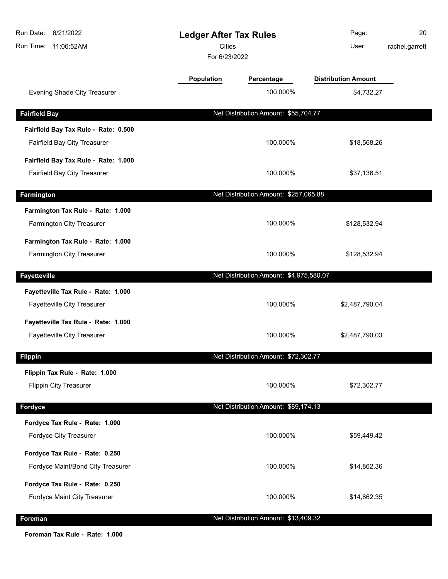| Run Date:<br>6/21/2022<br>Run Time: 11:06:52AM           | <b>Ledger After Tax Rules</b><br>Cities<br>For 6/23/2022 |                                         | Page:<br>User:             | 20<br>rachel.garrett |
|----------------------------------------------------------|----------------------------------------------------------|-----------------------------------------|----------------------------|----------------------|
|                                                          | <b>Population</b>                                        | Percentage                              | <b>Distribution Amount</b> |                      |
| Evening Shade City Treasurer                             |                                                          | 100.000%                                | \$4,732.27                 |                      |
| <b>Fairfield Bay</b>                                     |                                                          | Net Distribution Amount: \$55,704.77    |                            |                      |
| Fairfield Bay Tax Rule - Rate: 0.500                     |                                                          |                                         |                            |                      |
| Fairfield Bay City Treasurer                             |                                                          | 100.000%                                | \$18,568.26                |                      |
| Fairfield Bay Tax Rule - Rate: 1.000                     |                                                          |                                         |                            |                      |
| Fairfield Bay City Treasurer                             |                                                          | 100.000%                                | \$37,136.51                |                      |
| Farmington                                               |                                                          | Net Distribution Amount: \$257,065.88   |                            |                      |
| Farmington Tax Rule - Rate: 1.000                        |                                                          |                                         |                            |                      |
| Farmington City Treasurer                                |                                                          | 100.000%                                | \$128,532.94               |                      |
| Farmington Tax Rule - Rate: 1.000                        |                                                          |                                         |                            |                      |
| Farmington City Treasurer                                |                                                          | 100.000%                                | \$128,532.94               |                      |
| <b>Fayetteville</b>                                      |                                                          | Net Distribution Amount: \$4,975,580.07 |                            |                      |
| Fayetteville Tax Rule - Rate: 1.000                      |                                                          |                                         |                            |                      |
| Fayetteville City Treasurer                              |                                                          | 100.000%                                | \$2,487,790.04             |                      |
| Fayetteville Tax Rule - Rate: 1.000                      |                                                          |                                         |                            |                      |
| Fayetteville City Treasurer                              |                                                          | 100.000%                                | \$2,487,790.03             |                      |
| <b>Flippin</b>                                           |                                                          | Net Distribution Amount: \$72,302.77    |                            |                      |
| Flippin Tax Rule - Rate: 1.000                           |                                                          |                                         |                            |                      |
| <b>Flippin City Treasurer</b>                            |                                                          | 100.000%                                | \$72,302.77                |                      |
|                                                          |                                                          |                                         |                            |                      |
| Fordyce                                                  |                                                          | Net Distribution Amount: \$89,174.13    |                            |                      |
| Fordyce Tax Rule - Rate: 1.000<br>Fordyce City Treasurer |                                                          | 100.000%                                | \$59,449.42                |                      |
|                                                          |                                                          |                                         |                            |                      |
| Fordyce Tax Rule - Rate: 0.250                           |                                                          |                                         |                            |                      |
| Fordyce Maint/Bond City Treasurer                        |                                                          | 100.000%                                | \$14,862.36                |                      |
| Fordyce Tax Rule - Rate: 0.250                           |                                                          |                                         |                            |                      |
| Fordyce Maint City Treasurer                             |                                                          | 100.000%                                | \$14,862.35                |                      |
| Foreman                                                  |                                                          | Net Distribution Amount: \$13,409.32    |                            |                      |

**Foreman Tax Rule - Rate: 1.000**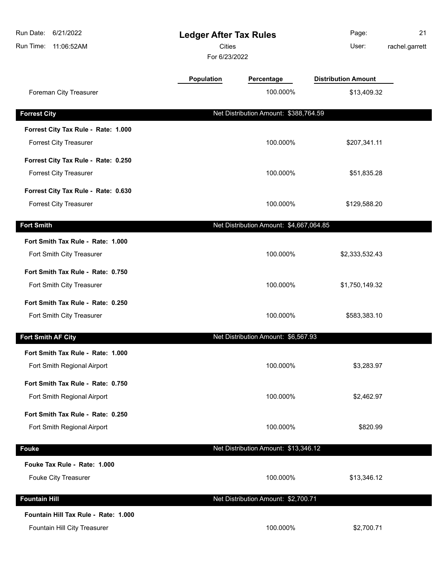| Run Date: 6/21/2022<br>Run Time: 11:06:52AM | <b>Ledger After Tax Rules</b><br><b>Cities</b><br>For 6/23/2022 |                                         | Page:<br>User:             | 21<br>rachel.garrett |
|---------------------------------------------|-----------------------------------------------------------------|-----------------------------------------|----------------------------|----------------------|
|                                             | <b>Population</b>                                               | Percentage                              | <b>Distribution Amount</b> |                      |
| Foreman City Treasurer                      |                                                                 | 100.000%                                | \$13,409.32                |                      |
| <b>Forrest City</b>                         |                                                                 | Net Distribution Amount: \$388,764.59   |                            |                      |
| Forrest City Tax Rule - Rate: 1.000         |                                                                 |                                         |                            |                      |
| <b>Forrest City Treasurer</b>               |                                                                 | 100.000%                                | \$207,341.11               |                      |
| Forrest City Tax Rule - Rate: 0.250         |                                                                 |                                         |                            |                      |
| <b>Forrest City Treasurer</b>               |                                                                 | 100.000%                                | \$51,835.28                |                      |
| Forrest City Tax Rule - Rate: 0.630         |                                                                 |                                         |                            |                      |
| <b>Forrest City Treasurer</b>               |                                                                 | 100.000%                                | \$129,588.20               |                      |
| <b>Fort Smith</b>                           |                                                                 | Net Distribution Amount: \$4,667,064.85 |                            |                      |
| Fort Smith Tax Rule - Rate: 1.000           |                                                                 |                                         |                            |                      |
| Fort Smith City Treasurer                   |                                                                 | 100.000%                                | \$2,333,532.43             |                      |
| Fort Smith Tax Rule - Rate: 0.750           |                                                                 |                                         |                            |                      |
| Fort Smith City Treasurer                   |                                                                 | 100.000%                                | \$1,750,149.32             |                      |
| Fort Smith Tax Rule - Rate: 0.250           |                                                                 |                                         |                            |                      |
| Fort Smith City Treasurer                   |                                                                 | 100.000%                                | \$583,383.10               |                      |
| Fort Smith AF City                          |                                                                 | Net Distribution Amount: \$6,567.93     |                            |                      |
| Fort Smith Tax Rule - Rate: 1.000           |                                                                 |                                         |                            |                      |
| Fort Smith Regional Airport                 |                                                                 | 100.000%                                | \$3,283.97                 |                      |
| Fort Smith Tax Rule - Rate: 0.750           |                                                                 |                                         |                            |                      |
| Fort Smith Regional Airport                 |                                                                 | 100.000%                                | \$2,462.97                 |                      |
| Fort Smith Tax Rule - Rate: 0.250           |                                                                 |                                         |                            |                      |
| Fort Smith Regional Airport                 |                                                                 | 100.000%                                | \$820.99                   |                      |
| <b>Fouke</b>                                |                                                                 | Net Distribution Amount: \$13,346.12    |                            |                      |
| Fouke Tax Rule - Rate: 1.000                |                                                                 |                                         |                            |                      |
| Fouke City Treasurer                        |                                                                 | 100.000%                                | \$13,346.12                |                      |
| <b>Fountain Hill</b>                        |                                                                 | Net Distribution Amount: \$2,700.71     |                            |                      |
| Fountain Hill Tax Rule - Rate: 1.000        |                                                                 |                                         |                            |                      |
| Fountain Hill City Treasurer                |                                                                 | 100.000%                                | \$2,700.71                 |                      |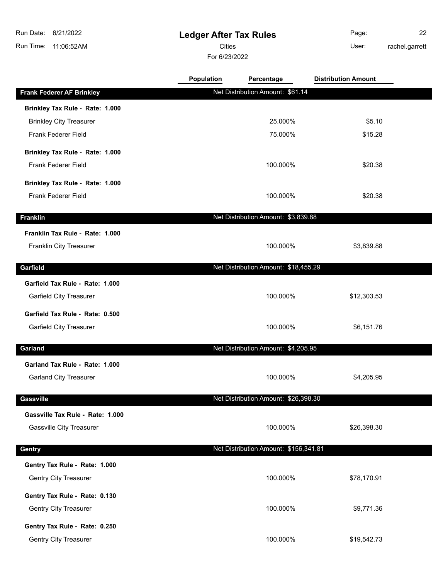## **Ledger After Tax Rules**

Cities User:

For 6/23/2022

Page: 22 rachel.garrett

|                                  | Population | Percentage                            | <b>Distribution Amount</b> |  |
|----------------------------------|------------|---------------------------------------|----------------------------|--|
| <b>Frank Federer AF Brinkley</b> |            | Net Distribution Amount: \$61.14      |                            |  |
| Brinkley Tax Rule - Rate: 1.000  |            |                                       |                            |  |
| <b>Brinkley City Treasurer</b>   |            | 25.000%                               | \$5.10                     |  |
| Frank Federer Field              |            | 75.000%                               | \$15.28                    |  |
| Brinkley Tax Rule - Rate: 1.000  |            |                                       |                            |  |
| <b>Frank Federer Field</b>       |            | 100.000%                              | \$20.38                    |  |
| Brinkley Tax Rule - Rate: 1.000  |            |                                       |                            |  |
| Frank Federer Field              |            | 100.000%                              | \$20.38                    |  |
| <b>Franklin</b>                  |            | Net Distribution Amount: \$3,839.88   |                            |  |
| Franklin Tax Rule - Rate: 1.000  |            |                                       |                            |  |
| <b>Franklin City Treasurer</b>   |            | 100.000%                              | \$3,839.88                 |  |
| Garfield                         |            | Net Distribution Amount: \$18,455.29  |                            |  |
| Garfield Tax Rule - Rate: 1.000  |            |                                       |                            |  |
| <b>Garfield City Treasurer</b>   |            | 100.000%                              | \$12,303.53                |  |
| Garfield Tax Rule - Rate: 0.500  |            |                                       |                            |  |
| <b>Garfield City Treasurer</b>   |            | 100.000%                              | \$6,151.76                 |  |
| Garland                          |            | Net Distribution Amount: \$4,205.95   |                            |  |
| Garland Tax Rule - Rate: 1.000   |            |                                       |                            |  |
| <b>Garland City Treasurer</b>    |            | 100.000%                              | \$4,205.95                 |  |
| <b>Gassville</b>                 |            | Net Distribution Amount: \$26,398.30  |                            |  |
| Gassville Tax Rule - Rate: 1.000 |            |                                       |                            |  |
| <b>Gassville City Treasurer</b>  |            | 100.000%                              | \$26,398.30                |  |
| Gentry                           |            | Net Distribution Amount: \$156,341.81 |                            |  |
| Gentry Tax Rule - Rate: 1.000    |            |                                       |                            |  |
| Gentry City Treasurer            |            | 100.000%                              | \$78,170.91                |  |
|                                  |            |                                       |                            |  |
| Gentry Tax Rule - Rate: 0.130    |            |                                       |                            |  |
| <b>Gentry City Treasurer</b>     |            | 100.000%                              | \$9,771.36                 |  |
| Gentry Tax Rule - Rate: 0.250    |            |                                       |                            |  |
| <b>Gentry City Treasurer</b>     |            | 100.000%                              | \$19,542.73                |  |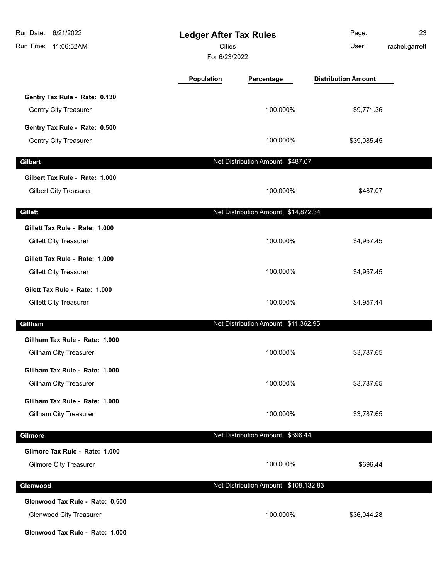| Run Date:<br>6/21/2022<br>Run Time:<br>11:06:52AM                                                    |            | <b>Ledger After Tax Rules</b><br>Cities<br>For 6/23/2022 |                            | 23<br>rachel.garrett |
|------------------------------------------------------------------------------------------------------|------------|----------------------------------------------------------|----------------------------|----------------------|
|                                                                                                      | Population | Percentage                                               | <b>Distribution Amount</b> |                      |
| Gentry Tax Rule - Rate: 0.130<br><b>Gentry City Treasurer</b>                                        |            | 100.000%                                                 | \$9,771.36                 |                      |
| Gentry Tax Rule - Rate: 0.500<br>Gentry City Treasurer                                               |            | 100.000%                                                 | \$39,085.45                |                      |
| <b>Gilbert</b>                                                                                       |            | Net Distribution Amount: \$487.07                        |                            |                      |
| Gilbert Tax Rule - Rate: 1.000<br><b>Gilbert City Treasurer</b>                                      |            | 100.000%                                                 | \$487.07                   |                      |
| <b>Gillett</b>                                                                                       |            | Net Distribution Amount: \$14,872.34                     |                            |                      |
| Gillett Tax Rule - Rate: 1.000<br><b>Gillett City Treasurer</b>                                      |            | 100.000%                                                 | \$4,957.45                 |                      |
| Gillett Tax Rule - Rate: 1.000<br><b>Gillett City Treasurer</b>                                      |            | 100.000%                                                 | \$4,957.45                 |                      |
| Gilett Tax Rule - Rate: 1.000<br><b>Gillett City Treasurer</b>                                       |            | 100.000%                                                 | \$4,957.44                 |                      |
| Gillham                                                                                              |            | Net Distribution Amount: \$11,362.95                     |                            |                      |
| Gillham Tax Rule - Rate: 1.000<br><b>Gillham City Treasurer</b>                                      |            | 100.000%                                                 | \$3,787.65                 |                      |
| Gillham Tax Rule - Rate: 1.000<br><b>Gillham City Treasurer</b>                                      |            | 100.000%                                                 | \$3,787.65                 |                      |
| Gillham Tax Rule - Rate: 1.000<br>Gillham City Treasurer                                             |            | 100.000%                                                 | \$3,787.65                 |                      |
| Gilmore                                                                                              |            | Net Distribution Amount: \$696.44                        |                            |                      |
| Gilmore Tax Rule - Rate: 1.000<br><b>Gilmore City Treasurer</b>                                      |            | 100.000%                                                 | \$696.44                   |                      |
| Glenwood                                                                                             |            | Net Distribution Amount: \$108,132.83                    |                            |                      |
| Glenwood Tax Rule - Rate: 0.500<br><b>Glenwood City Treasurer</b><br>Glenwood Tax Rule - Rate: 1.000 |            | 100.000%                                                 | \$36,044.28                |                      |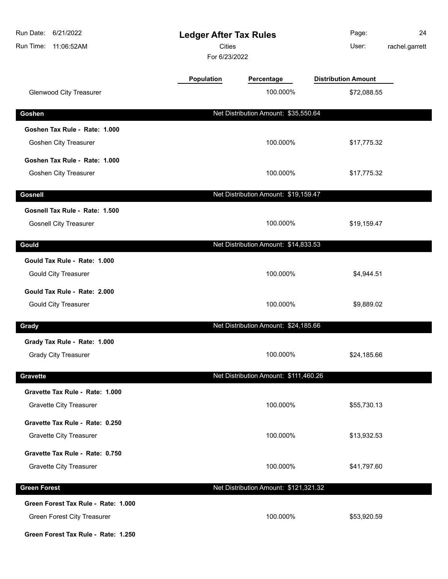| Run Date:<br>6/21/2022<br>Run Time:<br>11:06:52AM                  | <b>Ledger After Tax Rules</b><br><b>Cities</b><br>For 6/23/2022 |                                       | Page:<br>User:             | 24<br>rachel.garrett |
|--------------------------------------------------------------------|-----------------------------------------------------------------|---------------------------------------|----------------------------|----------------------|
|                                                                    | Population                                                      | Percentage                            | <b>Distribution Amount</b> |                      |
| <b>Glenwood City Treasurer</b>                                     |                                                                 | 100.000%                              | \$72,088.55                |                      |
| Goshen                                                             |                                                                 | Net Distribution Amount: \$35,550.64  |                            |                      |
| Goshen Tax Rule - Rate: 1.000                                      |                                                                 |                                       |                            |                      |
| Goshen City Treasurer                                              |                                                                 | 100.000%                              | \$17,775.32                |                      |
| Goshen Tax Rule - Rate: 1.000                                      |                                                                 |                                       |                            |                      |
| Goshen City Treasurer                                              |                                                                 | 100.000%                              | \$17,775.32                |                      |
| Gosnell                                                            |                                                                 | Net Distribution Amount: \$19,159.47  |                            |                      |
| Gosnell Tax Rule - Rate: 1.500                                     |                                                                 |                                       |                            |                      |
| <b>Gosnell City Treasurer</b>                                      |                                                                 | 100.000%                              | \$19,159.47                |                      |
| Gould                                                              |                                                                 | Net Distribution Amount: \$14,833.53  |                            |                      |
| Gould Tax Rule - Rate: 1.000                                       |                                                                 |                                       |                            |                      |
| <b>Gould City Treasurer</b>                                        |                                                                 | 100.000%                              | \$4,944.51                 |                      |
| Gould Tax Rule - Rate: 2.000                                       |                                                                 |                                       |                            |                      |
| <b>Gould City Treasurer</b>                                        |                                                                 | 100.000%                              | \$9,889.02                 |                      |
| Grady                                                              |                                                                 | Net Distribution Amount: \$24,185.66  |                            |                      |
| Grady Tax Rule - Rate: 1.000                                       |                                                                 |                                       |                            |                      |
| <b>Grady City Treasurer</b>                                        |                                                                 | 100.000%                              | \$24,185.66                |                      |
|                                                                    |                                                                 |                                       |                            |                      |
| <b>Gravette</b>                                                    |                                                                 | Net Distribution Amount: \$111,460.26 |                            |                      |
| Gravette Tax Rule - Rate: 1.000<br><b>Gravette City Treasurer</b>  |                                                                 | 100.000%                              | \$55,730.13                |                      |
| Gravette Tax Rule - Rate: 0.250                                    |                                                                 |                                       |                            |                      |
| <b>Gravette City Treasurer</b>                                     |                                                                 | 100.000%                              | \$13,932.53                |                      |
| Gravette Tax Rule - Rate: 0.750                                    |                                                                 |                                       |                            |                      |
| <b>Gravette City Treasurer</b>                                     |                                                                 | 100.000%                              | \$41,797.60                |                      |
|                                                                    |                                                                 |                                       |                            |                      |
| <b>Green Forest</b>                                                |                                                                 | Net Distribution Amount: \$121,321.32 |                            |                      |
| Green Forest Tax Rule - Rate: 1.000<br>Green Forest City Treasurer |                                                                 | 100.000%                              | \$53,920.59                |                      |
| Green Forest Tax Rule - Rate: 1.250                                |                                                                 |                                       |                            |                      |
|                                                                    |                                                                 |                                       |                            |                      |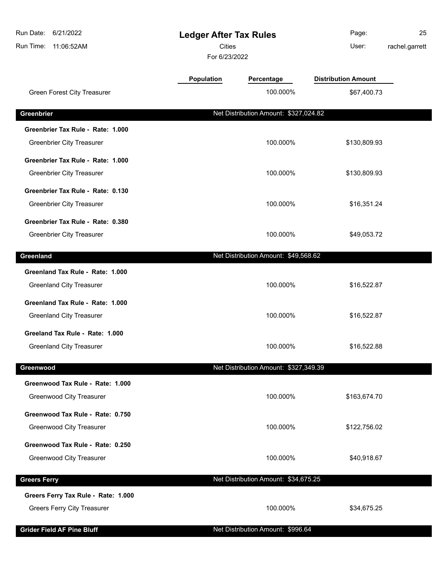| Run Date:<br>6/21/2022              |                                | <b>Ledger After Tax Rules</b>         | Page:                      | 25             |
|-------------------------------------|--------------------------------|---------------------------------------|----------------------------|----------------|
| Run Time:<br>11:06:52AM             | <b>Cities</b><br>For 6/23/2022 |                                       | User:                      | rachel.garrett |
|                                     | Population                     | Percentage                            | <b>Distribution Amount</b> |                |
| Green Forest City Treasurer         |                                | 100.000%                              | \$67,400.73                |                |
| Greenbrier                          |                                | Net Distribution Amount: \$327,024.82 |                            |                |
| Greenbrier Tax Rule - Rate: 1.000   |                                |                                       |                            |                |
| <b>Greenbrier City Treasurer</b>    |                                | 100.000%                              | \$130,809.93               |                |
| Greenbrier Tax Rule - Rate: 1.000   |                                |                                       |                            |                |
| <b>Greenbrier City Treasurer</b>    |                                | 100.000%                              | \$130,809.93               |                |
| Greenbrier Tax Rule - Rate: 0.130   |                                |                                       |                            |                |
| Greenbrier City Treasurer           |                                | 100.000%                              | \$16,351.24                |                |
| Greenbrier Tax Rule - Rate: 0.380   |                                |                                       |                            |                |
| <b>Greenbrier City Treasurer</b>    |                                | 100.000%                              | \$49,053.72                |                |
|                                     |                                |                                       |                            |                |
| Greenland                           |                                | Net Distribution Amount: \$49,568.62  |                            |                |
| Greenland Tax Rule - Rate: 1.000    |                                |                                       |                            |                |
| <b>Greenland City Treasurer</b>     |                                | 100.000%                              | \$16,522.87                |                |
| Greenland Tax Rule - Rate: 1.000    |                                |                                       |                            |                |
| <b>Greenland City Treasurer</b>     |                                | 100.000%                              | \$16,522.87                |                |
| Greeland Tax Rule - Rate: 1.000     |                                |                                       |                            |                |
| <b>Greenland City Treasurer</b>     |                                | 100.000%                              | \$16,522.88                |                |
| Greenwood                           |                                | Net Distribution Amount: \$327,349.39 |                            |                |
| Greenwood Tax Rule - Rate: 1.000    |                                |                                       |                            |                |
| <b>Greenwood City Treasurer</b>     |                                | 100.000%                              | \$163,674.70               |                |
| Greenwood Tax Rule - Rate: 0.750    |                                |                                       |                            |                |
| <b>Greenwood City Treasurer</b>     |                                | 100.000%                              | \$122,756.02               |                |
| Greenwood Tax Rule - Rate: 0.250    |                                |                                       |                            |                |
| <b>Greenwood City Treasurer</b>     |                                | 100.000%                              | \$40,918.67                |                |
|                                     |                                |                                       |                            |                |
| <b>Greers Ferry</b>                 |                                | Net Distribution Amount: \$34,675.25  |                            |                |
| Greers Ferry Tax Rule - Rate: 1.000 |                                |                                       |                            |                |
| <b>Greers Ferry City Treasurer</b>  |                                | 100.000%                              | \$34,675.25                |                |
| <b>Grider Field AF Pine Bluff</b>   |                                | Net Distribution Amount: \$996.64     |                            |                |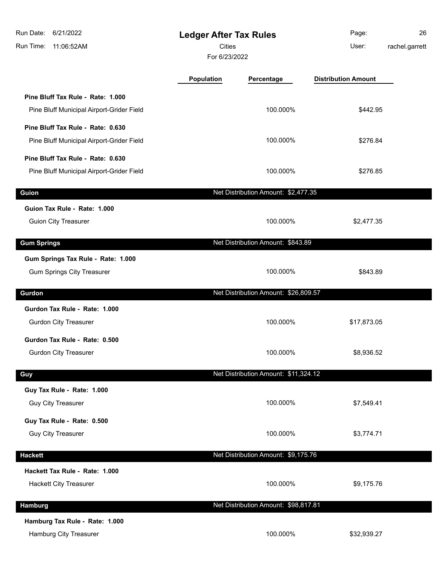| Run Date:<br>6/21/2022<br>Run Time:<br>11:06:52AM                              | <b>Ledger After Tax Rules</b><br>Cities<br>For 6/23/2022 |                                      | Page:<br>User:             | 26<br>rachel.garrett |
|--------------------------------------------------------------------------------|----------------------------------------------------------|--------------------------------------|----------------------------|----------------------|
|                                                                                | Population                                               | Percentage                           | <b>Distribution Amount</b> |                      |
| Pine Bluff Tax Rule - Rate: 1.000<br>Pine Bluff Municipal Airport-Grider Field |                                                          | 100.000%                             | \$442.95                   |                      |
| Pine Bluff Tax Rule - Rate: 0.630<br>Pine Bluff Municipal Airport-Grider Field |                                                          | 100.000%                             | \$276.84                   |                      |
| Pine Bluff Tax Rule - Rate: 0.630<br>Pine Bluff Municipal Airport-Grider Field |                                                          | 100.000%                             | \$276.85                   |                      |
| Guion                                                                          |                                                          | Net Distribution Amount: \$2,477.35  |                            |                      |
| Guion Tax Rule - Rate: 1.000<br><b>Guion City Treasurer</b>                    |                                                          | 100.000%                             | \$2,477.35                 |                      |
| <b>Gum Springs</b>                                                             |                                                          | Net Distribution Amount: \$843.89    |                            |                      |
| Gum Springs Tax Rule - Rate: 1.000<br><b>Gum Springs City Treasurer</b>        |                                                          | 100.000%                             | \$843.89                   |                      |
| Gurdon                                                                         |                                                          | Net Distribution Amount: \$26,809.57 |                            |                      |
| Gurdon Tax Rule - Rate: 1.000<br><b>Gurdon City Treasurer</b>                  |                                                          | 100.000%                             | \$17,873.05                |                      |
| Gurdon Tax Rule - Rate: 0.500<br><b>Gurdon City Treasurer</b>                  |                                                          | 100.000%                             | \$8,936.52                 |                      |
| Guy                                                                            |                                                          | Net Distribution Amount: \$11,324.12 |                            |                      |
| Guy Tax Rule - Rate: 1.000<br><b>Guy City Treasurer</b>                        |                                                          | 100.000%                             | \$7,549.41                 |                      |
| Guy Tax Rule - Rate: 0.500<br><b>Guy City Treasurer</b>                        |                                                          | 100.000%                             | \$3,774.71                 |                      |
| <b>Hackett</b>                                                                 |                                                          | Net Distribution Amount: \$9,175.76  |                            |                      |
| Hackett Tax Rule - Rate: 1.000<br>Hackett City Treasurer                       |                                                          | 100.000%                             | \$9,175.76                 |                      |
| Hamburg                                                                        |                                                          | Net Distribution Amount: \$98,817.81 |                            |                      |
| Hamburg Tax Rule - Rate: 1.000<br>Hamburg City Treasurer                       |                                                          | 100.000%                             | \$32,939.27                |                      |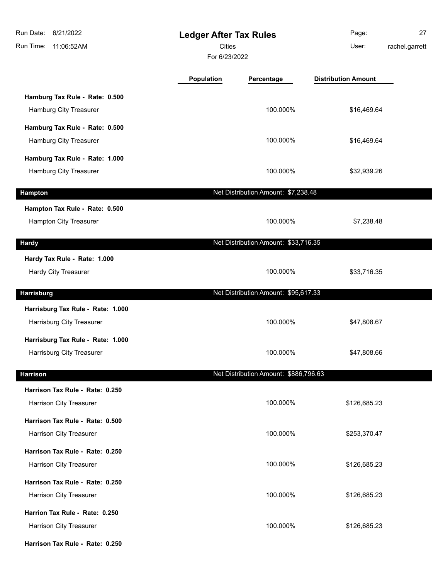| Run Date: 6/21/2022<br>Run Time: 11:06:52AM                     | <b>Ledger After Tax Rules</b><br>Cities<br>For 6/23/2022 |                                       | Page:<br>User:             | 27<br>rachel.garrett |
|-----------------------------------------------------------------|----------------------------------------------------------|---------------------------------------|----------------------------|----------------------|
|                                                                 | <b>Population</b>                                        | Percentage                            | <b>Distribution Amount</b> |                      |
| Hamburg Tax Rule - Rate: 0.500<br>Hamburg City Treasurer        |                                                          | 100.000%                              | \$16,469.64                |                      |
| Hamburg Tax Rule - Rate: 0.500<br>Hamburg City Treasurer        |                                                          | 100.000%                              | \$16,469.64                |                      |
| Hamburg Tax Rule - Rate: 1.000<br>Hamburg City Treasurer        |                                                          | 100.000%                              | \$32,939.26                |                      |
| Hampton                                                         |                                                          | Net Distribution Amount: \$7,238.48   |                            |                      |
| Hampton Tax Rule - Rate: 0.500<br><b>Hampton City Treasurer</b> |                                                          | 100.000%                              | \$7,238.48                 |                      |
| <b>Hardy</b>                                                    |                                                          | Net Distribution Amount: \$33,716.35  |                            |                      |
| Hardy Tax Rule - Rate: 1.000<br><b>Hardy City Treasurer</b>     |                                                          | 100.000%                              | \$33,716.35                |                      |
| <b>Harrisburg</b>                                               |                                                          | Net Distribution Amount: \$95,617.33  |                            |                      |
| Harrisburg Tax Rule - Rate: 1.000<br>Harrisburg City Treasurer  |                                                          | 100.000%                              | \$47,808.67                |                      |
| Harrisburg Tax Rule - Rate: 1.000<br>Harrisburg City Treasurer  |                                                          | 100.000%                              | \$47,808.66                |                      |
| <b>Harrison</b>                                                 |                                                          | Net Distribution Amount: \$886,796.63 |                            |                      |
| Harrison Tax Rule - Rate: 0.250<br>Harrison City Treasurer      |                                                          | 100.000%                              | \$126,685.23               |                      |
| Harrison Tax Rule - Rate: 0.500<br>Harrison City Treasurer      |                                                          | 100.000%                              | \$253,370.47               |                      |
| Harrison Tax Rule - Rate: 0.250<br>Harrison City Treasurer      |                                                          | 100.000%                              | \$126,685.23               |                      |
| Harrison Tax Rule - Rate: 0.250<br>Harrison City Treasurer      |                                                          | 100.000%                              | \$126,685.23               |                      |
| Harrion Tax Rule - Rate: 0.250<br>Harrison City Treasurer       |                                                          | 100.000%                              | \$126,685.23               |                      |
| Harrison Tax Rule - Rate: 0.250                                 |                                                          |                                       |                            |                      |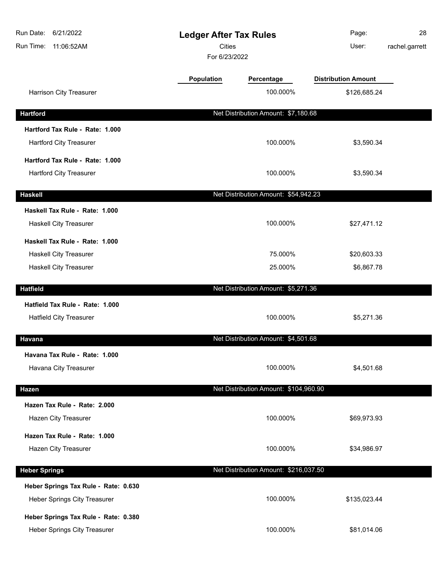| Run Date:<br>6/21/2022<br>Run Time:<br>11:06:52AM | <b>Ledger After Tax Rules</b><br><b>Cities</b><br>For 6/23/2022 |                                       | Page:<br>User:             | 28<br>rachel.garrett |
|---------------------------------------------------|-----------------------------------------------------------------|---------------------------------------|----------------------------|----------------------|
|                                                   | Population                                                      | Percentage                            | <b>Distribution Amount</b> |                      |
| Harrison City Treasurer                           |                                                                 | 100.000%                              | \$126,685.24               |                      |
| <b>Hartford</b>                                   |                                                                 | Net Distribution Amount: \$7,180.68   |                            |                      |
| Hartford Tax Rule - Rate: 1.000                   |                                                                 |                                       |                            |                      |
| <b>Hartford City Treasurer</b>                    |                                                                 | 100.000%                              | \$3,590.34                 |                      |
| Hartford Tax Rule - Rate: 1.000                   |                                                                 |                                       |                            |                      |
| <b>Hartford City Treasurer</b>                    |                                                                 | 100.000%                              | \$3,590.34                 |                      |
| <b>Haskell</b>                                    |                                                                 | Net Distribution Amount: \$54,942.23  |                            |                      |
| Haskell Tax Rule - Rate: 1.000                    |                                                                 |                                       |                            |                      |
| Haskell City Treasurer                            |                                                                 | 100.000%                              | \$27,471.12                |                      |
| Haskell Tax Rule - Rate: 1.000                    |                                                                 |                                       |                            |                      |
| Haskell City Treasurer                            |                                                                 | 75.000%                               | \$20,603.33                |                      |
| <b>Haskell City Treasurer</b>                     |                                                                 | 25.000%                               | \$6,867.78                 |                      |
| <b>Hatfield</b>                                   |                                                                 | Net Distribution Amount: \$5,271.36   |                            |                      |
| Hatfield Tax Rule - Rate: 1.000                   |                                                                 |                                       |                            |                      |
| <b>Hatfield City Treasurer</b>                    |                                                                 | 100.000%                              | \$5,271.36                 |                      |
| <b>Havana</b>                                     |                                                                 | Net Distribution Amount: \$4,501.68   |                            |                      |
| Havana Tax Rule - Rate: 1.000                     |                                                                 |                                       |                            |                      |
| Havana City Treasurer                             |                                                                 | 100.000%                              | \$4,501.68                 |                      |
| Hazen                                             |                                                                 | Net Distribution Amount: \$104,960.90 |                            |                      |
| Hazen Tax Rule - Rate: 2.000                      |                                                                 |                                       |                            |                      |
| Hazen City Treasurer                              |                                                                 | 100.000%                              | \$69,973.93                |                      |
| Hazen Tax Rule - Rate: 1.000                      |                                                                 |                                       |                            |                      |
| Hazen City Treasurer                              |                                                                 | 100.000%                              | \$34,986.97                |                      |
| <b>Heber Springs</b>                              |                                                                 | Net Distribution Amount: \$216,037.50 |                            |                      |
| Heber Springs Tax Rule - Rate: 0.630              |                                                                 |                                       |                            |                      |
| Heber Springs City Treasurer                      |                                                                 | 100.000%                              | \$135,023.44               |                      |
| Heber Springs Tax Rule - Rate: 0.380              |                                                                 |                                       |                            |                      |
| Heber Springs City Treasurer                      |                                                                 | 100.000%                              | \$81,014.06                |                      |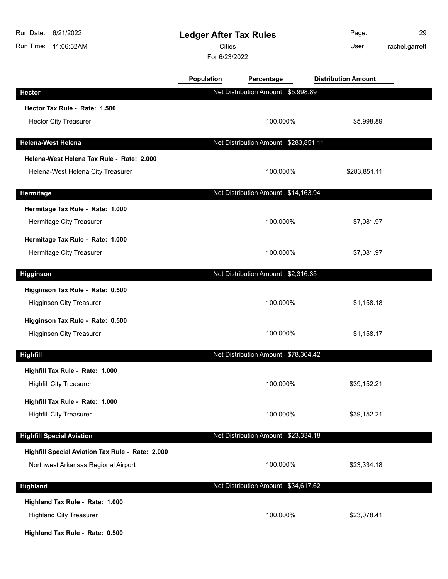| Run Date:<br>6/21/2022<br>Run Time:<br>11:06:52AM | <b>Ledger After Tax Rules</b><br><b>Cities</b><br>For 6/23/2022 |                                       | Page:<br>User:             | 29<br>rachel.garrett |
|---------------------------------------------------|-----------------------------------------------------------------|---------------------------------------|----------------------------|----------------------|
|                                                   | <b>Population</b>                                               | Percentage                            | <b>Distribution Amount</b> |                      |
| <b>Hector</b>                                     |                                                                 | Net Distribution Amount: \$5,998.89   |                            |                      |
| Hector Tax Rule - Rate: 1.500                     |                                                                 |                                       |                            |                      |
| <b>Hector City Treasurer</b>                      |                                                                 | 100.000%                              | \$5,998.89                 |                      |
| <b>Helena-West Helena</b>                         |                                                                 | Net Distribution Amount: \$283,851.11 |                            |                      |
| Helena-West Helena Tax Rule - Rate: 2.000         |                                                                 |                                       |                            |                      |
| Helena-West Helena City Treasurer                 |                                                                 | 100.000%                              | \$283,851.11               |                      |
| Hermitage                                         |                                                                 | Net Distribution Amount: \$14,163.94  |                            |                      |
| Hermitage Tax Rule - Rate: 1.000                  |                                                                 |                                       |                            |                      |
| Hermitage City Treasurer                          |                                                                 | 100.000%                              | \$7,081.97                 |                      |
| Hermitage Tax Rule - Rate: 1.000                  |                                                                 |                                       |                            |                      |
| Hermitage City Treasurer                          |                                                                 | 100.000%                              | \$7,081.97                 |                      |
| <b>Higginson</b>                                  |                                                                 | Net Distribution Amount: \$2,316.35   |                            |                      |
| Higginson Tax Rule - Rate: 0.500                  |                                                                 |                                       |                            |                      |
| <b>Higginson City Treasurer</b>                   |                                                                 | 100.000%                              | \$1,158.18                 |                      |
| Higginson Tax Rule - Rate: 0.500                  |                                                                 |                                       |                            |                      |
| <b>Higginson City Treasurer</b>                   |                                                                 | 100.000%                              | \$1,158.17                 |                      |
| <b>Highfill</b>                                   |                                                                 | Net Distribution Amount: \$78,304.42  |                            |                      |
| Highfill Tax Rule - Rate: 1.000                   |                                                                 |                                       |                            |                      |
| <b>Highfill City Treasurer</b>                    |                                                                 | 100.000%                              | \$39,152.21                |                      |
| Highfill Tax Rule - Rate: 1.000                   |                                                                 |                                       |                            |                      |
| <b>Highfill City Treasurer</b>                    |                                                                 | 100.000%                              | \$39,152.21                |                      |
| <b>Highfill Special Aviation</b>                  |                                                                 | Net Distribution Amount: \$23,334.18  |                            |                      |
| Highfill Special Aviation Tax Rule - Rate: 2.000  |                                                                 |                                       |                            |                      |
| Northwest Arkansas Regional Airport               |                                                                 | 100.000%                              | \$23,334.18                |                      |
| Highland                                          |                                                                 | Net Distribution Amount: \$34,617.62  |                            |                      |
| Highland Tax Rule - Rate: 1.000                   |                                                                 |                                       |                            |                      |
| <b>Highland City Treasurer</b>                    |                                                                 | 100.000%                              | \$23,078.41                |                      |
| Highland Tax Rule - Rate: 0.500                   |                                                                 |                                       |                            |                      |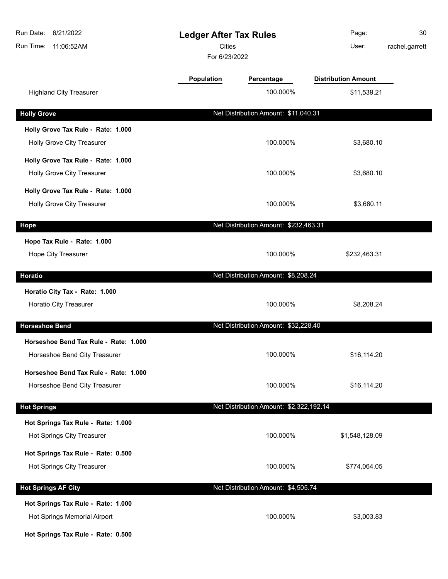| Run Date:<br>6/21/2022<br>Run Time: 11:06:52AM                     | <b>Ledger After Tax Rules</b><br><b>Cities</b><br>For 6/23/2022 |                                         | Page:<br>User:             | 30<br>rachel.garrett |
|--------------------------------------------------------------------|-----------------------------------------------------------------|-----------------------------------------|----------------------------|----------------------|
|                                                                    | <b>Population</b>                                               | Percentage                              | <b>Distribution Amount</b> |                      |
| <b>Highland City Treasurer</b>                                     |                                                                 | 100.000%                                | \$11,539.21                |                      |
| <b>Holly Grove</b>                                                 |                                                                 | Net Distribution Amount: \$11,040.31    |                            |                      |
| Holly Grove Tax Rule - Rate: 1.000                                 |                                                                 |                                         |                            |                      |
| <b>Holly Grove City Treasurer</b>                                  |                                                                 | 100.000%                                | \$3,680.10                 |                      |
| Holly Grove Tax Rule - Rate: 1.000                                 |                                                                 |                                         |                            |                      |
| Holly Grove City Treasurer                                         |                                                                 | 100.000%                                | \$3,680.10                 |                      |
| Holly Grove Tax Rule - Rate: 1.000                                 |                                                                 |                                         |                            |                      |
| Holly Grove City Treasurer                                         |                                                                 | 100.000%                                | \$3,680.11                 |                      |
| Hope                                                               |                                                                 | Net Distribution Amount: \$232,463.31   |                            |                      |
| Hope Tax Rule - Rate: 1.000                                        |                                                                 |                                         |                            |                      |
| Hope City Treasurer                                                |                                                                 | 100.000%                                | \$232,463.31               |                      |
| <b>Horatio</b>                                                     |                                                                 | Net Distribution Amount: \$8,208.24     |                            |                      |
| Horatio City Tax - Rate: 1.000                                     |                                                                 |                                         |                            |                      |
| Horatio City Treasurer                                             |                                                                 | 100.000%                                | \$8,208.24                 |                      |
| <b>Horseshoe Bend</b>                                              |                                                                 | Net Distribution Amount: \$32,228.40    |                            |                      |
| Horseshoe Bend Tax Rule - Rate: 1.000                              |                                                                 |                                         |                            |                      |
| Horseshoe Bend City Treasurer                                      |                                                                 | 100.000%                                | \$16,114.20                |                      |
| Horseshoe Bend Tax Rule - Rate: 1.000                              |                                                                 |                                         |                            |                      |
| Horseshoe Bend City Treasurer                                      |                                                                 | 100.000%                                | \$16,114.20                |                      |
| <b>Hot Springs</b>                                                 |                                                                 | Net Distribution Amount: \$2,322,192.14 |                            |                      |
| Hot Springs Tax Rule - Rate: 1.000                                 |                                                                 |                                         |                            |                      |
| Hot Springs City Treasurer                                         |                                                                 | 100.000%                                | \$1,548,128.09             |                      |
| Hot Springs Tax Rule - Rate: 0.500                                 |                                                                 |                                         |                            |                      |
| Hot Springs City Treasurer                                         |                                                                 | 100.000%                                | \$774,064.05               |                      |
| <b>Hot Springs AF City</b>                                         |                                                                 | Net Distribution Amount: \$4,505.74     |                            |                      |
|                                                                    |                                                                 |                                         |                            |                      |
| Hot Springs Tax Rule - Rate: 1.000<br>Hot Springs Memorial Airport |                                                                 | 100.000%                                | \$3,003.83                 |                      |
|                                                                    |                                                                 |                                         |                            |                      |

**Hot Springs Tax Rule - Rate: 0.500**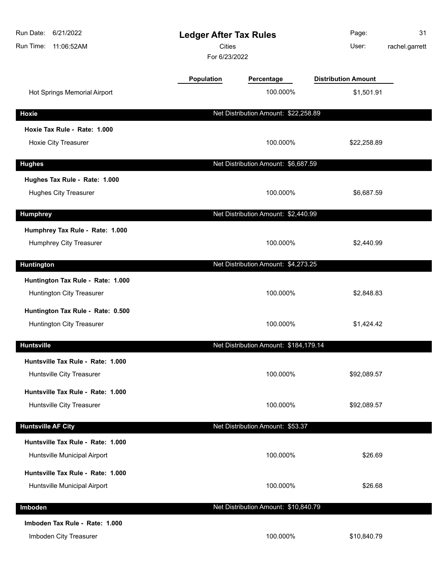| Run Date:<br>6/21/2022<br>Run Time:<br>11:06:52AM                     | <b>Cities</b> | <b>Ledger After Tax Rules</b><br>For 6/23/2022 |                            | 31<br>rachel.garrett |
|-----------------------------------------------------------------------|---------------|------------------------------------------------|----------------------------|----------------------|
|                                                                       | Population    | Percentage                                     | <b>Distribution Amount</b> |                      |
| Hot Springs Memorial Airport                                          |               | 100.000%                                       | \$1,501.91                 |                      |
| Hoxie                                                                 |               | Net Distribution Amount: \$22,258.89           |                            |                      |
| Hoxie Tax Rule - Rate: 1.000                                          |               |                                                |                            |                      |
| Hoxie City Treasurer                                                  |               | 100.000%                                       | \$22,258.89                |                      |
| <b>Hughes</b>                                                         |               | Net Distribution Amount: \$6,687.59            |                            |                      |
| Hughes Tax Rule - Rate: 1.000                                         |               |                                                |                            |                      |
| <b>Hughes City Treasurer</b>                                          |               | 100.000%                                       | \$6,687.59                 |                      |
| <b>Humphrey</b>                                                       |               | Net Distribution Amount: \$2,440.99            |                            |                      |
| Humphrey Tax Rule - Rate: 1.000<br>Humphrey City Treasurer            |               | 100.000%                                       | \$2,440.99                 |                      |
| <b>Huntington</b>                                                     |               | Net Distribution Amount: \$4,273.25            |                            |                      |
| Huntington Tax Rule - Rate: 1.000<br><b>Huntington City Treasurer</b> |               | 100.000%                                       | \$2,848.83                 |                      |
| Huntington Tax Rule - Rate: 0.500<br><b>Huntington City Treasurer</b> |               | 100.000%                                       | \$1,424.42                 |                      |
| <b>Huntsville</b>                                                     |               | Net Distribution Amount: \$184,179.14          |                            |                      |
| Huntsville Tax Rule - Rate: 1.000<br>Huntsville City Treasurer        |               | 100.000%                                       | \$92,089.57                |                      |
| Huntsville Tax Rule - Rate: 1.000<br>Huntsville City Treasurer        |               | 100.000%                                       | \$92,089.57                |                      |
| <b>Huntsville AF City</b>                                             |               | Net Distribution Amount: \$53.37               |                            |                      |
| Huntsville Tax Rule - Rate: 1.000                                     |               |                                                |                            |                      |
| Huntsville Municipal Airport                                          |               | 100.000%                                       | \$26.69                    |                      |
| Huntsville Tax Rule - Rate: 1.000                                     |               |                                                |                            |                      |
| Huntsville Municipal Airport                                          |               | 100.000%                                       | \$26.68                    |                      |
| Imboden                                                               |               | Net Distribution Amount: \$10,840.79           |                            |                      |
| Imboden Tax Rule - Rate: 1.000<br>Imboden City Treasurer              |               | 100.000%                                       | \$10,840.79                |                      |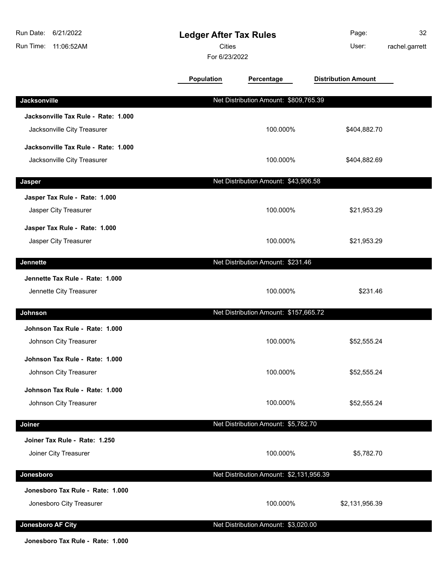| Run Date: 6/21/2022<br>Run Time: 11:06:52AM                        | <b>Ledger After Tax Rules</b><br><b>Cities</b><br>For 6/23/2022 |                                         | Page:<br>User:             | 32<br>rachel.garrett |
|--------------------------------------------------------------------|-----------------------------------------------------------------|-----------------------------------------|----------------------------|----------------------|
|                                                                    | Population                                                      | Percentage                              | <b>Distribution Amount</b> |                      |
| Jacksonville                                                       |                                                                 | Net Distribution Amount: \$809,765.39   |                            |                      |
| Jacksonville Tax Rule - Rate: 1.000<br>Jacksonville City Treasurer |                                                                 | 100.000%                                | \$404,882.70               |                      |
| Jacksonville Tax Rule - Rate: 1.000<br>Jacksonville City Treasurer |                                                                 | 100.000%                                | \$404,882.69               |                      |
| Jasper                                                             |                                                                 | Net Distribution Amount: \$43,906.58    |                            |                      |
| Jasper Tax Rule - Rate: 1.000<br>Jasper City Treasurer             |                                                                 | 100.000%                                | \$21,953.29                |                      |
| Jasper Tax Rule - Rate: 1.000<br>Jasper City Treasurer             |                                                                 | 100.000%                                | \$21,953.29                |                      |
| Jennette                                                           |                                                                 | Net Distribution Amount: \$231.46       |                            |                      |
| Jennette Tax Rule - Rate: 1.000<br>Jennette City Treasurer         |                                                                 | 100.000%                                | \$231.46                   |                      |
| Johnson                                                            |                                                                 | Net Distribution Amount: \$157,665.72   |                            |                      |
| Johnson Tax Rule - Rate: 1.000<br>Johnson City Treasurer           |                                                                 | 100.000%                                | \$52,555.24                |                      |
| Johnson Tax Rule - Rate: 1.000<br>Johnson City Treasurer           |                                                                 | 100.000%                                | \$52,555.24                |                      |
| Johnson Tax Rule - Rate: 1.000<br>Johnson City Treasurer           |                                                                 | 100.000%                                | \$52,555.24                |                      |
| Joiner                                                             |                                                                 | Net Distribution Amount: \$5,782.70     |                            |                      |
| Joiner Tax Rule - Rate: 1.250<br>Joiner City Treasurer             |                                                                 | 100.000%                                | \$5,782.70                 |                      |
| Jonesboro                                                          |                                                                 | Net Distribution Amount: \$2,131,956.39 |                            |                      |
| Jonesboro Tax Rule - Rate: 1.000<br>Jonesboro City Treasurer       |                                                                 | 100.000%                                | \$2,131,956.39             |                      |
| Jonesboro AF City                                                  |                                                                 | Net Distribution Amount: \$3,020.00     |                            |                      |

**Jonesboro Tax Rule - Rate: 1.000**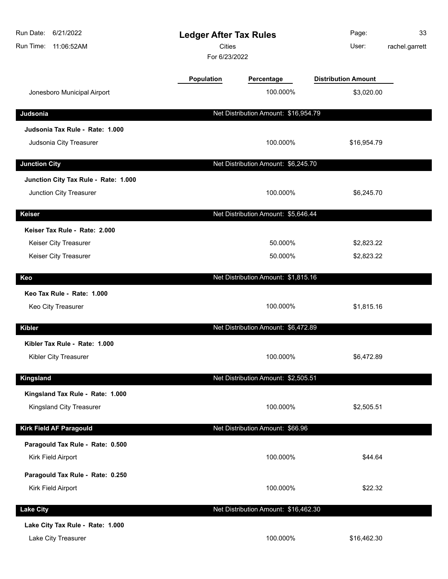| Run Date:<br>6/21/2022<br>Run Time: 11:06:52AM | <b>Ledger After Tax Rules</b><br>Cities<br>For 6/23/2022 |                                      | Page:<br>User:             | 33<br>rachel.garrett |
|------------------------------------------------|----------------------------------------------------------|--------------------------------------|----------------------------|----------------------|
|                                                | Population                                               | Percentage                           | <b>Distribution Amount</b> |                      |
| Jonesboro Municipal Airport                    |                                                          | 100.000%                             | \$3,020.00                 |                      |
| Judsonia                                       |                                                          | Net Distribution Amount: \$16,954.79 |                            |                      |
| Judsonia Tax Rule - Rate: 1.000                |                                                          |                                      |                            |                      |
| Judsonia City Treasurer                        |                                                          | 100.000%                             | \$16,954.79                |                      |
| <b>Junction City</b>                           |                                                          | Net Distribution Amount: \$6,245.70  |                            |                      |
| Junction City Tax Rule - Rate: 1.000           |                                                          |                                      |                            |                      |
| Junction City Treasurer                        |                                                          | 100.000%                             | \$6,245.70                 |                      |
| <b>Keiser</b>                                  |                                                          | Net Distribution Amount: \$5,646.44  |                            |                      |
| Keiser Tax Rule - Rate: 2.000                  |                                                          |                                      |                            |                      |
| Keiser City Treasurer                          |                                                          | 50.000%                              | \$2,823.22                 |                      |
| Keiser City Treasurer                          |                                                          | 50.000%                              | \$2,823.22                 |                      |
| Keo                                            |                                                          | Net Distribution Amount: \$1,815.16  |                            |                      |
| Keo Tax Rule - Rate: 1.000                     |                                                          |                                      |                            |                      |
| Keo City Treasurer                             |                                                          | 100.000%                             | \$1,815.16                 |                      |
| <b>Kibler</b>                                  |                                                          | Net Distribution Amount: \$6,472.89  |                            |                      |
| Kibler Tax Rule - Rate: 1.000                  |                                                          |                                      |                            |                      |
| Kibler City Treasurer                          |                                                          | 100.000%                             | \$6,472.89                 |                      |
| Kingsland                                      |                                                          | Net Distribution Amount: \$2,505.51  |                            |                      |
| Kingsland Tax Rule - Rate: 1.000               |                                                          |                                      |                            |                      |
| Kingsland City Treasurer                       |                                                          | 100.000%                             | \$2,505.51                 |                      |
| Kirk Field AF Paragould                        |                                                          | Net Distribution Amount: \$66.96     |                            |                      |
| Paragould Tax Rule - Rate: 0.500               |                                                          |                                      |                            |                      |
| Kirk Field Airport                             |                                                          | 100.000%                             | \$44.64                    |                      |
| Paragould Tax Rule - Rate: 0.250               |                                                          |                                      |                            |                      |
| Kirk Field Airport                             |                                                          | 100.000%                             | \$22.32                    |                      |
| <b>Lake City</b>                               |                                                          | Net Distribution Amount: \$16,462.30 |                            |                      |
| Lake City Tax Rule - Rate: 1.000               |                                                          |                                      |                            |                      |
| Lake City Treasurer                            |                                                          | 100.000%                             | \$16,462.30                |                      |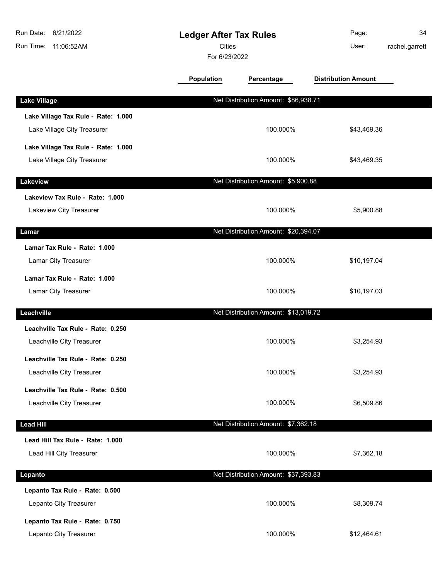| Run Date:<br>6/21/2022<br>Run Time:<br>11:06:52AM                  | <b>Ledger After Tax Rules</b><br>Cities<br>For 6/23/2022 |                                      | Page:<br>User:             | 34<br>rachel.garrett |
|--------------------------------------------------------------------|----------------------------------------------------------|--------------------------------------|----------------------------|----------------------|
|                                                                    | <b>Population</b>                                        | Percentage                           | <b>Distribution Amount</b> |                      |
| <b>Lake Village</b>                                                |                                                          | Net Distribution Amount: \$86,938.71 |                            |                      |
| Lake Village Tax Rule - Rate: 1.000<br>Lake Village City Treasurer |                                                          | 100.000%                             | \$43,469.36                |                      |
| Lake Village Tax Rule - Rate: 1.000<br>Lake Village City Treasurer |                                                          | 100.000%                             | \$43,469.35                |                      |
| Lakeview                                                           |                                                          | Net Distribution Amount: \$5,900.88  |                            |                      |
| Lakeview Tax Rule - Rate: 1.000<br>Lakeview City Treasurer         |                                                          | 100.000%                             | \$5,900.88                 |                      |
| Lamar                                                              |                                                          | Net Distribution Amount: \$20,394.07 |                            |                      |
| Lamar Tax Rule - Rate: 1.000<br>Lamar City Treasurer               |                                                          | 100.000%                             | \$10,197.04                |                      |
| Lamar Tax Rule - Rate: 1.000<br>Lamar City Treasurer               |                                                          | 100.000%                             | \$10,197.03                |                      |
| Leachville                                                         |                                                          | Net Distribution Amount: \$13,019.72 |                            |                      |
| Leachville Tax Rule - Rate: 0.250<br>Leachville City Treasurer     |                                                          | 100.000%                             | \$3,254.93                 |                      |
| Leachville Tax Rule - Rate: 0.250<br>Leachville City Treasurer     |                                                          | 100.000%                             | \$3,254.93                 |                      |
| Leachville Tax Rule - Rate: 0.500<br>Leachville City Treasurer     |                                                          | 100.000%                             | \$6,509.86                 |                      |
| <b>Lead Hill</b>                                                   |                                                          | Net Distribution Amount: \$7,362.18  |                            |                      |
| Lead Hill Tax Rule - Rate: 1.000<br>Lead Hill City Treasurer       |                                                          | 100.000%                             | \$7,362.18                 |                      |
| Lepanto                                                            |                                                          | Net Distribution Amount: \$37,393.83 |                            |                      |
| Lepanto Tax Rule - Rate: 0.500<br>Lepanto City Treasurer           |                                                          | 100.000%                             | \$8,309.74                 |                      |
| Lepanto Tax Rule - Rate: 0.750<br>Lepanto City Treasurer           |                                                          | 100.000%                             | \$12,464.61                |                      |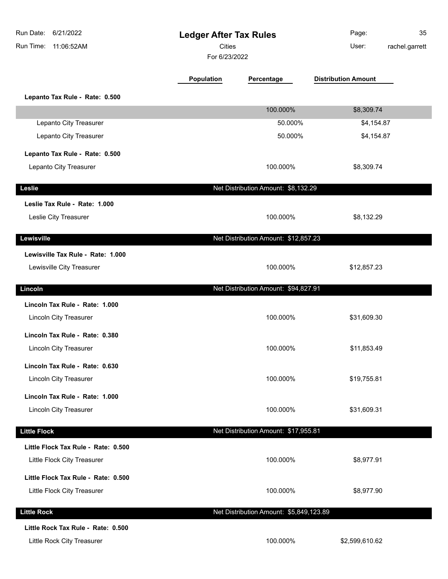| Run Date:<br>6/21/2022<br>Run Time:<br>11:06:52AM                  | <b>Ledger After Tax Rules</b><br>Cities<br>For 6/23/2022 |                                         | Page:<br>User:             | 35<br>rachel.garrett |
|--------------------------------------------------------------------|----------------------------------------------------------|-----------------------------------------|----------------------------|----------------------|
|                                                                    | <b>Population</b>                                        | Percentage                              | <b>Distribution Amount</b> |                      |
| Lepanto Tax Rule - Rate: 0.500                                     |                                                          |                                         |                            |                      |
|                                                                    |                                                          | 100.000%                                | \$8,309.74                 |                      |
| Lepanto City Treasurer                                             |                                                          | 50.000%                                 | \$4,154.87                 |                      |
| Lepanto City Treasurer                                             |                                                          | 50.000%                                 | \$4,154.87                 |                      |
| Lepanto Tax Rule - Rate: 0.500                                     |                                                          |                                         |                            |                      |
| Lepanto City Treasurer                                             |                                                          | 100.000%                                | \$8,309.74                 |                      |
| Leslie                                                             |                                                          | Net Distribution Amount: \$8,132.29     |                            |                      |
| Leslie Tax Rule - Rate: 1.000                                      |                                                          |                                         |                            |                      |
| Leslie City Treasurer                                              |                                                          | 100.000%                                | \$8,132.29                 |                      |
| Lewisville                                                         |                                                          | Net Distribution Amount: \$12,857.23    |                            |                      |
| Lewisville Tax Rule - Rate: 1.000<br>Lewisville City Treasurer     |                                                          | 100.000%                                | \$12,857.23                |                      |
| Lincoln                                                            |                                                          | Net Distribution Amount: \$94,827.91    |                            |                      |
| Lincoln Tax Rule - Rate: 1.000<br>Lincoln City Treasurer           |                                                          | 100.000%                                | \$31,609.30                |                      |
| Lincoln Tax Rule - Rate: 0.380<br>Lincoln City Treasurer           |                                                          | 100.000%                                | \$11,853.49                |                      |
| Lincoln Tax Rule - Rate: 0.630                                     |                                                          |                                         |                            |                      |
| Lincoln City Treasurer                                             |                                                          | 100.000%                                | \$19,755.81                |                      |
| Lincoln Tax Rule - Rate: 1.000<br>Lincoln City Treasurer           |                                                          | 100.000%                                | \$31,609.31                |                      |
| <b>Little Flock</b>                                                |                                                          | Net Distribution Amount: \$17,955.81    |                            |                      |
| Little Flock Tax Rule - Rate: 0.500<br>Little Flock City Treasurer |                                                          | 100.000%                                | \$8,977.91                 |                      |
| Little Flock Tax Rule - Rate: 0.500<br>Little Flock City Treasurer |                                                          | 100.000%                                | \$8,977.90                 |                      |
| <b>Little Rock</b>                                                 |                                                          | Net Distribution Amount: \$5,849,123.89 |                            |                      |
| Little Rock Tax Rule - Rate: 0.500<br>Little Rock City Treasurer   |                                                          | 100.000%                                | \$2,599,610.62             |                      |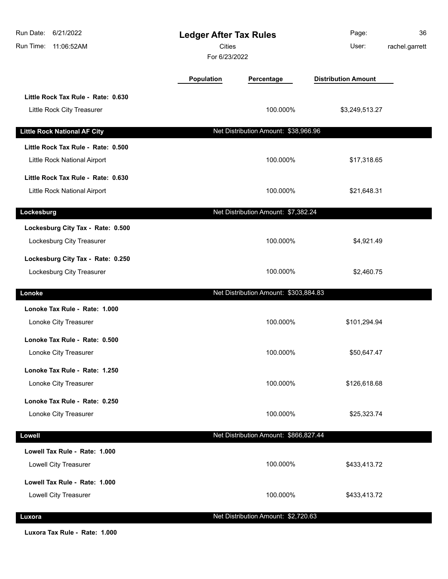| Run Date:<br>6/21/2022<br>Run Time:<br>11:06:52AM                  | <b>Ledger After Tax Rules</b><br>Cities<br>For 6/23/2022 |                                       | Page:<br>User:             | 36<br>rachel.garrett |
|--------------------------------------------------------------------|----------------------------------------------------------|---------------------------------------|----------------------------|----------------------|
|                                                                    | Population                                               | Percentage                            | <b>Distribution Amount</b> |                      |
| Little Rock Tax Rule - Rate: 0.630<br>Little Rock City Treasurer   |                                                          | 100.000%                              | \$3,249,513.27             |                      |
| <b>Little Rock National AF City</b>                                |                                                          | Net Distribution Amount: \$38,966.96  |                            |                      |
| Little Rock Tax Rule - Rate: 0.500<br>Little Rock National Airport |                                                          | 100.000%                              | \$17,318.65                |                      |
| Little Rock Tax Rule - Rate: 0.630<br>Little Rock National Airport |                                                          | 100.000%                              | \$21,648.31                |                      |
|                                                                    |                                                          |                                       |                            |                      |
| Lockesburg                                                         |                                                          | Net Distribution Amount: \$7,382.24   |                            |                      |
| Lockesburg City Tax - Rate: 0.500<br>Lockesburg City Treasurer     |                                                          | 100.000%                              | \$4,921.49                 |                      |
| Lockesburg City Tax - Rate: 0.250<br>Lockesburg City Treasurer     |                                                          | 100.000%                              | \$2,460.75                 |                      |
| Lonoke                                                             |                                                          | Net Distribution Amount: \$303,884.83 |                            |                      |
| Lonoke Tax Rule - Rate: 1.000<br>Lonoke City Treasurer             |                                                          | 100.000%                              | \$101,294.94               |                      |
| Lonoke Tax Rule - Rate: 0.500<br>Lonoke City Treasurer             |                                                          | 100.000%                              | \$50,647.47                |                      |
| Lonoke Tax Rule - Rate: 1.250<br>Lonoke City Treasurer             |                                                          | 100.000%                              | \$126,618.68               |                      |
| Lonoke Tax Rule - Rate: 0.250<br>Lonoke City Treasurer             |                                                          | 100.000%                              | \$25,323.74                |                      |
| <b>Lowell</b>                                                      |                                                          | Net Distribution Amount: \$866,827.44 |                            |                      |
| Lowell Tax Rule - Rate: 1.000<br>Lowell City Treasurer             |                                                          | 100.000%                              | \$433,413.72               |                      |
| Lowell Tax Rule - Rate: 1.000<br>Lowell City Treasurer             |                                                          | 100.000%                              | \$433,413.72               |                      |
| Luxora                                                             |                                                          | Net Distribution Amount: \$2,720.63   |                            |                      |

**Luxora Tax Rule - Rate: 1.000**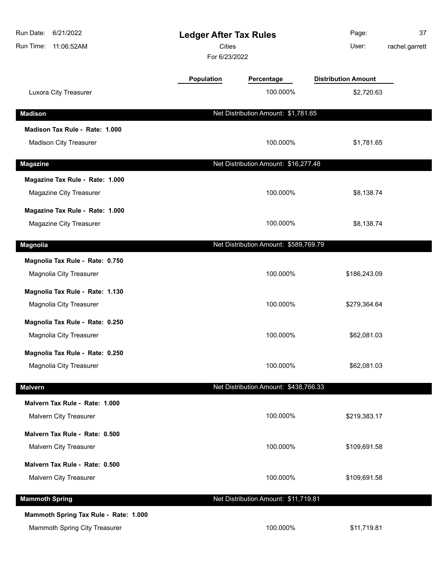| Run Date: 6/21/2022<br>Run Time:<br>11:06:52AM |            | <b>Ledger After Tax Rules</b><br><b>Cities</b><br>For 6/23/2022 | Page:<br>User:             | 37<br>rachel.garrett |
|------------------------------------------------|------------|-----------------------------------------------------------------|----------------------------|----------------------|
|                                                | Population | Percentage                                                      | <b>Distribution Amount</b> |                      |
| Luxora City Treasurer                          |            | 100.000%                                                        | \$2,720.63                 |                      |
| <b>Madison</b>                                 |            | Net Distribution Amount: \$1,781.65                             |                            |                      |
| Madison Tax Rule - Rate: 1.000                 |            |                                                                 |                            |                      |
| <b>Madison City Treasurer</b>                  |            | 100.000%                                                        | \$1,781.65                 |                      |
| <b>Magazine</b>                                |            | Net Distribution Amount: \$16,277.48                            |                            |                      |
| Magazine Tax Rule - Rate: 1.000                |            |                                                                 |                            |                      |
| Magazine City Treasurer                        |            | 100.000%                                                        | \$8,138.74                 |                      |
| Magazine Tax Rule - Rate: 1.000                |            |                                                                 |                            |                      |
| Magazine City Treasurer                        |            | 100.000%                                                        | \$8,138.74                 |                      |
| <b>Magnolia</b>                                |            | Net Distribution Amount: \$589,769.79                           |                            |                      |
| Magnolia Tax Rule - Rate: 0.750                |            |                                                                 |                            |                      |
| Magnolia City Treasurer                        |            | 100.000%                                                        | \$186,243.09               |                      |
| Magnolia Tax Rule - Rate: 1.130                |            |                                                                 |                            |                      |
| Magnolia City Treasurer                        |            | 100.000%                                                        | \$279,364.64               |                      |
| Magnolia Tax Rule - Rate: 0.250                |            |                                                                 |                            |                      |
| Magnolia City Treasurer                        |            | 100.000%                                                        | \$62,081.03                |                      |
| Magnolia Tax Rule - Rate: 0.250                |            |                                                                 |                            |                      |
| Magnolia City Treasurer                        |            | 100.000%                                                        | \$62,081.03                |                      |
| <b>Malvern</b>                                 |            | Net Distribution Amount: \$438,766.33                           |                            |                      |
| Malvern Tax Rule - Rate: 1.000                 |            |                                                                 |                            |                      |
| <b>Malvern City Treasurer</b>                  |            | 100.000%                                                        | \$219,383.17               |                      |
| Malvern Tax Rule - Rate: 0.500                 |            |                                                                 |                            |                      |
| Malvern City Treasurer                         |            | 100.000%                                                        | \$109,691.58               |                      |
| Malvern Tax Rule - Rate: 0.500                 |            |                                                                 |                            |                      |
| Malvern City Treasurer                         |            | 100.000%                                                        | \$109,691.58               |                      |
| <b>Mammoth Spring</b>                          |            | Net Distribution Amount: \$11,719.81                            |                            |                      |
| Mammoth Spring Tax Rule - Rate: 1.000          |            |                                                                 |                            |                      |
| Mammoth Spring City Treasurer                  |            | 100.000%                                                        | \$11,719.81                |                      |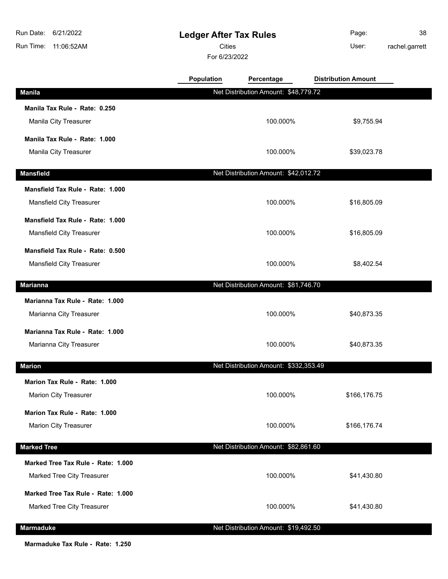**Ledger After Tax Rules**

Cities User:

For 6/23/2022

| Page:   | 38             |
|---------|----------------|
| l lear: | rachel agreatt |

rachel.garrett

|                                    | <b>Population</b> | Percentage                            | <b>Distribution Amount</b> |
|------------------------------------|-------------------|---------------------------------------|----------------------------|
| <b>Manila</b>                      |                   | Net Distribution Amount: \$48,779.72  |                            |
| Manila Tax Rule - Rate: 0.250      |                   |                                       |                            |
| Manila City Treasurer              |                   | 100.000%                              | \$9,755.94                 |
| Manila Tax Rule - Rate: 1.000      |                   |                                       |                            |
| Manila City Treasurer              |                   | 100.000%                              | \$39,023.78                |
| <b>Mansfield</b>                   |                   | Net Distribution Amount: \$42,012.72  |                            |
| Mansfield Tax Rule - Rate: 1.000   |                   |                                       |                            |
| Mansfield City Treasurer           |                   | 100.000%                              | \$16,805.09                |
| Mansfield Tax Rule - Rate: 1.000   |                   |                                       |                            |
| Mansfield City Treasurer           |                   | 100.000%                              | \$16,805.09                |
| Mansfield Tax Rule - Rate: 0.500   |                   |                                       |                            |
| Mansfield City Treasurer           |                   | 100.000%                              | \$8,402.54                 |
|                                    |                   |                                       |                            |
| <b>Marianna</b>                    |                   | Net Distribution Amount: \$81,746.70  |                            |
| Marianna Tax Rule - Rate: 1.000    |                   |                                       |                            |
| Marianna City Treasurer            |                   | 100.000%                              | \$40,873.35                |
| Marianna Tax Rule - Rate: 1.000    |                   |                                       |                            |
| Marianna City Treasurer            |                   | 100.000%                              | \$40,873.35                |
| <b>Marion</b>                      |                   | Net Distribution Amount: \$332,353.49 |                            |
| Marion Tax Rule - Rate: 1.000      |                   |                                       |                            |
| <b>Marion City Treasurer</b>       |                   | 100.000%                              | \$166,176.75               |
| Marion Tax Rule - Rate: 1.000      |                   |                                       |                            |
| <b>Marion City Treasurer</b>       |                   | 100.000%                              | \$166,176.74               |
|                                    |                   |                                       |                            |
| <b>Marked Tree</b>                 |                   | Net Distribution Amount: \$82,861.60  |                            |
| Marked Tree Tax Rule - Rate: 1.000 |                   |                                       |                            |
| Marked Tree City Treasurer         |                   | 100.000%                              | \$41,430.80                |
| Marked Tree Tax Rule - Rate: 1.000 |                   |                                       |                            |
| Marked Tree City Treasurer         |                   | 100.000%                              | \$41,430.80                |
| <b>Marmaduke</b>                   |                   | Net Distribution Amount: \$19,492.50  |                            |

**Marmaduke Tax Rule - Rate: 1.250**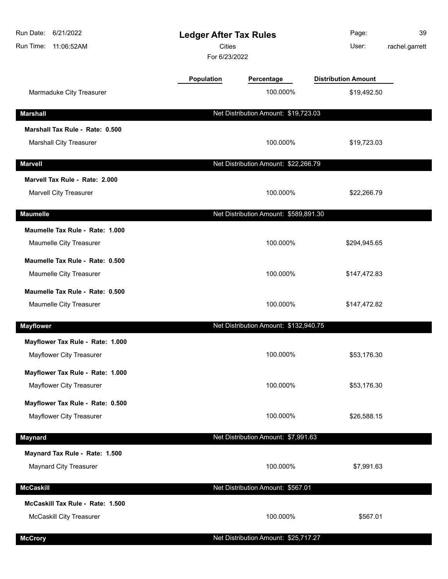| Run Date:<br>6/21/2022<br>Run Time:<br>11:06:52AM            |            | <b>Ledger After Tax Rules</b><br>Cities<br>For 6/23/2022 |                            | 39<br>rachel.garrett |
|--------------------------------------------------------------|------------|----------------------------------------------------------|----------------------------|----------------------|
|                                                              | Population | Percentage                                               | <b>Distribution Amount</b> |                      |
| Marmaduke City Treasurer                                     |            | 100.000%                                                 | \$19,492.50                |                      |
| <b>Marshall</b>                                              |            | Net Distribution Amount: \$19,723.03                     |                            |                      |
| Marshall Tax Rule - Rate: 0.500                              |            |                                                          |                            |                      |
| <b>Marshall City Treasurer</b>                               |            | 100.000%                                                 | \$19,723.03                |                      |
| <b>Marvell</b>                                               |            | Net Distribution Amount: \$22,266.79                     |                            |                      |
| Marvell Tax Rule - Rate: 2.000                               |            |                                                          |                            |                      |
| <b>Marvell City Treasurer</b>                                |            | 100.000%                                                 | \$22,266.79                |                      |
| <b>Maumelle</b>                                              |            | Net Distribution Amount: \$589,891.30                    |                            |                      |
| Maumelle Tax Rule - Rate: 1.000                              |            |                                                          |                            |                      |
| Maumelle City Treasurer                                      |            | 100.000%                                                 | \$294,945.65               |                      |
| Maumelle Tax Rule - Rate: 0.500                              |            |                                                          |                            |                      |
| Maumelle City Treasurer                                      |            | 100.000%                                                 | \$147,472.83               |                      |
| Maumelle Tax Rule - Rate: 0.500                              |            |                                                          |                            |                      |
| Maumelle City Treasurer                                      |            | 100.000%                                                 | \$147,472.82               |                      |
| <b>Mayflower</b>                                             |            | Net Distribution Amount: \$132,940.75                    |                            |                      |
| Mayflower Tax Rule - Rate: 1.000                             |            |                                                          |                            |                      |
| Mayflower City Treasurer                                     |            | 100.000%                                                 | \$53,176.30                |                      |
| Mayflower Tax Rule - Rate: 1.000                             |            |                                                          |                            |                      |
| Mayflower City Treasurer                                     |            | 100.000%                                                 | \$53,176.30                |                      |
| Mayflower Tax Rule - Rate: 0.500<br>Mayflower City Treasurer |            | 100.000%                                                 | \$26,588.15                |                      |
|                                                              |            |                                                          |                            |                      |
| <b>Maynard</b>                                               |            | Net Distribution Amount: \$7,991.63                      |                            |                      |
| Maynard Tax Rule - Rate: 1.500                               |            |                                                          |                            |                      |
| <b>Maynard City Treasurer</b>                                |            | 100.000%                                                 | \$7,991.63                 |                      |
| <b>McCaskill</b>                                             |            | Net Distribution Amount: \$567.01                        |                            |                      |
| McCaskill Tax Rule - Rate: 1.500                             |            |                                                          |                            |                      |
| McCaskill City Treasurer                                     |            | 100.000%                                                 | \$567.01                   |                      |
| <b>McCrory</b>                                               |            | Net Distribution Amount: \$25,717.27                     |                            |                      |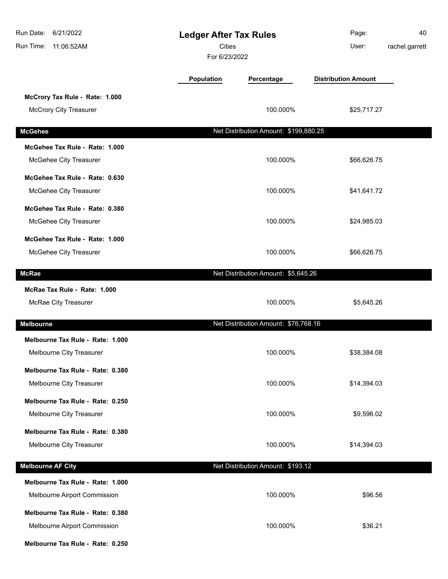| Run Date: 6/21/2022<br>Run Time: 11:06:52AM                      | <b>Ledger After Tax Rules</b><br><b>Cities</b><br>For 6/23/2022 |                                       | Page:<br>User:             | 40<br>rachel.garrett |
|------------------------------------------------------------------|-----------------------------------------------------------------|---------------------------------------|----------------------------|----------------------|
|                                                                  | <b>Population</b>                                               | Percentage                            | <b>Distribution Amount</b> |                      |
| McCrory Tax Rule - Rate: 1.000<br><b>McCrory City Treasurer</b>  |                                                                 | 100.000%                              | \$25,717.27                |                      |
| <b>McGehee</b>                                                   |                                                                 | Net Distribution Amount: \$199,880.25 |                            |                      |
| McGehee Tax Rule - Rate: 1.000                                   |                                                                 |                                       |                            |                      |
| McGehee City Treasurer                                           |                                                                 | 100.000%                              | \$66,626.75                |                      |
| McGehee Tax Rule - Rate: 0.630                                   |                                                                 |                                       |                            |                      |
| McGehee City Treasurer                                           |                                                                 | 100.000%                              | \$41,641.72                |                      |
| McGehee Tax Rule - Rate: 0.380<br>McGehee City Treasurer         |                                                                 | 100.000%                              | \$24,985.03                |                      |
| McGehee Tax Rule - Rate: 1.000<br>McGehee City Treasurer         |                                                                 | 100.000%                              | \$66,626.75                |                      |
| <b>McRae</b>                                                     |                                                                 | Net Distribution Amount: \$5,645.26   |                            |                      |
| McRae Tax Rule - Rate: 1.000                                     |                                                                 |                                       |                            |                      |
| McRae City Treasurer                                             |                                                                 | 100.000%                              | \$5,645.26                 |                      |
| <b>Melbourne</b>                                                 |                                                                 | Net Distribution Amount: \$76,768.16  |                            |                      |
| Melbourne Tax Rule - Rate: 1.000<br>Melbourne City Treasurer     |                                                                 | 100.000%                              | \$38,384.08                |                      |
| Melbourne Tax Rule - Rate: 0.380                                 |                                                                 |                                       |                            |                      |
| Melbourne City Treasurer                                         |                                                                 | 100.000%                              | \$14,394.03                |                      |
| Melbourne Tax Rule - Rate: 0.250<br>Melbourne City Treasurer     |                                                                 | 100.000%                              | \$9,596.02                 |                      |
| Melbourne Tax Rule - Rate: 0.380<br>Melbourne City Treasurer     |                                                                 | 100.000%                              | \$14,394.03                |                      |
|                                                                  |                                                                 |                                       |                            |                      |
| <b>Melbourne AF City</b>                                         |                                                                 | Net Distribution Amount: \$193.12     |                            |                      |
| Melbourne Tax Rule - Rate: 1.000<br>Melbourne Airport Commission |                                                                 | 100.000%                              | \$96.56                    |                      |
| Melbourne Tax Rule - Rate: 0.380                                 |                                                                 |                                       |                            |                      |
| Melbourne Airport Commission                                     |                                                                 | 100.000%                              | \$36.21                    |                      |
| Melbourne Tax Rule - Rate: 0.250                                 |                                                                 |                                       |                            |                      |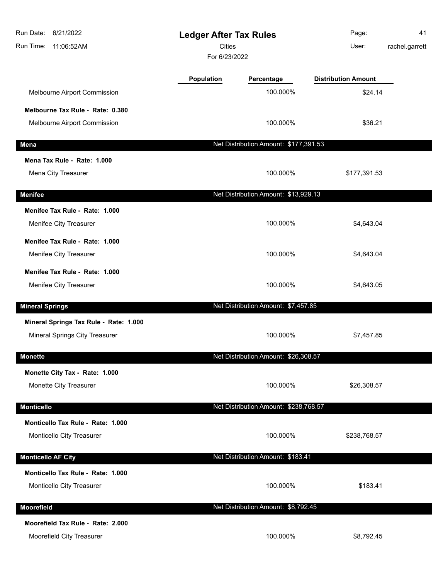| Run Date:<br>6/21/2022<br>Run Time: 11:06:52AM | <b>Ledger After Tax Rules</b><br>Cities<br>For 6/23/2022 |                                       | Page:<br>User:             | 41<br>rachel.garrett |
|------------------------------------------------|----------------------------------------------------------|---------------------------------------|----------------------------|----------------------|
|                                                | <b>Population</b>                                        | Percentage                            | <b>Distribution Amount</b> |                      |
| Melbourne Airport Commission                   |                                                          | 100.000%                              | \$24.14                    |                      |
| Melbourne Tax Rule - Rate: 0.380               |                                                          |                                       |                            |                      |
| Melbourne Airport Commission                   |                                                          | 100.000%                              | \$36.21                    |                      |
| Mena                                           |                                                          | Net Distribution Amount: \$177,391.53 |                            |                      |
| Mena Tax Rule - Rate: 1.000                    |                                                          |                                       |                            |                      |
| Mena City Treasurer                            |                                                          | 100.000%                              | \$177,391.53               |                      |
| <b>Menifee</b>                                 |                                                          | Net Distribution Amount: \$13,929.13  |                            |                      |
| Menifee Tax Rule - Rate: 1.000                 |                                                          |                                       |                            |                      |
| Menifee City Treasurer                         |                                                          | 100.000%                              | \$4,643.04                 |                      |
| Menifee Tax Rule - Rate: 1.000                 |                                                          |                                       |                            |                      |
| Menifee City Treasurer                         |                                                          | 100.000%                              | \$4,643.04                 |                      |
| Menifee Tax Rule - Rate: 1.000                 |                                                          |                                       |                            |                      |
| Menifee City Treasurer                         |                                                          | 100.000%                              | \$4,643.05                 |                      |
| <b>Mineral Springs</b>                         |                                                          | Net Distribution Amount: \$7,457.85   |                            |                      |
| Mineral Springs Tax Rule - Rate: 1.000         |                                                          |                                       |                            |                      |
| Mineral Springs City Treasurer                 |                                                          | 100.000%                              | \$7,457.85                 |                      |
| <b>Monette</b>                                 |                                                          | Net Distribution Amount: \$26,308.57  |                            |                      |
| Monette City Tax - Rate: 1.000                 |                                                          |                                       |                            |                      |
| Monette City Treasurer                         |                                                          | 100.000%                              | \$26,308.57                |                      |
| <b>Monticello</b>                              |                                                          | Net Distribution Amount: \$238,768.57 |                            |                      |
| Monticello Tax Rule - Rate: 1.000              |                                                          |                                       |                            |                      |
| Monticello City Treasurer                      |                                                          | 100.000%                              | \$238,768.57               |                      |
| <b>Monticello AF City</b>                      |                                                          | Net Distribution Amount: \$183.41     |                            |                      |
| Monticello Tax Rule - Rate: 1.000              |                                                          |                                       |                            |                      |
| Monticello City Treasurer                      |                                                          | 100.000%                              | \$183.41                   |                      |
| Moorefield                                     |                                                          | Net Distribution Amount: \$8,792.45   |                            |                      |
| Moorefield Tax Rule - Rate: 2.000              |                                                          |                                       |                            |                      |
| Moorefield City Treasurer                      |                                                          | 100.000%                              | \$8,792.45                 |                      |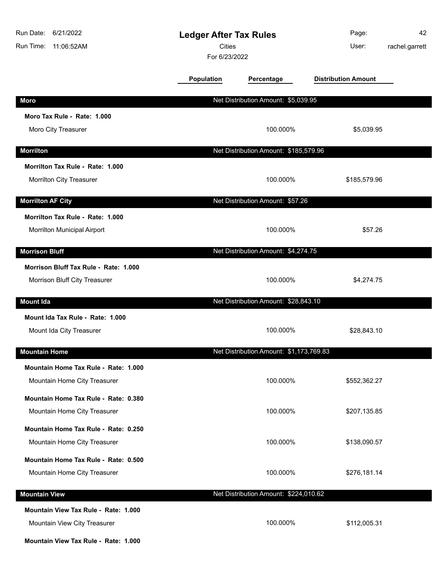| Run Date:<br>6/21/2022<br>Run Time:<br>11:06:52AM | <b>Ledger After Tax Rules</b><br><b>Cities</b><br>For 6/23/2022 |                                         | Page:<br>User:             | 42<br>rachel.garrett |
|---------------------------------------------------|-----------------------------------------------------------------|-----------------------------------------|----------------------------|----------------------|
|                                                   | Population                                                      | Percentage                              | <b>Distribution Amount</b> |                      |
| <b>Moro</b>                                       |                                                                 | Net Distribution Amount: \$5,039.95     |                            |                      |
| Moro Tax Rule - Rate: 1.000                       |                                                                 |                                         |                            |                      |
| Moro City Treasurer                               |                                                                 | 100.000%                                | \$5,039.95                 |                      |
| <b>Morrilton</b>                                  |                                                                 | Net Distribution Amount: \$185,579.96   |                            |                      |
| Morrilton Tax Rule - Rate: 1.000                  |                                                                 |                                         |                            |                      |
| Morrilton City Treasurer                          |                                                                 | 100.000%                                | \$185,579.96               |                      |
| <b>Morrilton AF City</b>                          |                                                                 | Net Distribution Amount: \$57.26        |                            |                      |
| Morrilton Tax Rule - Rate: 1.000                  |                                                                 |                                         |                            |                      |
| Morrilton Municipal Airport                       |                                                                 | 100.000%                                | \$57.26                    |                      |
| <b>Morrison Bluff</b>                             |                                                                 | Net Distribution Amount: \$4,274.75     |                            |                      |
| Morrison Bluff Tax Rule - Rate: 1.000             |                                                                 |                                         |                            |                      |
| Morrison Bluff City Treasurer                     |                                                                 | 100.000%                                | \$4,274.75                 |                      |
| <b>Mount Ida</b>                                  |                                                                 | Net Distribution Amount: \$28,843.10    |                            |                      |
| Mount Ida Tax Rule - Rate: 1,000                  |                                                                 |                                         |                            |                      |
| Mount Ida City Treasurer                          |                                                                 | 100.000%                                | \$28,843.10                |                      |
| <b>Mountain Home</b>                              |                                                                 | Net Distribution Amount: \$1,173,769.83 |                            |                      |
| Mountain Home Tax Rule - Rate: 1.000              |                                                                 |                                         |                            |                      |
| Mountain Home City Treasurer                      |                                                                 | 100.000%                                | \$552,362.27               |                      |
| Mountain Home Tax Rule - Rate: 0.380              |                                                                 |                                         |                            |                      |
| Mountain Home City Treasurer                      |                                                                 | 100.000%                                | \$207,135.85               |                      |
| Mountain Home Tax Rule - Rate: 0.250              |                                                                 |                                         |                            |                      |
| Mountain Home City Treasurer                      |                                                                 | 100.000%                                | \$138,090.57               |                      |
| Mountain Home Tax Rule - Rate: 0.500              |                                                                 |                                         |                            |                      |
| Mountain Home City Treasurer                      |                                                                 | 100.000%                                | \$276,181.14               |                      |
| <b>Mountain View</b>                              |                                                                 | Net Distribution Amount: \$224,010.62   |                            |                      |
| Mountain View Tax Rule - Rate: 1.000              |                                                                 |                                         |                            |                      |
| Mountain View City Treasurer                      |                                                                 | 100.000%                                | \$112,005.31               |                      |
| Mountain View Tax Rule - Rate: 1.000              |                                                                 |                                         |                            |                      |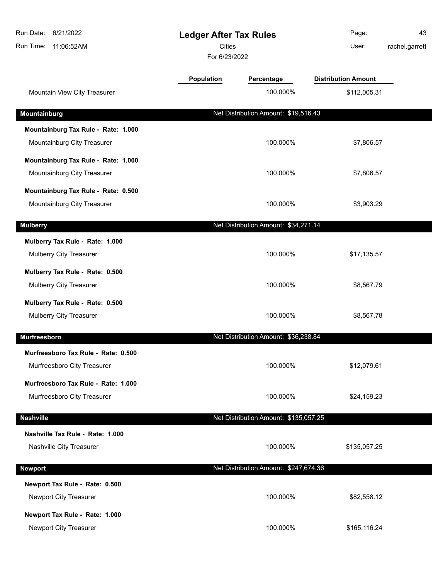| Run Date: 6/21/2022<br>Run Time: 11:06:52AM | <b>Ledger After Tax Rules</b><br><b>Cities</b><br>For 6/23/2022 |                                       | Page:<br>User:             | 43<br>rachel.garrett |
|---------------------------------------------|-----------------------------------------------------------------|---------------------------------------|----------------------------|----------------------|
|                                             | <b>Population</b>                                               | Percentage                            | <b>Distribution Amount</b> |                      |
| Mountain View City Treasurer                |                                                                 | 100.000%                              | \$112,005.31               |                      |
| Mountainburg                                |                                                                 | Net Distribution Amount: \$19,516.43  |                            |                      |
| Mountainburg Tax Rule - Rate: 1.000         |                                                                 |                                       |                            |                      |
| Mountainburg City Treasurer                 |                                                                 | 100.000%                              | \$7,806.57                 |                      |
| Mountainburg Tax Rule - Rate: 1.000         |                                                                 |                                       |                            |                      |
| Mountainburg City Treasurer                 |                                                                 | 100.000%                              | \$7,806.57                 |                      |
| Mountainburg Tax Rule - Rate: 0.500         |                                                                 |                                       |                            |                      |
| Mountainburg City Treasurer                 |                                                                 | 100.000%                              | \$3,903.29                 |                      |
| <b>Mulberry</b>                             |                                                                 | Net Distribution Amount: \$34,271.14  |                            |                      |
| Mulberry Tax Rule - Rate: 1.000             |                                                                 |                                       |                            |                      |
| Mulberry City Treasurer                     |                                                                 | 100.000%                              | \$17,135.57                |                      |
| Mulberry Tax Rule - Rate: 0.500             |                                                                 |                                       |                            |                      |
| Mulberry City Treasurer                     |                                                                 | 100.000%                              | \$8,567.79                 |                      |
| Mulberry Tax Rule - Rate: 0.500             |                                                                 |                                       |                            |                      |
| Mulberry City Treasurer                     |                                                                 | 100.000%                              | \$8,567.78                 |                      |
| Murfreesboro                                |                                                                 | Net Distribution Amount: \$36,238.84  |                            |                      |
| Murfreesboro Tax Rule - Rate: 0.500         |                                                                 |                                       |                            |                      |
| Murfreesboro City Treasurer                 |                                                                 | 100.000%                              | \$12,079.61                |                      |
| Murfreesboro Tax Rule - Rate: 1.000         |                                                                 |                                       |                            |                      |
| Murfreesboro City Treasurer                 |                                                                 | 100.000%                              | \$24,159.23                |                      |
| <b>Nashville</b>                            |                                                                 | Net Distribution Amount: \$135,057.25 |                            |                      |
| Nashville Tax Rule - Rate: 1.000            |                                                                 |                                       |                            |                      |
| Nashville City Treasurer                    |                                                                 | 100.000%                              | \$135,057.25               |                      |
| <b>Newport</b>                              |                                                                 | Net Distribution Amount: \$247,674.36 |                            |                      |
| Newport Tax Rule - Rate: 0.500              |                                                                 |                                       |                            |                      |
| Newport City Treasurer                      |                                                                 | 100.000%                              | \$82,558.12                |                      |
| Newport Tax Rule - Rate: 1.000              |                                                                 |                                       |                            |                      |
| Newport City Treasurer                      |                                                                 | 100.000%                              | \$165,116.24               |                      |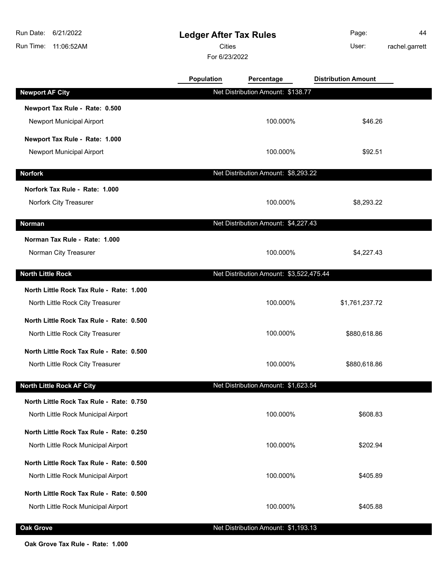**Ledger After Tax Rules** Run Time: 11:06:52AM 6/21/2022 Run Date: For 6/23/2022 Cities **User: Newport AF City** Net Distribution Amount: \$138.77

Page: 44 rachel.garrett

|                                          | <b>Population</b> | Percentage                              | <b>Distribution Amount</b> |  |
|------------------------------------------|-------------------|-----------------------------------------|----------------------------|--|
| <b>Newport AF City</b>                   |                   | Net Distribution Amount: \$138.77       |                            |  |
| Newport Tax Rule - Rate: 0.500           |                   |                                         |                            |  |
| Newport Municipal Airport                |                   | 100.000%                                | \$46.26                    |  |
| Newport Tax Rule - Rate: 1.000           |                   |                                         |                            |  |
| Newport Municipal Airport                |                   | 100.000%                                | \$92.51                    |  |
| <b>Norfork</b>                           |                   | Net Distribution Amount: \$8,293.22     |                            |  |
| Norfork Tax Rule - Rate: 1.000           |                   |                                         |                            |  |
| Norfork City Treasurer                   |                   | 100.000%                                | \$8,293.22                 |  |
| Norman                                   |                   | Net Distribution Amount: \$4,227.43     |                            |  |
|                                          |                   |                                         |                            |  |
| Norman Tax Rule - Rate: 1.000            |                   |                                         |                            |  |
| Norman City Treasurer                    |                   | 100.000%                                | \$4,227.43                 |  |
| <b>North Little Rock</b>                 |                   | Net Distribution Amount: \$3,522,475.44 |                            |  |
| North Little Rock Tax Rule - Rate: 1.000 |                   |                                         |                            |  |
| North Little Rock City Treasurer         |                   | 100.000%                                | \$1,761,237.72             |  |
| North Little Rock Tax Rule - Rate: 0.500 |                   |                                         |                            |  |
| North Little Rock City Treasurer         |                   | 100.000%                                | \$880,618.86               |  |
| North Little Rock Tax Rule - Rate: 0.500 |                   |                                         |                            |  |
| North Little Rock City Treasurer         |                   | 100.000%                                | \$880,618.86               |  |
| <b>North Little Rock AF City</b>         |                   | Net Distribution Amount: \$1,623.54     |                            |  |
| North Little Rock Tax Rule - Rate: 0.750 |                   |                                         |                            |  |
| North Little Rock Municipal Airport      |                   | 100.000%                                | \$608.83                   |  |
| North Little Rock Tax Rule - Rate: 0.250 |                   |                                         |                            |  |
| North Little Rock Municipal Airport      |                   | 100.000%                                | \$202.94                   |  |
| North Little Rock Tax Rule - Rate: 0.500 |                   |                                         |                            |  |
| North Little Rock Municipal Airport      |                   | 100.000%                                | \$405.89                   |  |
| North Little Rock Tax Rule - Rate: 0.500 |                   |                                         |                            |  |
| North Little Rock Municipal Airport      |                   | 100.000%                                | \$405.88                   |  |
|                                          |                   |                                         |                            |  |

### **Oak Grove Oak Grove Net Distribution Amount: \$1,193.13**

**Oak Grove Tax Rule - Rate: 1.000**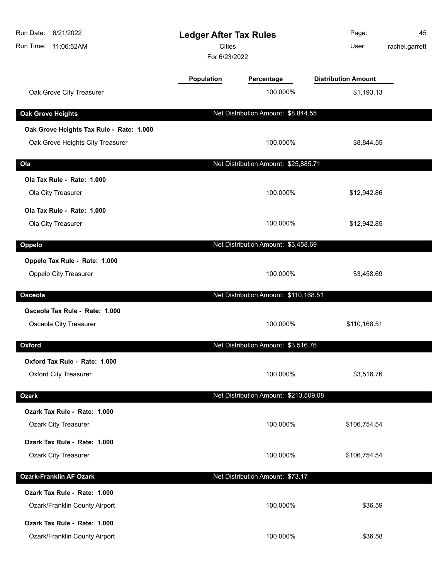| <b>Distribution Amount</b><br><b>Population</b><br>Percentage<br>100.000%<br>Oak Grove City Treasurer<br>\$1,193.13<br>Net Distribution Amount: \$8,844.55<br><b>Oak Grove Heights</b><br>Oak Grove Heights Tax Rule - Rate: 1.000<br>Oak Grove Heights City Treasurer<br>100.000%<br>\$8,844.55<br>Net Distribution Amount: \$25,885.71<br>Ola<br>Ola Tax Rule - Rate: 1.000<br>100.000%<br>Ola City Treasurer<br>\$12,942.86<br>Ola Tax Rule - Rate: 1.000<br>100.000%<br>Ola City Treasurer<br>\$12,942.85<br>Net Distribution Amount: \$3,458.69<br>Oppelo<br>Oppelo Tax Rule - Rate: 1.000<br>Oppelo City Treasurer<br>100.000%<br>\$3,458.69<br>Net Distribution Amount: \$110,168.51<br>Osceola<br>Osceola Tax Rule - Rate: 1.000<br>Osceola City Treasurer<br>100.000%<br>\$110,168.51<br>Oxford<br>Net Distribution Amount: \$3,516.76<br>Oxford Tax Rule - Rate: 1.000<br><b>Oxford City Treasurer</b><br>100.000%<br>\$3,516.76<br>Net Distribution Amount: \$213,509.08<br><b>Ozark</b><br>Ozark Tax Rule - Rate: 1.000<br><b>Ozark City Treasurer</b><br>100.000%<br>\$106,754.54<br>Ozark Tax Rule - Rate: 1.000<br><b>Ozark City Treasurer</b><br>100.000%<br>\$106,754.54<br><b>Ozark-Franklin AF Ozark</b><br>Net Distribution Amount: \$73.17<br>Ozark Tax Rule - Rate: 1.000<br>100.000%<br>\$36.59<br>Ozark/Franklin County Airport<br>Ozark Tax Rule - Rate: 1.000<br>100.000%<br>\$36.58<br>Ozark/Franklin County Airport | Run Date:<br>6/21/2022<br>Run Time:<br>11:06:52AM | <b>Ledger After Tax Rules</b><br><b>Cities</b><br>For 6/23/2022 | Page:<br>User: | 45<br>rachel.garrett |
|-------------------------------------------------------------------------------------------------------------------------------------------------------------------------------------------------------------------------------------------------------------------------------------------------------------------------------------------------------------------------------------------------------------------------------------------------------------------------------------------------------------------------------------------------------------------------------------------------------------------------------------------------------------------------------------------------------------------------------------------------------------------------------------------------------------------------------------------------------------------------------------------------------------------------------------------------------------------------------------------------------------------------------------------------------------------------------------------------------------------------------------------------------------------------------------------------------------------------------------------------------------------------------------------------------------------------------------------------------------------------------------------------------------------------------------------------|---------------------------------------------------|-----------------------------------------------------------------|----------------|----------------------|
|                                                                                                                                                                                                                                                                                                                                                                                                                                                                                                                                                                                                                                                                                                                                                                                                                                                                                                                                                                                                                                                                                                                                                                                                                                                                                                                                                                                                                                                 |                                                   |                                                                 |                |                      |
|                                                                                                                                                                                                                                                                                                                                                                                                                                                                                                                                                                                                                                                                                                                                                                                                                                                                                                                                                                                                                                                                                                                                                                                                                                                                                                                                                                                                                                                 |                                                   |                                                                 |                |                      |
|                                                                                                                                                                                                                                                                                                                                                                                                                                                                                                                                                                                                                                                                                                                                                                                                                                                                                                                                                                                                                                                                                                                                                                                                                                                                                                                                                                                                                                                 |                                                   |                                                                 |                |                      |
|                                                                                                                                                                                                                                                                                                                                                                                                                                                                                                                                                                                                                                                                                                                                                                                                                                                                                                                                                                                                                                                                                                                                                                                                                                                                                                                                                                                                                                                 |                                                   |                                                                 |                |                      |
|                                                                                                                                                                                                                                                                                                                                                                                                                                                                                                                                                                                                                                                                                                                                                                                                                                                                                                                                                                                                                                                                                                                                                                                                                                                                                                                                                                                                                                                 |                                                   |                                                                 |                |                      |
|                                                                                                                                                                                                                                                                                                                                                                                                                                                                                                                                                                                                                                                                                                                                                                                                                                                                                                                                                                                                                                                                                                                                                                                                                                                                                                                                                                                                                                                 |                                                   |                                                                 |                |                      |
|                                                                                                                                                                                                                                                                                                                                                                                                                                                                                                                                                                                                                                                                                                                                                                                                                                                                                                                                                                                                                                                                                                                                                                                                                                                                                                                                                                                                                                                 |                                                   |                                                                 |                |                      |
|                                                                                                                                                                                                                                                                                                                                                                                                                                                                                                                                                                                                                                                                                                                                                                                                                                                                                                                                                                                                                                                                                                                                                                                                                                                                                                                                                                                                                                                 |                                                   |                                                                 |                |                      |
|                                                                                                                                                                                                                                                                                                                                                                                                                                                                                                                                                                                                                                                                                                                                                                                                                                                                                                                                                                                                                                                                                                                                                                                                                                                                                                                                                                                                                                                 |                                                   |                                                                 |                |                      |
|                                                                                                                                                                                                                                                                                                                                                                                                                                                                                                                                                                                                                                                                                                                                                                                                                                                                                                                                                                                                                                                                                                                                                                                                                                                                                                                                                                                                                                                 |                                                   |                                                                 |                |                      |
|                                                                                                                                                                                                                                                                                                                                                                                                                                                                                                                                                                                                                                                                                                                                                                                                                                                                                                                                                                                                                                                                                                                                                                                                                                                                                                                                                                                                                                                 |                                                   |                                                                 |                |                      |
|                                                                                                                                                                                                                                                                                                                                                                                                                                                                                                                                                                                                                                                                                                                                                                                                                                                                                                                                                                                                                                                                                                                                                                                                                                                                                                                                                                                                                                                 |                                                   |                                                                 |                |                      |
|                                                                                                                                                                                                                                                                                                                                                                                                                                                                                                                                                                                                                                                                                                                                                                                                                                                                                                                                                                                                                                                                                                                                                                                                                                                                                                                                                                                                                                                 |                                                   |                                                                 |                |                      |
|                                                                                                                                                                                                                                                                                                                                                                                                                                                                                                                                                                                                                                                                                                                                                                                                                                                                                                                                                                                                                                                                                                                                                                                                                                                                                                                                                                                                                                                 |                                                   |                                                                 |                |                      |
|                                                                                                                                                                                                                                                                                                                                                                                                                                                                                                                                                                                                                                                                                                                                                                                                                                                                                                                                                                                                                                                                                                                                                                                                                                                                                                                                                                                                                                                 |                                                   |                                                                 |                |                      |
|                                                                                                                                                                                                                                                                                                                                                                                                                                                                                                                                                                                                                                                                                                                                                                                                                                                                                                                                                                                                                                                                                                                                                                                                                                                                                                                                                                                                                                                 |                                                   |                                                                 |                |                      |
|                                                                                                                                                                                                                                                                                                                                                                                                                                                                                                                                                                                                                                                                                                                                                                                                                                                                                                                                                                                                                                                                                                                                                                                                                                                                                                                                                                                                                                                 |                                                   |                                                                 |                |                      |
|                                                                                                                                                                                                                                                                                                                                                                                                                                                                                                                                                                                                                                                                                                                                                                                                                                                                                                                                                                                                                                                                                                                                                                                                                                                                                                                                                                                                                                                 |                                                   |                                                                 |                |                      |
|                                                                                                                                                                                                                                                                                                                                                                                                                                                                                                                                                                                                                                                                                                                                                                                                                                                                                                                                                                                                                                                                                                                                                                                                                                                                                                                                                                                                                                                 |                                                   |                                                                 |                |                      |
|                                                                                                                                                                                                                                                                                                                                                                                                                                                                                                                                                                                                                                                                                                                                                                                                                                                                                                                                                                                                                                                                                                                                                                                                                                                                                                                                                                                                                                                 |                                                   |                                                                 |                |                      |
|                                                                                                                                                                                                                                                                                                                                                                                                                                                                                                                                                                                                                                                                                                                                                                                                                                                                                                                                                                                                                                                                                                                                                                                                                                                                                                                                                                                                                                                 |                                                   |                                                                 |                |                      |
|                                                                                                                                                                                                                                                                                                                                                                                                                                                                                                                                                                                                                                                                                                                                                                                                                                                                                                                                                                                                                                                                                                                                                                                                                                                                                                                                                                                                                                                 |                                                   |                                                                 |                |                      |
|                                                                                                                                                                                                                                                                                                                                                                                                                                                                                                                                                                                                                                                                                                                                                                                                                                                                                                                                                                                                                                                                                                                                                                                                                                                                                                                                                                                                                                                 |                                                   |                                                                 |                |                      |
|                                                                                                                                                                                                                                                                                                                                                                                                                                                                                                                                                                                                                                                                                                                                                                                                                                                                                                                                                                                                                                                                                                                                                                                                                                                                                                                                                                                                                                                 |                                                   |                                                                 |                |                      |
|                                                                                                                                                                                                                                                                                                                                                                                                                                                                                                                                                                                                                                                                                                                                                                                                                                                                                                                                                                                                                                                                                                                                                                                                                                                                                                                                                                                                                                                 |                                                   |                                                                 |                |                      |
|                                                                                                                                                                                                                                                                                                                                                                                                                                                                                                                                                                                                                                                                                                                                                                                                                                                                                                                                                                                                                                                                                                                                                                                                                                                                                                                                                                                                                                                 |                                                   |                                                                 |                |                      |
|                                                                                                                                                                                                                                                                                                                                                                                                                                                                                                                                                                                                                                                                                                                                                                                                                                                                                                                                                                                                                                                                                                                                                                                                                                                                                                                                                                                                                                                 |                                                   |                                                                 |                |                      |
|                                                                                                                                                                                                                                                                                                                                                                                                                                                                                                                                                                                                                                                                                                                                                                                                                                                                                                                                                                                                                                                                                                                                                                                                                                                                                                                                                                                                                                                 |                                                   |                                                                 |                |                      |
|                                                                                                                                                                                                                                                                                                                                                                                                                                                                                                                                                                                                                                                                                                                                                                                                                                                                                                                                                                                                                                                                                                                                                                                                                                                                                                                                                                                                                                                 |                                                   |                                                                 |                |                      |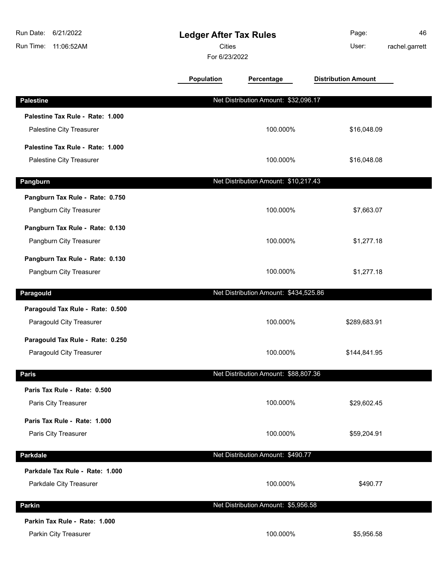| Run Date:<br>6/21/2022<br>Run Time: 11:06:52AM | <b>Ledger After Tax Rules</b><br><b>Cities</b><br>For 6/23/2022 |                                       | Page:<br>User:             | 46<br>rachel.garrett |
|------------------------------------------------|-----------------------------------------------------------------|---------------------------------------|----------------------------|----------------------|
|                                                | <b>Population</b>                                               | Percentage                            | <b>Distribution Amount</b> |                      |
| <b>Palestine</b>                               |                                                                 | Net Distribution Amount: \$32,096.17  |                            |                      |
| Palestine Tax Rule - Rate: 1.000               |                                                                 |                                       |                            |                      |
| Palestine City Treasurer                       |                                                                 | 100.000%                              | \$16,048.09                |                      |
| Palestine Tax Rule - Rate: 1.000               |                                                                 |                                       |                            |                      |
| Palestine City Treasurer                       |                                                                 | 100.000%                              | \$16,048.08                |                      |
| Pangburn                                       |                                                                 | Net Distribution Amount: \$10,217.43  |                            |                      |
| Pangburn Tax Rule - Rate: 0.750                |                                                                 |                                       |                            |                      |
| Pangburn City Treasurer                        |                                                                 | 100.000%                              | \$7,663.07                 |                      |
| Pangburn Tax Rule - Rate: 0.130                |                                                                 |                                       |                            |                      |
| Pangburn City Treasurer                        |                                                                 | 100.000%                              | \$1,277.18                 |                      |
| Pangburn Tax Rule - Rate: 0.130                |                                                                 |                                       |                            |                      |
| Pangburn City Treasurer                        |                                                                 | 100.000%                              | \$1,277.18                 |                      |
| Paragould                                      |                                                                 | Net Distribution Amount: \$434,525.86 |                            |                      |
| Paragould Tax Rule - Rate: 0.500               |                                                                 |                                       |                            |                      |
| Paragould City Treasurer                       |                                                                 | 100.000%                              | \$289,683.91               |                      |
| Paragould Tax Rule - Rate: 0.250               |                                                                 |                                       |                            |                      |
| Paragould City Treasurer                       |                                                                 | 100.000%                              | \$144,841.95               |                      |
| <b>Paris</b>                                   |                                                                 | Net Distribution Amount: \$88,807.36  |                            |                      |
| Paris Tax Rule - Rate: 0.500                   |                                                                 |                                       |                            |                      |
| Paris City Treasurer                           |                                                                 | 100.000%                              | \$29,602.45                |                      |
| Paris Tax Rule - Rate: 1.000                   |                                                                 |                                       |                            |                      |
| Paris City Treasurer                           |                                                                 | 100.000%                              | \$59,204.91                |                      |
| Parkdale                                       |                                                                 | Net Distribution Amount: \$490.77     |                            |                      |
| Parkdale Tax Rule - Rate: 1.000                |                                                                 |                                       |                            |                      |
| Parkdale City Treasurer                        |                                                                 | 100.000%                              | \$490.77                   |                      |
| Parkin                                         |                                                                 | Net Distribution Amount: \$5,956.58   |                            |                      |
| Parkin Tax Rule - Rate: 1.000                  |                                                                 |                                       |                            |                      |
| Parkin City Treasurer                          |                                                                 | 100.000%                              | \$5,956.58                 |                      |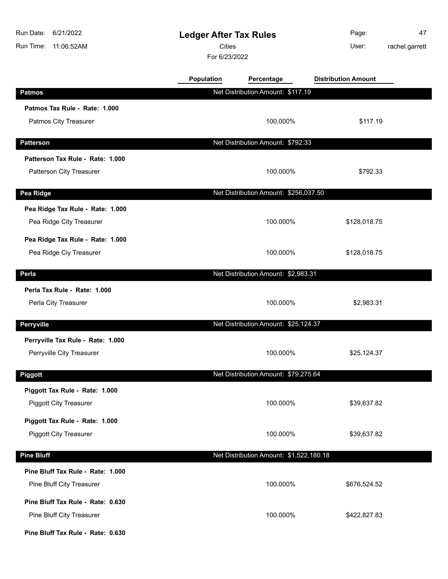| Run Date:<br>6/21/2022<br>Run Time:<br>11:06:52AM | <b>Ledger After Tax Rules</b><br><b>Cities</b><br>For 6/23/2022 |                                         | Page:<br>User:             | 47<br>rachel.garrett |
|---------------------------------------------------|-----------------------------------------------------------------|-----------------------------------------|----------------------------|----------------------|
|                                                   | Population                                                      | Percentage                              | <b>Distribution Amount</b> |                      |
| <b>Patmos</b>                                     |                                                                 | Net Distribution Amount: \$117.19       |                            |                      |
| Patmos Tax Rule - Rate: 1.000                     |                                                                 |                                         |                            |                      |
| Patmos City Treasurer                             |                                                                 | 100.000%                                | \$117.19                   |                      |
| <b>Patterson</b>                                  |                                                                 | Net Distribution Amount: \$792.33       |                            |                      |
| Patterson Tax Rule - Rate: 1.000                  |                                                                 |                                         |                            |                      |
| Patterson City Treasurer                          |                                                                 | 100.000%                                | \$792.33                   |                      |
| Pea Ridge                                         |                                                                 | Net Distribution Amount: \$256,037.50   |                            |                      |
| Pea Ridge Tax Rule - Rate: 1.000                  |                                                                 |                                         |                            |                      |
| Pea Ridge City Treasurer                          |                                                                 | 100.000%                                | \$128,018.75               |                      |
| Pea Ridge Tax Rule - Rate: 1.000                  |                                                                 |                                         |                            |                      |
| Pea Ridge Ciy Treasurer                           |                                                                 | 100.000%                                | \$128,018.75               |                      |
| Perla                                             |                                                                 | Net Distribution Amount: \$2,983.31     |                            |                      |
| Perla Tax Rule - Rate: 1.000                      |                                                                 |                                         |                            |                      |
| Perla City Treasurer                              |                                                                 | 100.000%                                | \$2,983.31                 |                      |
| <b>Perryville</b>                                 |                                                                 | Net Distribution Amount: \$25,124.37    |                            |                      |
| Perryville Tax Rule - Rate: 1.000                 |                                                                 |                                         |                            |                      |
| Perryville City Treasurer                         |                                                                 | 100.000%                                | \$25,124.37                |                      |
| <b>Piggott</b>                                    |                                                                 | Net Distribution Amount: \$79,275.64    |                            |                      |
| Piggott Tax Rule - Rate: 1.000                    |                                                                 |                                         |                            |                      |
| <b>Piggott City Treasurer</b>                     |                                                                 | 100.000%                                | \$39,637.82                |                      |
| Piggott Tax Rule - Rate: 1.000                    |                                                                 |                                         |                            |                      |
| <b>Piggott City Treasurer</b>                     |                                                                 | 100.000%                                | \$39,637.82                |                      |
| <b>Pine Bluff</b>                                 |                                                                 | Net Distribution Amount: \$1,522,180.18 |                            |                      |
| Pine Bluff Tax Rule - Rate: 1.000                 |                                                                 |                                         |                            |                      |
| Pine Bluff City Treasurer                         |                                                                 | 100.000%                                | \$676,524.52               |                      |
| Pine Bluff Tax Rule - Rate: 0.630                 |                                                                 |                                         |                            |                      |
| Pine Bluff City Treasurer                         |                                                                 | 100.000%                                | \$422,827.83               |                      |
| Pine Bluff Tax Rule - Rate: 0.630                 |                                                                 |                                         |                            |                      |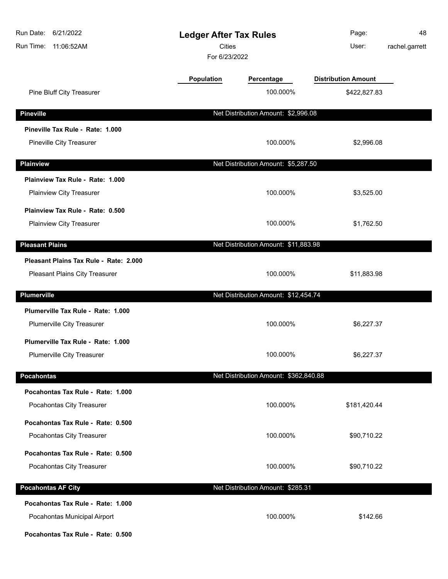| 6/21/2022<br>Run Date:<br>Run Time:<br>11:06:52AM | <b>Ledger After Tax Rules</b><br>Cities<br>For 6/23/2022 |                                       | Page:<br>User:             | 48<br>rachel.garrett |
|---------------------------------------------------|----------------------------------------------------------|---------------------------------------|----------------------------|----------------------|
|                                                   | Population                                               | Percentage                            | <b>Distribution Amount</b> |                      |
| Pine Bluff City Treasurer                         |                                                          | 100.000%                              | \$422,827.83               |                      |
| <b>Pineville</b>                                  |                                                          | Net Distribution Amount: \$2,996.08   |                            |                      |
| Pineville Tax Rule - Rate: 1.000                  |                                                          |                                       |                            |                      |
| Pineville City Treasurer                          |                                                          | 100.000%                              | \$2,996.08                 |                      |
| <b>Plainview</b>                                  |                                                          | Net Distribution Amount: \$5,287.50   |                            |                      |
| Plainview Tax Rule - Rate: 1.000                  |                                                          |                                       |                            |                      |
| Plainview City Treasurer                          |                                                          | 100.000%                              | \$3,525.00                 |                      |
| Plainview Tax Rule - Rate: 0.500                  |                                                          |                                       |                            |                      |
| Plainview City Treasurer                          |                                                          | 100.000%                              | \$1,762.50                 |                      |
| <b>Pleasant Plains</b>                            |                                                          | Net Distribution Amount: \$11,883.98  |                            |                      |
| Pleasant Plains Tax Rule - Rate: 2.000            |                                                          |                                       |                            |                      |
| Pleasant Plains City Treasurer                    |                                                          | 100.000%                              | \$11,883.98                |                      |
| Plumerville                                       |                                                          | Net Distribution Amount: \$12,454.74  |                            |                      |
| Plumerville Tax Rule - Rate: 1.000                |                                                          |                                       |                            |                      |
| Plumerville City Treasurer                        |                                                          | 100.000%                              | \$6,227.37                 |                      |
| Plumerville Tax Rule - Rate: 1.000                |                                                          |                                       |                            |                      |
| <b>Plumerville City Treasurer</b>                 |                                                          | 100.000%                              | \$6,227.37                 |                      |
| <b>Pocahontas</b>                                 |                                                          | Net Distribution Amount: \$362,840.88 |                            |                      |
| Pocahontas Tax Rule - Rate: 1.000                 |                                                          |                                       |                            |                      |
| Pocahontas City Treasurer                         |                                                          | 100.000%                              | \$181,420.44               |                      |
| Pocahontas Tax Rule - Rate: 0.500                 |                                                          |                                       |                            |                      |
| Pocahontas City Treasurer                         |                                                          | 100.000%                              | \$90,710.22                |                      |
| Pocahontas Tax Rule - Rate: 0.500                 |                                                          |                                       |                            |                      |
| Pocahontas City Treasurer                         |                                                          | 100.000%                              | \$90,710.22                |                      |
| <b>Pocahontas AF City</b>                         |                                                          | Net Distribution Amount: \$285.31     |                            |                      |
| Pocahontas Tax Rule - Rate: 1.000                 |                                                          |                                       |                            |                      |
| Pocahontas Municipal Airport                      |                                                          | 100.000%                              | \$142.66                   |                      |
| Pocahontas Tax Rule - Rate: 0.500                 |                                                          |                                       |                            |                      |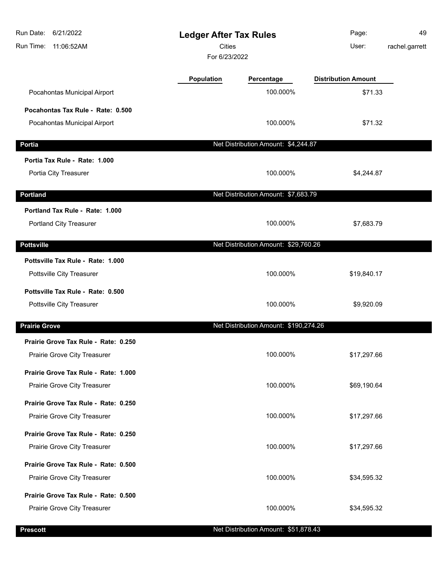| Run Date:<br>6/21/2022<br>Run Time:<br>11:06:52AM |                   | <b>Ledger After Tax Rules</b><br><b>Cities</b><br>For 6/23/2022 |                            | 49<br>rachel.garrett |
|---------------------------------------------------|-------------------|-----------------------------------------------------------------|----------------------------|----------------------|
|                                                   | <b>Population</b> | Percentage                                                      | <b>Distribution Amount</b> |                      |
| Pocahontas Municipal Airport                      |                   | 100.000%                                                        | \$71.33                    |                      |
| Pocahontas Tax Rule - Rate: 0.500                 |                   |                                                                 |                            |                      |
| Pocahontas Municipal Airport                      |                   | 100.000%                                                        | \$71.32                    |                      |
| <b>Portia</b>                                     |                   | Net Distribution Amount: \$4,244.87                             |                            |                      |
| Portia Tax Rule - Rate: 1.000                     |                   |                                                                 |                            |                      |
| Portia City Treasurer                             |                   | 100.000%                                                        | \$4,244.87                 |                      |
| <b>Portland</b>                                   |                   | Net Distribution Amount: \$7,683.79                             |                            |                      |
| Portland Tax Rule - Rate: 1.000                   |                   |                                                                 |                            |                      |
| Portland City Treasurer                           |                   | 100.000%                                                        | \$7,683.79                 |                      |
| <b>Pottsville</b>                                 |                   | Net Distribution Amount: \$29,760.26                            |                            |                      |
| Pottsville Tax Rule - Rate: 1.000                 |                   |                                                                 |                            |                      |
| Pottsville City Treasurer                         |                   | 100.000%                                                        | \$19,840.17                |                      |
| Pottsville Tax Rule - Rate: 0.500                 |                   |                                                                 |                            |                      |
| Pottsville City Treasurer                         |                   | 100.000%                                                        | \$9,920.09                 |                      |
| <b>Prairie Grove</b>                              |                   | Net Distribution Amount: \$190,274.26                           |                            |                      |
| Prairie Grove Tax Rule - Rate: 0.250              |                   |                                                                 |                            |                      |
| Prairie Grove City Treasurer                      |                   | 100.000%                                                        | \$17,297.66                |                      |
| Prairie Grove Tax Rule - Rate: 1.000              |                   |                                                                 |                            |                      |
| Prairie Grove City Treasurer                      |                   | 100.000%                                                        | \$69,190.64                |                      |
| Prairie Grove Tax Rule - Rate: 0.250              |                   |                                                                 |                            |                      |
| Prairie Grove City Treasurer                      |                   | 100.000%                                                        | \$17,297.66                |                      |
| Prairie Grove Tax Rule - Rate: 0.250              |                   |                                                                 |                            |                      |
| Prairie Grove City Treasurer                      |                   | 100.000%                                                        | \$17,297.66                |                      |
| Prairie Grove Tax Rule - Rate: 0.500              |                   |                                                                 |                            |                      |
| Prairie Grove City Treasurer                      |                   | 100.000%                                                        | \$34,595.32                |                      |
| Prairie Grove Tax Rule - Rate: 0.500              |                   |                                                                 |                            |                      |
| Prairie Grove City Treasurer                      |                   | 100.000%                                                        | \$34,595.32                |                      |
|                                                   |                   |                                                                 |                            |                      |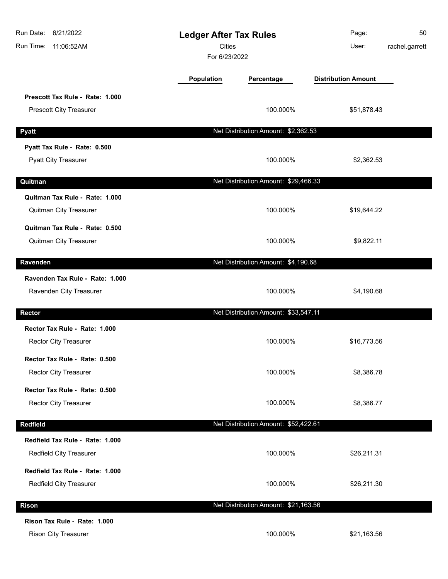| 6/21/2022<br>Run Date:<br>Run Time:<br>11:06:52AM                 | <b>Ledger After Tax Rules</b><br><b>Cities</b><br>For 6/23/2022 |                                      | Page:<br>User:             | 50<br>rachel.garrett |
|-------------------------------------------------------------------|-----------------------------------------------------------------|--------------------------------------|----------------------------|----------------------|
|                                                                   | <b>Population</b>                                               | Percentage                           | <b>Distribution Amount</b> |                      |
| Prescott Tax Rule - Rate: 1.000<br><b>Prescott City Treasurer</b> |                                                                 | 100.000%                             | \$51,878.43                |                      |
| <b>Pyatt</b>                                                      |                                                                 | Net Distribution Amount: \$2,362.53  |                            |                      |
| Pyatt Tax Rule - Rate: 0.500<br><b>Pyatt City Treasurer</b>       |                                                                 | 100.000%                             | \$2,362.53                 |                      |
| Quitman                                                           |                                                                 | Net Distribution Amount: \$29,466.33 |                            |                      |
| Quitman Tax Rule - Rate: 1.000<br>Quitman City Treasurer          |                                                                 | 100.000%                             | \$19,644.22                |                      |
| Quitman Tax Rule - Rate: 0.500<br>Quitman City Treasurer          |                                                                 | 100.000%                             | \$9,822.11                 |                      |
| Ravenden                                                          |                                                                 | Net Distribution Amount: \$4,190.68  |                            |                      |
| Ravenden Tax Rule - Rate: 1.000<br>Ravenden City Treasurer        |                                                                 | 100.000%                             | \$4,190.68                 |                      |
| <b>Rector</b>                                                     |                                                                 | Net Distribution Amount: \$33,547.11 |                            |                      |
| Rector Tax Rule - Rate: 1.000<br>Rector City Treasurer            |                                                                 | 100.000%                             | \$16,773.56                |                      |
| Rector Tax Rule - Rate: 0.500<br><b>Rector City Treasurer</b>     |                                                                 | 100.000%                             | \$8,386.78                 |                      |
| Rector Tax Rule - Rate: 0.500<br><b>Rector City Treasurer</b>     |                                                                 | 100.000%                             | \$8,386.77                 |                      |
| <b>Redfield</b>                                                   |                                                                 | Net Distribution Amount: \$52,422.61 |                            |                      |
| Redfield Tax Rule - Rate: 1.000<br>Redfield City Treasurer        |                                                                 | 100.000%                             | \$26,211.31                |                      |
| Redfield Tax Rule - Rate: 1.000<br>Redfield City Treasurer        |                                                                 | 100.000%                             | \$26,211.30                |                      |
| <b>Rison</b>                                                      |                                                                 | Net Distribution Amount: \$21,163.56 |                            |                      |
| Rison Tax Rule - Rate: 1.000<br>Rison City Treasurer              |                                                                 | 100.000%                             | \$21,163.56                |                      |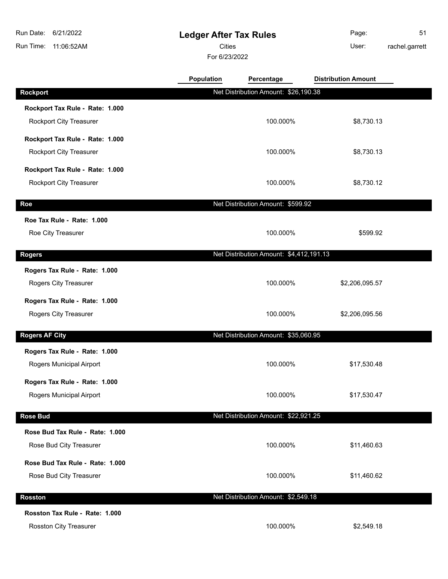# **Ledger After Tax Rules**

Cities User:

For 6/23/2022

Page: 51 rachel.garrett

|                                 | <b>Population</b> | Percentage                              | <b>Distribution Amount</b> |  |
|---------------------------------|-------------------|-----------------------------------------|----------------------------|--|
| <b>Rockport</b>                 |                   | Net Distribution Amount: \$26,190.38    |                            |  |
| Rockport Tax Rule - Rate: 1.000 |                   |                                         |                            |  |
| Rockport City Treasurer         |                   | 100.000%                                | \$8,730.13                 |  |
| Rockport Tax Rule - Rate: 1.000 |                   |                                         |                            |  |
| Rockport City Treasurer         |                   | 100.000%                                | \$8,730.13                 |  |
| Rockport Tax Rule - Rate: 1.000 |                   |                                         |                            |  |
| Rockport City Treasurer         |                   | 100.000%                                | \$8,730.12                 |  |
| Roe                             |                   | Net Distribution Amount: \$599.92       |                            |  |
| Roe Tax Rule - Rate: 1.000      |                   |                                         |                            |  |
| Roe City Treasurer              |                   | 100.000%                                | \$599.92                   |  |
| <b>Rogers</b>                   |                   | Net Distribution Amount: \$4,412,191.13 |                            |  |
| Rogers Tax Rule - Rate: 1.000   |                   |                                         |                            |  |
| Rogers City Treasurer           |                   | 100.000%                                | \$2,206,095.57             |  |
| Rogers Tax Rule - Rate: 1.000   |                   |                                         |                            |  |
| Rogers City Treasurer           |                   | 100.000%                                | \$2,206,095.56             |  |
| <b>Rogers AF City</b>           |                   | Net Distribution Amount: \$35,060.95    |                            |  |
| Rogers Tax Rule - Rate: 1.000   |                   |                                         |                            |  |
| Rogers Municipal Airport        |                   | 100.000%                                | \$17,530.48                |  |
| Rogers Tax Rule - Rate: 1.000   |                   |                                         |                            |  |
| Rogers Municipal Airport        |                   | 100.000%                                | \$17,530.47                |  |
| <b>Rose Bud</b>                 |                   | Net Distribution Amount: \$22,921.25    |                            |  |
| Rose Bud Tax Rule - Rate: 1.000 |                   |                                         |                            |  |
| Rose Bud City Treasurer         |                   | 100.000%                                | \$11,460.63                |  |
| Rose Bud Tax Rule - Rate: 1.000 |                   |                                         |                            |  |
| Rose Bud City Treasurer         |                   | 100.000%                                | \$11,460.62                |  |
| <b>Rosston</b>                  |                   | Net Distribution Amount: \$2,549.18     |                            |  |
| Rosston Tax Rule - Rate: 1.000  |                   |                                         |                            |  |
| Rosston City Treasurer          |                   | 100.000%                                | \$2,549.18                 |  |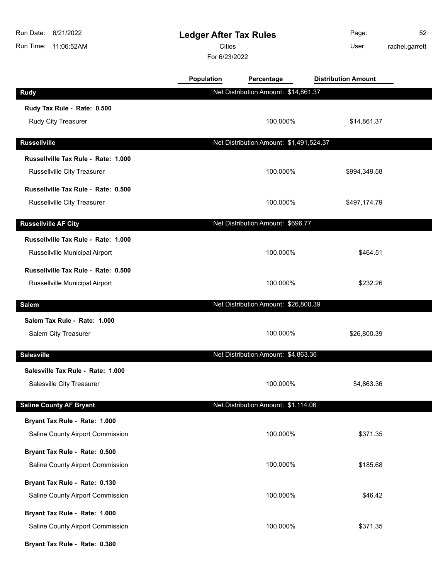| Run Date:<br>6/21/2022<br>Run Time:<br>11:06:52AM |                   | <b>Ledger After Tax Rules</b><br><b>Cities</b><br>For 6/23/2022 |                            | 52<br>rachel.garrett |
|---------------------------------------------------|-------------------|-----------------------------------------------------------------|----------------------------|----------------------|
|                                                   | <b>Population</b> | Percentage                                                      | <b>Distribution Amount</b> |                      |
| <b>Rudy</b>                                       |                   | Net Distribution Amount: \$14,861.37                            |                            |                      |
| Rudy Tax Rule - Rate: 0.500                       |                   |                                                                 |                            |                      |
| Rudy City Treasurer                               |                   | 100.000%                                                        | \$14,861.37                |                      |
| <b>Russellville</b>                               |                   | Net Distribution Amount: \$1,491,524.37                         |                            |                      |
| Russellville Tax Rule - Rate: 1.000               |                   |                                                                 |                            |                      |
| Russellville City Treasurer                       |                   | 100.000%                                                        | \$994,349.58               |                      |
| Russellville Tax Rule - Rate: 0.500               |                   |                                                                 |                            |                      |
| Russellville City Treasurer                       |                   | 100.000%                                                        | \$497,174.79               |                      |
|                                                   |                   |                                                                 |                            |                      |
| <b>Russellville AF City</b>                       |                   | Net Distribution Amount: \$696.77                               |                            |                      |
| Russellville Tax Rule - Rate: 1.000               |                   |                                                                 |                            |                      |
| Russellville Municipal Airport                    |                   | 100.000%                                                        | \$464.51                   |                      |
| Russellville Tax Rule - Rate: 0.500               |                   |                                                                 |                            |                      |
| Russellville Municipal Airport                    |                   | 100.000%                                                        | \$232.26                   |                      |
| <b>Salem</b>                                      |                   | Net Distribution Amount: \$26,800.39                            |                            |                      |
| Salem Tax Rule - Rate: 1.000                      |                   |                                                                 |                            |                      |
| Salem City Treasurer                              |                   | 100.000%                                                        | \$26,800.39                |                      |
| <b>Salesville</b>                                 |                   | Net Distribution Amount: \$4,863.36                             |                            |                      |
| Salesville Tax Rule - Rate: 1.000                 |                   |                                                                 |                            |                      |
| Salesville City Treasurer                         |                   | 100.000%                                                        | \$4,863.36                 |                      |
| <b>Saline County AF Bryant</b>                    |                   | Net Distribution Amount: \$1,114.06                             |                            |                      |
| Bryant Tax Rule - Rate: 1.000                     |                   |                                                                 |                            |                      |
| Saline County Airport Commission                  |                   | 100.000%                                                        | \$371.35                   |                      |
| Bryant Tax Rule - Rate: 0.500                     |                   |                                                                 |                            |                      |
| Saline County Airport Commission                  |                   | 100.000%                                                        | \$185.68                   |                      |
| Bryant Tax Rule - Rate: 0.130                     |                   |                                                                 |                            |                      |
| Saline County Airport Commission                  |                   | 100.000%                                                        | \$46.42                    |                      |
| Bryant Tax Rule - Rate: 1.000                     |                   |                                                                 |                            |                      |
| Saline County Airport Commission                  |                   | 100.000%                                                        | \$371.35                   |                      |
| Bryant Tax Rule - Rate: 0.380                     |                   |                                                                 |                            |                      |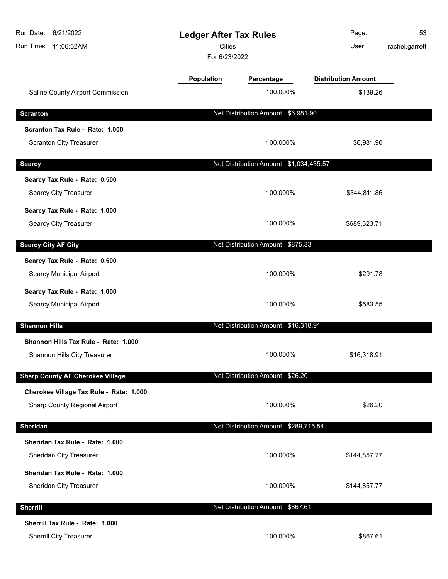| Run Date:<br>6/21/2022<br>Run Time:<br>11:06:52AM | <b>Ledger After Tax Rules</b><br><b>Cities</b><br>For 6/23/2022 |                                         | Page:<br>User:             | 53<br>rachel.garrett |
|---------------------------------------------------|-----------------------------------------------------------------|-----------------------------------------|----------------------------|----------------------|
|                                                   | <b>Population</b>                                               | Percentage                              | <b>Distribution Amount</b> |                      |
| Saline County Airport Commission                  |                                                                 | 100.000%                                | \$139.26                   |                      |
| <b>Scranton</b>                                   |                                                                 | Net Distribution Amount: \$6,981.90     |                            |                      |
| Scranton Tax Rule - Rate: 1.000                   |                                                                 |                                         |                            |                      |
| <b>Scranton City Treasurer</b>                    |                                                                 | 100.000%                                | \$6,981.90                 |                      |
| <b>Searcy</b>                                     |                                                                 | Net Distribution Amount: \$1,034,435.57 |                            |                      |
| Searcy Tax Rule - Rate: 0.500                     |                                                                 |                                         |                            |                      |
| Searcy City Treasurer                             |                                                                 | 100.000%                                | \$344,811.86               |                      |
| Searcy Tax Rule - Rate: 1.000                     |                                                                 |                                         |                            |                      |
| Searcy City Treasurer                             |                                                                 | 100.000%                                | \$689,623.71               |                      |
| <b>Searcy City AF City</b>                        |                                                                 | Net Distribution Amount: \$875.33       |                            |                      |
| Searcy Tax Rule - Rate: 0.500                     |                                                                 |                                         |                            |                      |
| Searcy Municipal Airport                          |                                                                 | 100.000%                                | \$291.78                   |                      |
| Searcy Tax Rule - Rate: 1.000                     |                                                                 |                                         |                            |                      |
| Searcy Municipal Airport                          |                                                                 | 100.000%                                | \$583.55                   |                      |
| <b>Shannon Hills</b>                              |                                                                 | Net Distribution Amount: \$16,318.91    |                            |                      |
| Shannon Hills Tax Rule - Rate: 1.000              |                                                                 |                                         |                            |                      |
| Shannon Hills City Treasurer                      |                                                                 | 100.000%                                | \$16,318.91                |                      |
| <b>Sharp County AF Cherokee Village</b>           |                                                                 | Net Distribution Amount: \$26.20        |                            |                      |
| Cherokee Village Tax Rule - Rate: 1.000           |                                                                 |                                         |                            |                      |
| Sharp County Regional Airport                     |                                                                 | 100.000%                                | \$26.20                    |                      |
| <b>Sheridan</b>                                   |                                                                 | Net Distribution Amount: \$289,715.54   |                            |                      |
| Sheridan Tax Rule - Rate: 1.000                   |                                                                 |                                         |                            |                      |
| Sheridan City Treasurer                           |                                                                 | 100.000%                                | \$144,857.77               |                      |
| Sheridan Tax Rule - Rate: 1.000                   |                                                                 |                                         |                            |                      |
| Sheridan City Treasurer                           |                                                                 | 100.000%                                | \$144,857.77               |                      |
| <b>Sherrill</b>                                   |                                                                 | Net Distribution Amount: \$867.61       |                            |                      |
| Sherrill Tax Rule - Rate: 1.000                   |                                                                 |                                         |                            |                      |
| Sherrill City Treasurer                           |                                                                 | 100.000%                                | \$867.61                   |                      |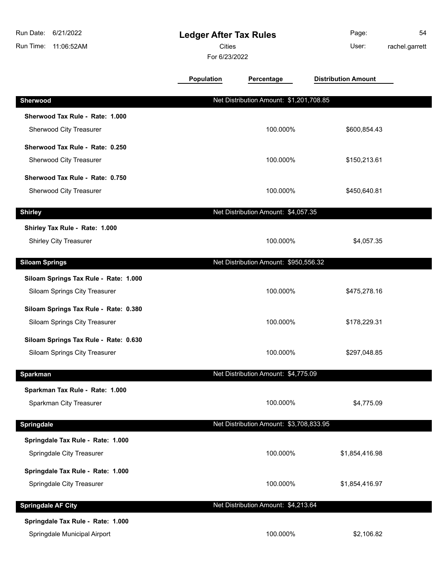| Run Date:<br>6/21/2022<br>Run Time:<br>11:06:52AM                      | <b>Ledger After Tax Rules</b><br><b>Cities</b><br>For 6/23/2022 |                                         | Page:<br>User:             | 54<br>rachel.garrett |
|------------------------------------------------------------------------|-----------------------------------------------------------------|-----------------------------------------|----------------------------|----------------------|
|                                                                        | Population                                                      | Percentage                              | <b>Distribution Amount</b> |                      |
| Sherwood                                                               |                                                                 | Net Distribution Amount: \$1,201,708.85 |                            |                      |
| Sherwood Tax Rule - Rate: 1.000<br>Sherwood City Treasurer             |                                                                 | 100.000%                                | \$600,854.43               |                      |
| Sherwood Tax Rule - Rate: 0.250<br>Sherwood City Treasurer             |                                                                 | 100.000%                                | \$150,213.61               |                      |
| Sherwood Tax Rule - Rate: 0.750<br>Sherwood City Treasurer             |                                                                 | 100.000%                                | \$450,640.81               |                      |
| <b>Shirley</b>                                                         |                                                                 | Net Distribution Amount: \$4,057.35     |                            |                      |
| Shirley Tax Rule - Rate: 1.000<br>Shirley City Treasurer               |                                                                 | 100.000%                                | \$4,057.35                 |                      |
| <b>Siloam Springs</b>                                                  |                                                                 | Net Distribution Amount: \$950,556.32   |                            |                      |
| Siloam Springs Tax Rule - Rate: 1.000                                  |                                                                 |                                         |                            |                      |
| Siloam Springs City Treasurer                                          |                                                                 | 100.000%                                | \$475,278.16               |                      |
| Siloam Springs Tax Rule - Rate: 0.380<br>Siloam Springs City Treasurer |                                                                 | 100.000%                                | \$178,229.31               |                      |
| Siloam Springs Tax Rule - Rate: 0.630<br>Siloam Springs City Treasurer |                                                                 | 100.000%                                | \$297,048.85               |                      |
| <b>Sparkman</b>                                                        |                                                                 | Net Distribution Amount: \$4,775.09     |                            |                      |
| Sparkman Tax Rule - Rate: 1.000<br>Sparkman City Treasurer             |                                                                 | 100.000%                                | \$4,775.09                 |                      |
| Springdale                                                             |                                                                 | Net Distribution Amount: \$3,708,833.95 |                            |                      |
| Springdale Tax Rule - Rate: 1.000<br>Springdale City Treasurer         |                                                                 | 100.000%                                | \$1,854,416.98             |                      |
| Springdale Tax Rule - Rate: 1.000<br>Springdale City Treasurer         |                                                                 | 100.000%                                | \$1,854,416.97             |                      |
| <b>Springdale AF City</b>                                              |                                                                 | Net Distribution Amount: \$4,213.64     |                            |                      |
| Springdale Tax Rule - Rate: 1.000<br>Springdale Municipal Airport      |                                                                 | 100.000%                                | \$2,106.82                 |                      |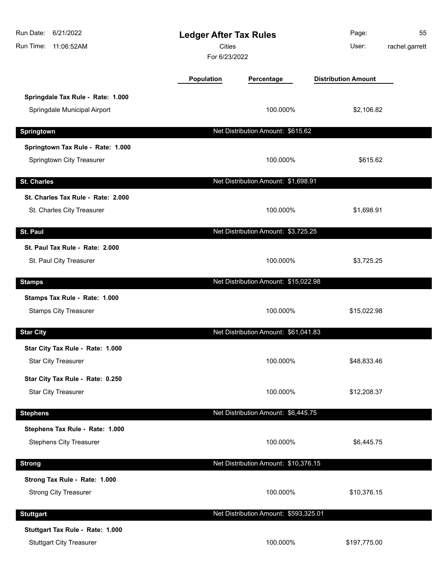| Run Date: 6/21/2022<br>Run Time: 11:06:52AM                         | <b>Ledger After Tax Rules</b><br><b>Cities</b><br>For 6/23/2022 |                                       | Page:<br>User:             | 55<br>rachel.garrett |
|---------------------------------------------------------------------|-----------------------------------------------------------------|---------------------------------------|----------------------------|----------------------|
|                                                                     | Population                                                      | Percentage                            | <b>Distribution Amount</b> |                      |
| Springdale Tax Rule - Rate: 1.000<br>Springdale Municipal Airport   |                                                                 | 100.000%                              | \$2,106.82                 |                      |
| Springtown                                                          |                                                                 | Net Distribution Amount: \$615.62     |                            |                      |
| Springtown Tax Rule - Rate: 1.000<br>Springtown City Treasurer      |                                                                 | 100.000%                              | \$615.62                   |                      |
| <b>St. Charles</b>                                                  |                                                                 | Net Distribution Amount: \$1,698.91   |                            |                      |
| St. Charles Tax Rule - Rate: 2.000<br>St. Charles City Treasurer    |                                                                 | 100.000%                              | \$1,698.91                 |                      |
| St. Paul                                                            |                                                                 | Net Distribution Amount: \$3,725.25   |                            |                      |
| St. Paul Tax Rule - Rate: 2.000<br>St. Paul City Treasurer          |                                                                 | 100.000%                              | \$3,725.25                 |                      |
| <b>Stamps</b>                                                       |                                                                 | Net Distribution Amount: \$15,022.98  |                            |                      |
| Stamps Tax Rule - Rate: 1.000<br><b>Stamps City Treasurer</b>       |                                                                 | 100.000%                              | \$15,022.98                |                      |
| <b>Star City</b>                                                    |                                                                 | Net Distribution Amount: \$61,041.83  |                            |                      |
| Star City Tax Rule - Rate: 1.000<br><b>Star City Treasurer</b>      |                                                                 | 100.000%                              | \$48,833.46                |                      |
| Star City Tax Rule - Rate: 0.250<br><b>Star City Treasurer</b>      |                                                                 | 100.000%                              | \$12,208.37                |                      |
| <b>Stephens</b>                                                     |                                                                 | Net Distribution Amount: \$6,445.75   |                            |                      |
| Stephens Tax Rule - Rate: 1.000<br><b>Stephens City Treasurer</b>   |                                                                 | 100.000%                              | \$6,445.75                 |                      |
| <b>Strong</b>                                                       |                                                                 | Net Distribution Amount: \$10,376.15  |                            |                      |
| Strong Tax Rule - Rate: 1.000<br><b>Strong City Treasurer</b>       |                                                                 | 100.000%                              | \$10,376.15                |                      |
| <b>Stuttgart</b>                                                    |                                                                 | Net Distribution Amount: \$593,325.01 |                            |                      |
| Stuttgart Tax Rule - Rate: 1.000<br><b>Stuttgart City Treasurer</b> |                                                                 | 100.000%                              | \$197,775.00               |                      |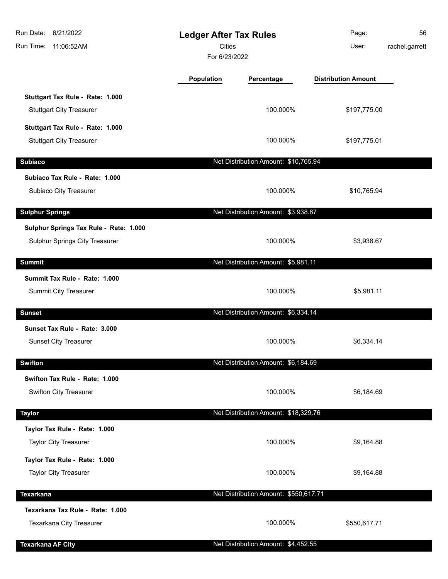| Run Date:<br>6/21/2022<br>Run Time:<br>11:06:52AM                        | <b>Ledger After Tax Rules</b><br><b>Cities</b><br>For 6/23/2022 |                                       | Page:<br>User:             | 56<br>rachel.garrett |
|--------------------------------------------------------------------------|-----------------------------------------------------------------|---------------------------------------|----------------------------|----------------------|
|                                                                          | Population                                                      | Percentage                            | <b>Distribution Amount</b> |                      |
| Stuttgart Tax Rule - Rate: 1.000<br><b>Stuttgart City Treasurer</b>      |                                                                 | 100.000%                              | \$197,775.00               |                      |
| Stuttgart Tax Rule - Rate: 1.000<br><b>Stuttgart City Treasurer</b>      |                                                                 | 100.000%                              | \$197,775.01               |                      |
| <b>Subiaco</b>                                                           |                                                                 | Net Distribution Amount: \$10,765.94  |                            |                      |
| Subiaco Tax Rule - Rate: 1.000<br>Subiaco City Treasurer                 |                                                                 | 100.000%                              | \$10,765.94                |                      |
| <b>Sulphur Springs</b>                                                   |                                                                 | Net Distribution Amount: \$3,938.67   |                            |                      |
| Sulphur Springs Tax Rule - Rate: 1.000<br>Sulphur Springs City Treasurer |                                                                 | 100.000%                              | \$3,938.67                 |                      |
| <b>Summit</b>                                                            |                                                                 | Net Distribution Amount: \$5,981.11   |                            |                      |
| Summit Tax Rule - Rate: 1.000<br>Summit City Treasurer                   |                                                                 | 100.000%                              | \$5,981.11                 |                      |
| <b>Sunset</b>                                                            |                                                                 | Net Distribution Amount: \$6,334.14   |                            |                      |
| Sunset Tax Rule - Rate: 3.000<br><b>Sunset City Treasurer</b>            |                                                                 | 100.000%                              | \$6,334.14                 |                      |
| <b>Swifton</b>                                                           |                                                                 | Net Distribution Amount: \$6,184.69   |                            |                      |
| Swifton Tax Rule - Rate: 1.000<br><b>Swifton City Treasurer</b>          |                                                                 | 100.000%                              | \$6,184.69                 |                      |
| <b>Taylor</b>                                                            |                                                                 | Net Distribution Amount: \$18,329.76  |                            |                      |
| Taylor Tax Rule - Rate: 1.000<br><b>Taylor City Treasurer</b>            |                                                                 | 100.000%                              | \$9,164.88                 |                      |
| Taylor Tax Rule - Rate: 1.000<br><b>Taylor City Treasurer</b>            |                                                                 | 100.000%                              | \$9,164.88                 |                      |
| <b>Texarkana</b>                                                         |                                                                 | Net Distribution Amount: \$550,617.71 |                            |                      |
| Texarkana Tax Rule - Rate: 1.000<br>Texarkana City Treasurer             |                                                                 | 100.000%                              | \$550,617.71               |                      |
| <b>Texarkana AF City</b>                                                 |                                                                 | Net Distribution Amount: \$4,452.55   |                            |                      |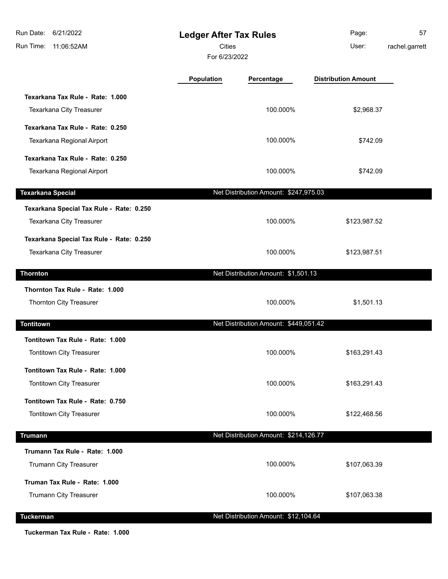| Run Date: 6/21/2022<br>Run Time: 11:06:52AM | <b>Ledger After Tax Rules</b><br><b>Cities</b><br>For 6/23/2022 |                                       | Page:<br>User:             | 57<br>rachel.garrett |
|---------------------------------------------|-----------------------------------------------------------------|---------------------------------------|----------------------------|----------------------|
|                                             | <b>Population</b>                                               | Percentage                            | <b>Distribution Amount</b> |                      |
| Texarkana Tax Rule - Rate: 1.000            |                                                                 |                                       |                            |                      |
| Texarkana City Treasurer                    |                                                                 | 100.000%                              | \$2,968.37                 |                      |
| Texarkana Tax Rule - Rate: 0.250            |                                                                 |                                       |                            |                      |
| Texarkana Regional Airport                  |                                                                 | 100.000%                              | \$742.09                   |                      |
| Texarkana Tax Rule - Rate: 0.250            |                                                                 |                                       |                            |                      |
| Texarkana Regional Airport                  |                                                                 | 100.000%                              | \$742.09                   |                      |
| <b>Texarkana Special</b>                    |                                                                 | Net Distribution Amount: \$247,975.03 |                            |                      |
| Texarkana Special Tax Rule - Rate: 0.250    |                                                                 |                                       |                            |                      |
| Texarkana City Treasurer                    |                                                                 | 100.000%                              | \$123,987.52               |                      |
| Texarkana Special Tax Rule - Rate: 0.250    |                                                                 |                                       |                            |                      |
| Texarkana City Treasurer                    |                                                                 | 100.000%                              | \$123,987.51               |                      |
| <b>Thornton</b>                             |                                                                 | Net Distribution Amount: \$1,501.13   |                            |                      |
| Thornton Tax Rule - Rate: 1.000             |                                                                 |                                       |                            |                      |
| Thornton City Treasurer                     |                                                                 | 100.000%                              | \$1,501.13                 |                      |
| <b>Tontitown</b>                            |                                                                 | Net Distribution Amount: \$449,051.42 |                            |                      |
| Tontitown Tax Rule - Rate: 1.000            |                                                                 |                                       |                            |                      |
| <b>Tontitown City Treasurer</b>             |                                                                 | 100.000%                              | \$163,291.43               |                      |
| Tontitown Tax Rule - Rate: 1.000            |                                                                 |                                       |                            |                      |
| Tontitown City Treasurer                    |                                                                 | 100.000%                              | \$163,291.43               |                      |
| Tontitown Tax Rule - Rate: 0.750            |                                                                 |                                       |                            |                      |
| Tontitown City Treasurer                    |                                                                 | 100.000%                              | \$122,468.56               |                      |
| <b>Trumann</b>                              |                                                                 | Net Distribution Amount: \$214,126.77 |                            |                      |
| Trumann Tax Rule - Rate: 1.000              |                                                                 |                                       |                            |                      |
| Trumann City Treasurer                      |                                                                 | 100.000%                              | \$107,063.39               |                      |
| Truman Tax Rule - Rate: 1.000               |                                                                 |                                       |                            |                      |
| Trumann City Treasurer                      |                                                                 | 100.000%                              | \$107,063.38               |                      |
| <b>Tuckerman</b>                            |                                                                 | Net Distribution Amount: \$12,104.64  |                            |                      |

**Tuckerman Tax Rule - Rate: 1.000**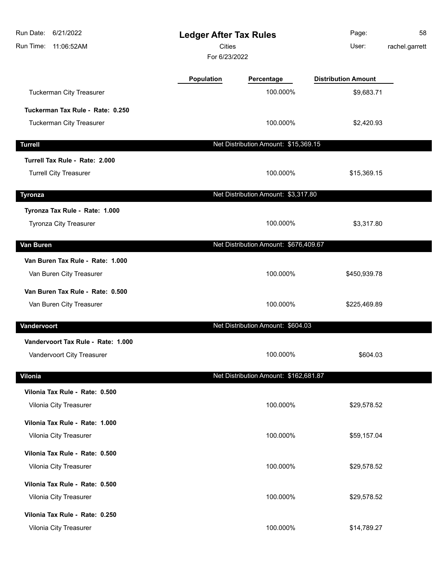| 6/21/2022<br>Run Date:<br>Run Time:<br>11:06:52AM |                   | <b>Ledger After Tax Rules</b><br><b>Cities</b><br>For 6/23/2022 |                            | 58<br>rachel.garrett |
|---------------------------------------------------|-------------------|-----------------------------------------------------------------|----------------------------|----------------------|
|                                                   | <b>Population</b> | Percentage                                                      | <b>Distribution Amount</b> |                      |
| Tuckerman City Treasurer                          |                   | 100.000%                                                        | \$9,683.71                 |                      |
| Tuckerman Tax Rule - Rate: 0.250                  |                   |                                                                 |                            |                      |
| <b>Tuckerman City Treasurer</b>                   |                   | 100.000%                                                        | \$2,420.93                 |                      |
| <b>Turrell</b>                                    |                   | Net Distribution Amount: \$15,369.15                            |                            |                      |
| Turrell Tax Rule - Rate: 2.000                    |                   |                                                                 |                            |                      |
| <b>Turrell City Treasurer</b>                     |                   | 100.000%                                                        | \$15,369.15                |                      |
| <b>Tyronza</b>                                    |                   | Net Distribution Amount: \$3,317.80                             |                            |                      |
| Tyronza Tax Rule - Rate: 1.000                    |                   |                                                                 |                            |                      |
| Tyronza City Treasurer                            |                   | 100.000%                                                        | \$3,317.80                 |                      |
| Van Buren                                         |                   | Net Distribution Amount: \$676,409.67                           |                            |                      |
| Van Buren Tax Rule - Rate: 1.000                  |                   |                                                                 |                            |                      |
| Van Buren City Treasurer                          |                   | 100.000%                                                        | \$450,939.78               |                      |
| Van Buren Tax Rule - Rate: 0.500                  |                   |                                                                 |                            |                      |
| Van Buren City Treasurer                          |                   | 100.000%                                                        | \$225,469.89               |                      |
| Vandervoort                                       |                   | Net Distribution Amount: \$604.03                               |                            |                      |
| Vandervoort Tax Rule - Rate: 1.000                |                   |                                                                 |                            |                      |
| Vandervoort City Treasurer                        |                   | 100.000%                                                        | \$604.03                   |                      |
| Vilonia                                           |                   | Net Distribution Amount: \$162,681.87                           |                            |                      |
| Vilonia Tax Rule - Rate: 0.500                    |                   |                                                                 |                            |                      |
| Vilonia City Treasurer                            |                   | 100.000%                                                        | \$29,578.52                |                      |
| Vilonia Tax Rule - Rate: 1.000                    |                   |                                                                 |                            |                      |
| Vilonia City Treasurer                            |                   | 100.000%                                                        | \$59,157.04                |                      |
| Vilonia Tax Rule - Rate: 0.500                    |                   |                                                                 |                            |                      |
| Vilonia City Treasurer                            |                   | 100.000%                                                        | \$29,578.52                |                      |
| Vilonia Tax Rule - Rate: 0.500                    |                   |                                                                 |                            |                      |
| Vilonia City Treasurer                            |                   | 100.000%                                                        | \$29,578.52                |                      |
| Vilonia Tax Rule - Rate: 0.250                    |                   |                                                                 |                            |                      |
| Vilonia City Treasurer                            |                   | 100.000%                                                        | \$14,789.27                |                      |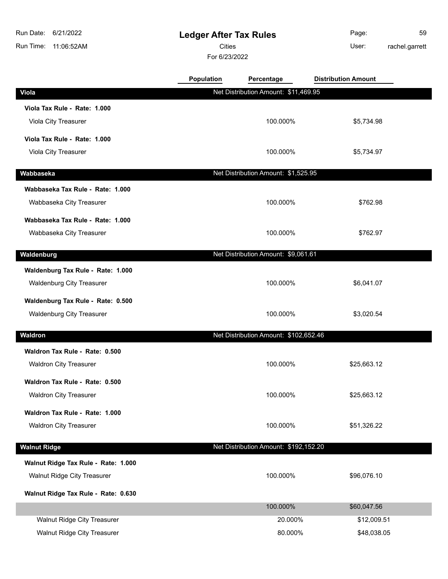# **Ledger After Tax Rules**

Cities User:

For 6/23/2022

Page: 59 rachel.garrett

|                                     | Population | Percentage                            | <b>Distribution Amount</b> |  |
|-------------------------------------|------------|---------------------------------------|----------------------------|--|
| <b>Viola</b>                        |            | Net Distribution Amount: \$11,469.95  |                            |  |
| Viola Tax Rule - Rate: 1.000        |            |                                       |                            |  |
| Viola City Treasurer                |            | 100.000%                              | \$5,734.98                 |  |
| Viola Tax Rule - Rate: 1.000        |            |                                       |                            |  |
| Viola City Treasurer                |            | 100.000%                              | \$5,734.97                 |  |
| Wabbaseka                           |            | Net Distribution Amount: \$1,525.95   |                            |  |
| Wabbaseka Tax Rule - Rate: 1.000    |            |                                       |                            |  |
| Wabbaseka City Treasurer            |            | 100.000%                              | \$762.98                   |  |
|                                     |            |                                       |                            |  |
| Wabbaseka Tax Rule - Rate: 1.000    |            |                                       |                            |  |
| Wabbaseka City Treasurer            |            | 100.000%                              | \$762.97                   |  |
| Waldenburg                          |            | Net Distribution Amount: \$9,061.61   |                            |  |
| Waldenburg Tax Rule - Rate: 1.000   |            |                                       |                            |  |
| <b>Waldenburg City Treasurer</b>    |            | 100.000%                              | \$6,041.07                 |  |
| Waldenburg Tax Rule - Rate: 0.500   |            |                                       |                            |  |
| <b>Waldenburg City Treasurer</b>    |            | 100.000%                              | \$3,020.54                 |  |
|                                     |            |                                       |                            |  |
| Waldron                             |            | Net Distribution Amount: \$102,652.46 |                            |  |
| Waldron Tax Rule - Rate: 0.500      |            |                                       |                            |  |
| <b>Waldron City Treasurer</b>       |            | 100.000%                              | \$25,663.12                |  |
| Waldron Tax Rule - Rate: 0.500      |            |                                       |                            |  |
| <b>Waldron City Treasurer</b>       |            | 100.000%                              | \$25,663.12                |  |
| Waldron Tax Rule - Rate: 1.000      |            |                                       |                            |  |
| <b>Waldron City Treasurer</b>       |            | 100.000%                              | \$51,326.22                |  |
|                                     |            |                                       |                            |  |
| <b>Walnut Ridge</b>                 |            | Net Distribution Amount: \$192,152.20 |                            |  |
| Walnut Ridge Tax Rule - Rate: 1.000 |            |                                       |                            |  |
| <b>Walnut Ridge City Treasurer</b>  |            | 100.000%                              | \$96,076.10                |  |
| Walnut Ridge Tax Rule - Rate: 0.630 |            |                                       |                            |  |
|                                     |            | 100.000%                              | \$60,047.56                |  |
| Walnut Ridge City Treasurer         |            | 20.000%                               | \$12,009.51                |  |
| Walnut Ridge City Treasurer         |            | 80.000%                               | \$48,038.05                |  |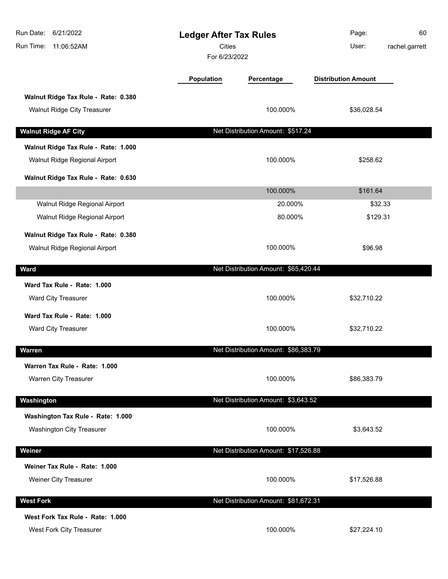| Run Date:<br>6/21/2022<br>Run Time:<br>11:06:52AM                         | <b>Ledger After Tax Rules</b><br><b>Cities</b><br>For 6/23/2022 |                                      | Page:<br>60<br>User:<br>rachel.garrett |
|---------------------------------------------------------------------------|-----------------------------------------------------------------|--------------------------------------|----------------------------------------|
|                                                                           | <b>Population</b>                                               | Percentage                           | <b>Distribution Amount</b>             |
| Walnut Ridge Tax Rule - Rate: 0.380<br><b>Walnut Ridge City Treasurer</b> |                                                                 | 100.000%                             | \$36,028.54                            |
| <b>Walnut Ridge AF City</b>                                               |                                                                 | Net Distribution Amount: \$517.24    |                                        |
| Walnut Ridge Tax Rule - Rate: 1.000<br>Walnut Ridge Regional Airport      |                                                                 | 100.000%                             | \$258.62                               |
| Walnut Ridge Tax Rule - Rate: 0.630                                       |                                                                 |                                      |                                        |
|                                                                           |                                                                 | 100.000%                             | \$161.64                               |
| Walnut Ridge Regional Airport<br>Walnut Ridge Regional Airport            |                                                                 | 20.000%<br>80.000%                   | \$32.33<br>\$129.31                    |
| Walnut Ridge Tax Rule - Rate: 0.380<br>Walnut Ridge Regional Airport      |                                                                 | 100.000%                             | \$96.98                                |
| <b>Ward</b>                                                               |                                                                 | Net Distribution Amount: \$65,420.44 |                                        |
| Ward Tax Rule - Rate: 1.000<br>Ward City Treasurer                        |                                                                 | 100.000%                             | \$32,710.22                            |
| Ward Tax Rule - Rate: 1.000<br>Ward City Treasurer                        |                                                                 | 100.000%                             | \$32,710.22                            |
| <b>Warren</b>                                                             |                                                                 | Net Distribution Amount: \$86,383.79 |                                        |
| Warren Tax Rule - Rate: 1.000<br>Warren City Treasurer                    |                                                                 | 100.000%                             | \$86,383.79                            |
| Washington                                                                |                                                                 | Net Distribution Amount: \$3,643.52  |                                        |
| Washington Tax Rule - Rate: 1.000<br><b>Washington City Treasurer</b>     |                                                                 | 100.000%                             | \$3,643.52                             |
| Weiner                                                                    |                                                                 | Net Distribution Amount: \$17,526.88 |                                        |
| Weiner Tax Rule - Rate: 1.000<br>Weiner City Treasurer                    |                                                                 | 100.000%                             | \$17,526.88                            |
| <b>West Fork</b>                                                          |                                                                 | Net Distribution Amount: \$81,672.31 |                                        |
| West Fork Tax Rule - Rate: 1.000<br>West Fork City Treasurer              |                                                                 | 100.000%                             | \$27,224.10                            |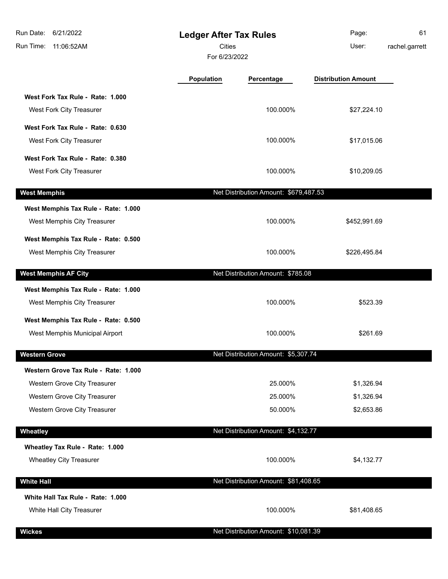| Run Date:<br>6/21/2022<br>Run Time:<br>11:06:52AM | <b>Ledger After Tax Rules</b><br>Cities<br>For 6/23/2022 |                                       | Page:<br>User:             | 61<br>rachel.garrett |
|---------------------------------------------------|----------------------------------------------------------|---------------------------------------|----------------------------|----------------------|
|                                                   | Population                                               | Percentage                            | <b>Distribution Amount</b> |                      |
| West Fork Tax Rule - Rate: 1.000                  |                                                          |                                       |                            |                      |
| West Fork City Treasurer                          |                                                          | 100.000%                              | \$27,224.10                |                      |
| West Fork Tax Rule - Rate: 0.630                  |                                                          |                                       |                            |                      |
| West Fork City Treasurer                          |                                                          | 100.000%                              | \$17,015.06                |                      |
| West Fork Tax Rule - Rate: 0.380                  |                                                          |                                       |                            |                      |
| West Fork City Treasurer                          |                                                          | 100.000%                              | \$10,209.05                |                      |
| <b>West Memphis</b>                               |                                                          | Net Distribution Amount: \$679,487.53 |                            |                      |
| West Memphis Tax Rule - Rate: 1.000               |                                                          |                                       |                            |                      |
| West Memphis City Treasurer                       |                                                          | 100.000%                              | \$452,991.69               |                      |
| West Memphis Tax Rule - Rate: 0.500               |                                                          |                                       |                            |                      |
| West Memphis City Treasurer                       |                                                          | 100.000%                              | \$226,495.84               |                      |
| <b>West Memphis AF City</b>                       |                                                          | Net Distribution Amount: \$785.08     |                            |                      |
| West Memphis Tax Rule - Rate: 1.000               |                                                          |                                       |                            |                      |
| West Memphis City Treasurer                       |                                                          | 100.000%                              | \$523.39                   |                      |
| West Memphis Tax Rule - Rate: 0.500               |                                                          |                                       |                            |                      |
| West Memphis Municipal Airport                    |                                                          | 100.000%                              | \$261.69                   |                      |
| <b>Western Grove</b>                              |                                                          | Net Distribution Amount: \$5,307.74   |                            |                      |
| Western Grove Tax Rule - Rate: 1.000              |                                                          |                                       |                            |                      |
| Western Grove City Treasurer                      |                                                          | 25.000%                               | \$1,326.94                 |                      |
| Western Grove City Treasurer                      |                                                          | 25.000%                               | \$1,326.94                 |                      |
| Western Grove City Treasurer                      |                                                          | 50.000%                               | \$2,653.86                 |                      |
| Wheatley                                          |                                                          | Net Distribution Amount: \$4,132.77   |                            |                      |
| Wheatley Tax Rule - Rate: 1.000                   |                                                          |                                       |                            |                      |
| <b>Wheatley City Treasurer</b>                    |                                                          | 100.000%                              | \$4,132.77                 |                      |
| <b>White Hall</b>                                 |                                                          | Net Distribution Amount: \$81,408.65  |                            |                      |
| White Hall Tax Rule - Rate: 1.000                 |                                                          |                                       |                            |                      |
| White Hall City Treasurer                         |                                                          | 100.000%                              | \$81,408.65                |                      |
| <b>Wickes</b>                                     |                                                          | Net Distribution Amount: \$10,081.39  |                            |                      |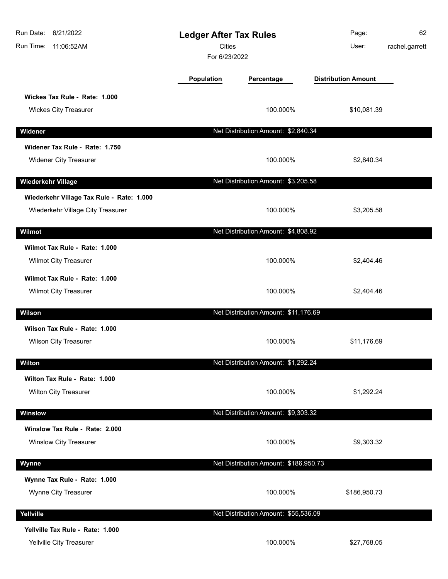| Run Date: 6/21/2022<br>Run Time:<br>11:06:52AM                                 | <b>Ledger After Tax Rules</b><br><b>Cities</b><br>For 6/23/2022 |                                       | Page:<br>User:             | 62<br>rachel.garrett |
|--------------------------------------------------------------------------------|-----------------------------------------------------------------|---------------------------------------|----------------------------|----------------------|
|                                                                                | Population                                                      | Percentage                            | <b>Distribution Amount</b> |                      |
| Wickes Tax Rule - Rate: 1.000<br><b>Wickes City Treasurer</b>                  |                                                                 | 100.000%                              | \$10,081.39                |                      |
|                                                                                |                                                                 |                                       |                            |                      |
| Widener                                                                        |                                                                 | Net Distribution Amount: \$2,840.34   |                            |                      |
| Widener Tax Rule - Rate: 1.750<br><b>Widener City Treasurer</b>                |                                                                 | 100.000%                              | \$2,840.34                 |                      |
| Wiederkehr Village                                                             |                                                                 | Net Distribution Amount: \$3,205.58   |                            |                      |
| Wiederkehr Village Tax Rule - Rate: 1.000<br>Wiederkehr Village City Treasurer |                                                                 | 100.000%                              | \$3,205.58                 |                      |
| Wilmot                                                                         |                                                                 | Net Distribution Amount: \$4,808.92   |                            |                      |
| Wilmot Tax Rule - Rate: 1.000<br>Wilmot City Treasurer                         |                                                                 | 100.000%                              | \$2,404.46                 |                      |
| Wilmot Tax Rule - Rate: 1.000<br>Wilmot City Treasurer                         |                                                                 | 100.000%                              | \$2,404.46                 |                      |
| Wilson                                                                         |                                                                 | Net Distribution Amount: \$11,176.69  |                            |                      |
| Wilson Tax Rule - Rate: 1.000<br><b>Wilson City Treasurer</b>                  |                                                                 | 100.000%                              | \$11,176.69                |                      |
| Wilton                                                                         |                                                                 | Net Distribution Amount: \$1,292.24   |                            |                      |
| Wilton Tax Rule - Rate: 1.000                                                  |                                                                 |                                       |                            |                      |
| <b>Wilton City Treasurer</b>                                                   |                                                                 | 100.000%                              | \$1,292.24                 |                      |
| Winslow                                                                        |                                                                 | Net Distribution Amount: \$9,303.32   |                            |                      |
| Winslow Tax Rule - Rate: 2.000<br><b>Winslow City Treasurer</b>                |                                                                 | 100.000%                              | \$9,303.32                 |                      |
| Wynne                                                                          |                                                                 | Net Distribution Amount: \$186,950.73 |                            |                      |
| Wynne Tax Rule - Rate: 1.000<br>Wynne City Treasurer                           |                                                                 | 100.000%                              | \$186,950.73               |                      |
| Yellville                                                                      |                                                                 | Net Distribution Amount: \$55,536.09  |                            |                      |
| Yellville Tax Rule - Rate: 1.000<br>Yellville City Treasurer                   |                                                                 | 100.000%                              | \$27,768.05                |                      |